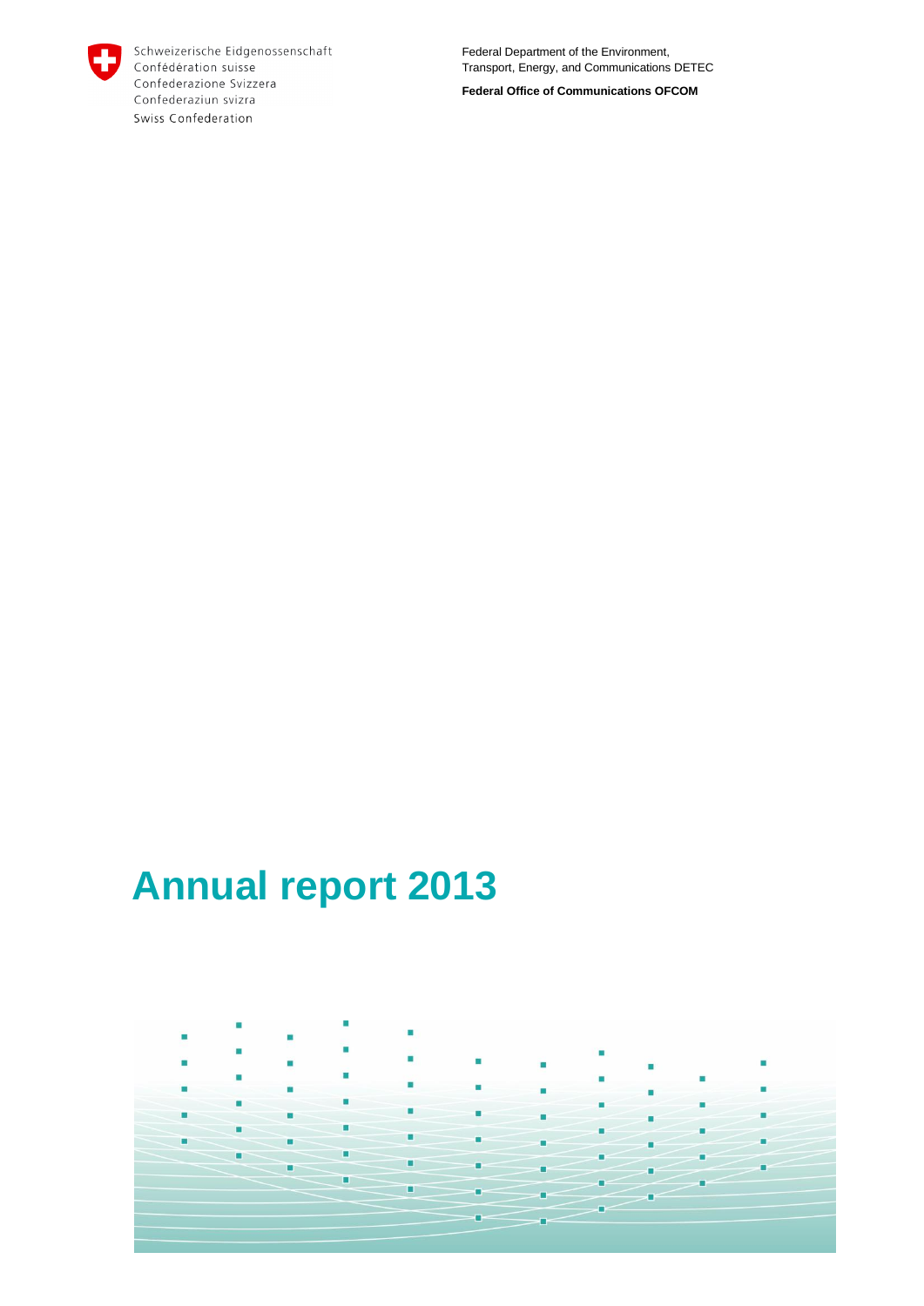

Schweizerische Eidgenossenschaft Confédération suisse Confederazione Svizzera Confederaziun svizra Swiss Confederation

Federal Department of the Environment, Transport, Energy, and Communications DETEC

**Federal Office of Communications OFCOM**

# **Annual report 2013**

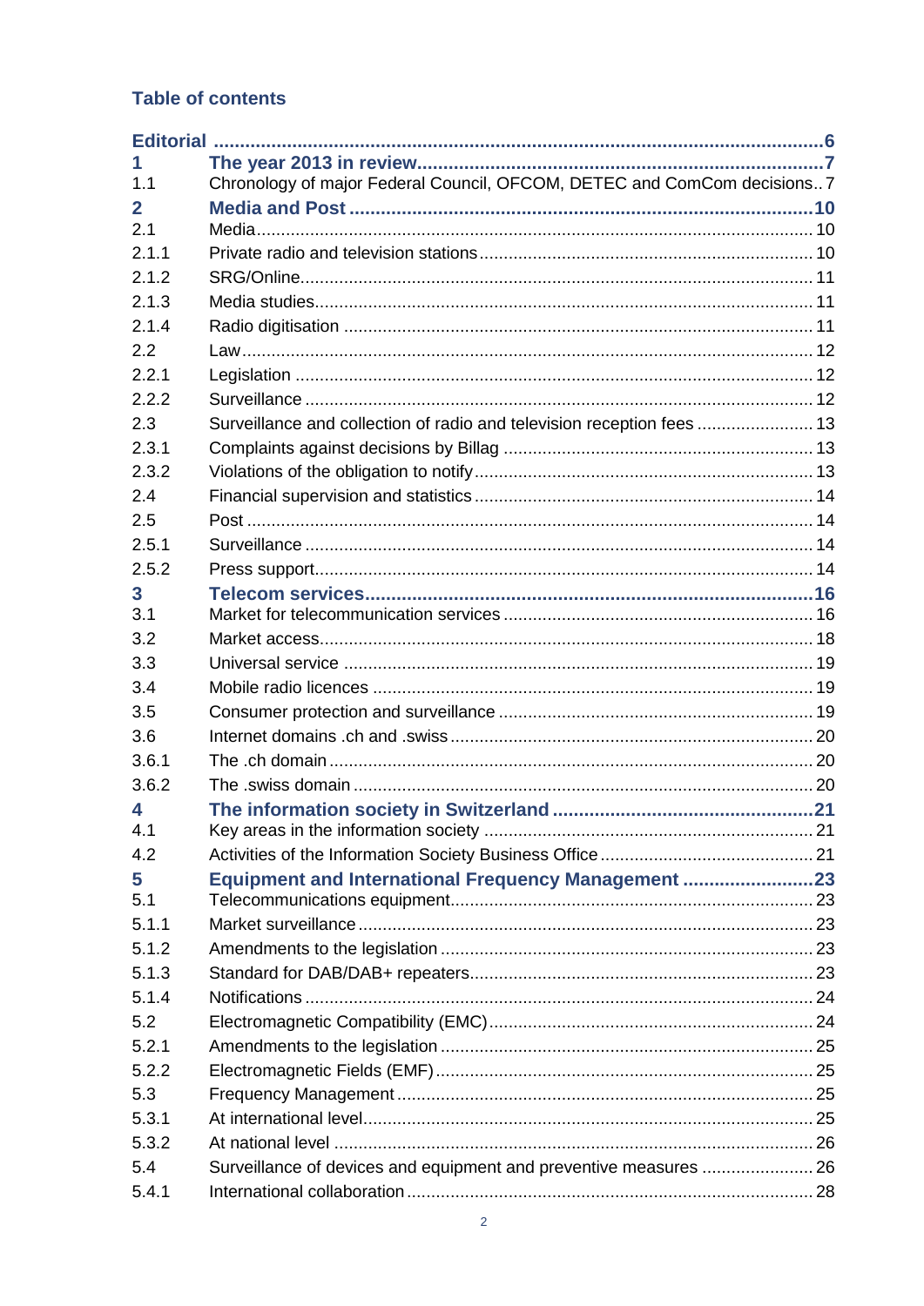### Table of contents

| 1.1   | Chronology of major Federal Council, OFCOM, DETEC and ComCom decisions7 |  |
|-------|-------------------------------------------------------------------------|--|
| 2     |                                                                         |  |
| 2.1   |                                                                         |  |
| 2.1.1 |                                                                         |  |
| 2.1.2 |                                                                         |  |
| 2.1.3 |                                                                         |  |
| 2.1.4 |                                                                         |  |
| 2.2   |                                                                         |  |
| 2.2.1 |                                                                         |  |
| 2.2.2 |                                                                         |  |
| 2.3   | Surveillance and collection of radio and television reception fees  13  |  |
| 2.3.1 |                                                                         |  |
| 2.3.2 |                                                                         |  |
| 2.4   |                                                                         |  |
| 2.5   |                                                                         |  |
| 2.5.1 |                                                                         |  |
| 2.5.2 |                                                                         |  |
| 3     |                                                                         |  |
| 3.1   |                                                                         |  |
| 3.2   |                                                                         |  |
| 3.3   |                                                                         |  |
| 3.4   |                                                                         |  |
| 3.5   |                                                                         |  |
| 3.6   |                                                                         |  |
| 3.6.1 |                                                                         |  |
| 3.6.2 |                                                                         |  |
| 4     |                                                                         |  |
| 4.1   |                                                                         |  |
| 4.2   |                                                                         |  |
| 5     | <b>Equipment and International Frequency Management 23</b>              |  |
| 5.1   |                                                                         |  |
| 5.1.1 |                                                                         |  |
| 5.1.2 |                                                                         |  |
| 5.1.3 |                                                                         |  |
| 5.1.4 |                                                                         |  |
| 5.2   |                                                                         |  |
| 5.2.1 |                                                                         |  |
| 5.2.2 |                                                                         |  |
| 5.3   |                                                                         |  |
| 5.3.1 |                                                                         |  |
| 5.3.2 |                                                                         |  |
| 5.4   | Surveillance of devices and equipment and preventive measures  26       |  |
| 5.4.1 |                                                                         |  |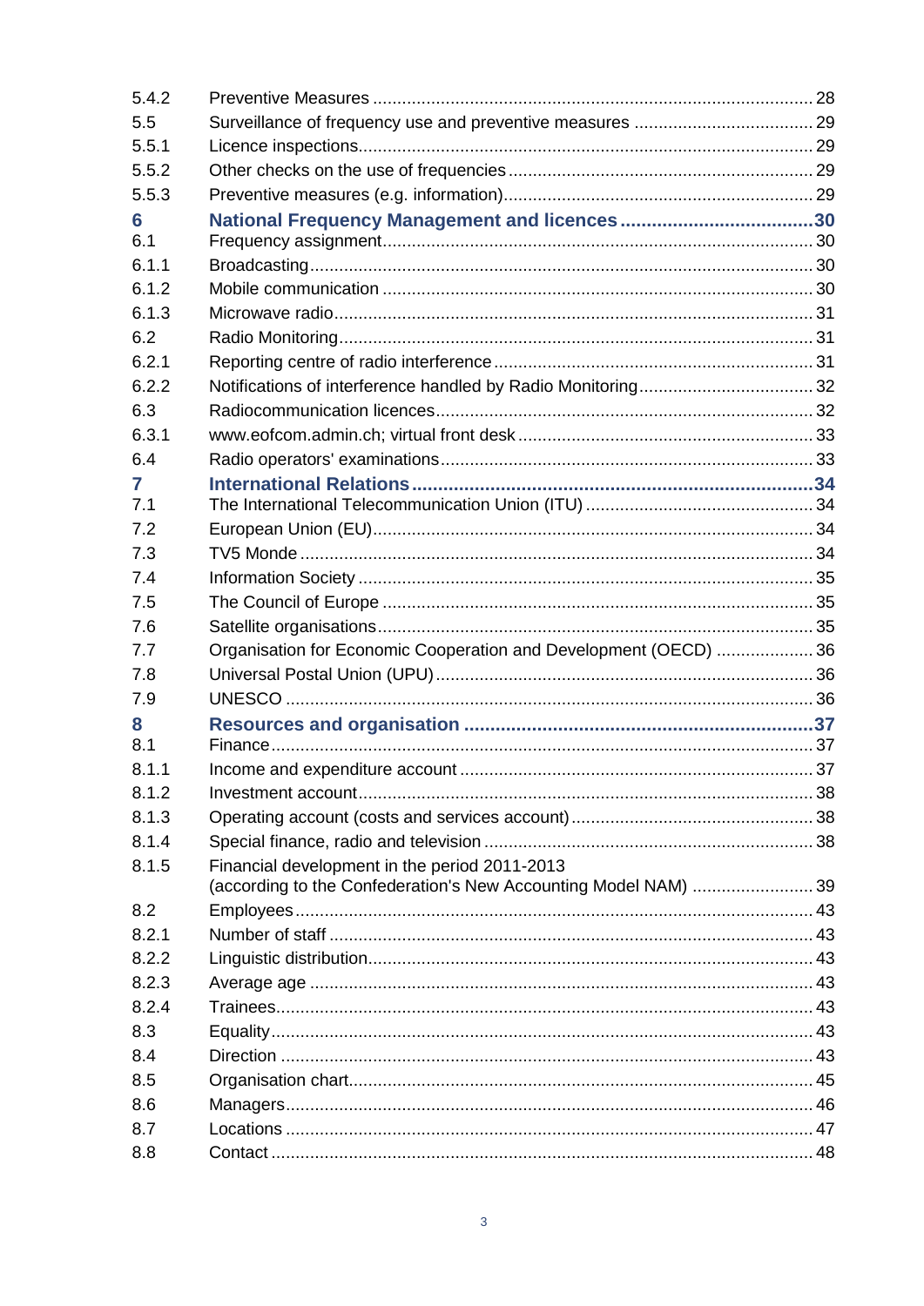| 5.4.2 |                                                                                                                 |  |
|-------|-----------------------------------------------------------------------------------------------------------------|--|
| 5.5   |                                                                                                                 |  |
| 5.5.1 |                                                                                                                 |  |
| 5.5.2 |                                                                                                                 |  |
| 5.5.3 |                                                                                                                 |  |
| 6     |                                                                                                                 |  |
| 6.1   |                                                                                                                 |  |
| 6.1.1 |                                                                                                                 |  |
| 6.1.2 |                                                                                                                 |  |
| 6.1.3 |                                                                                                                 |  |
| 6.2   |                                                                                                                 |  |
| 6.2.1 |                                                                                                                 |  |
| 6.2.2 |                                                                                                                 |  |
| 6.3   |                                                                                                                 |  |
| 6.3.1 |                                                                                                                 |  |
| 6.4   |                                                                                                                 |  |
| 7     |                                                                                                                 |  |
| 7.1   |                                                                                                                 |  |
| 7.2   |                                                                                                                 |  |
| 7.3   |                                                                                                                 |  |
| 7.4   |                                                                                                                 |  |
| 7.5   |                                                                                                                 |  |
| 7.6   |                                                                                                                 |  |
| 7.7   | Organisation for Economic Cooperation and Development (OECD)  36                                                |  |
| 7.8   |                                                                                                                 |  |
| 7.9   |                                                                                                                 |  |
| 8     |                                                                                                                 |  |
| 8.1   |                                                                                                                 |  |
| 8.1.1 |                                                                                                                 |  |
| 8.1.2 |                                                                                                                 |  |
| 8.1.3 |                                                                                                                 |  |
| 8.1.4 |                                                                                                                 |  |
| 8.1.5 | Financial development in the period 2011-2013<br>(according to the Confederation's New Accounting Model NAM) 39 |  |
| 8.2   |                                                                                                                 |  |
| 8.2.1 |                                                                                                                 |  |
| 8.2.2 |                                                                                                                 |  |
| 8.2.3 |                                                                                                                 |  |
| 8.2.4 |                                                                                                                 |  |
| 8.3   |                                                                                                                 |  |
| 8.4   |                                                                                                                 |  |
| 8.5   |                                                                                                                 |  |
| 8.6   |                                                                                                                 |  |
| 8.7   |                                                                                                                 |  |
|       |                                                                                                                 |  |
| 8.8   |                                                                                                                 |  |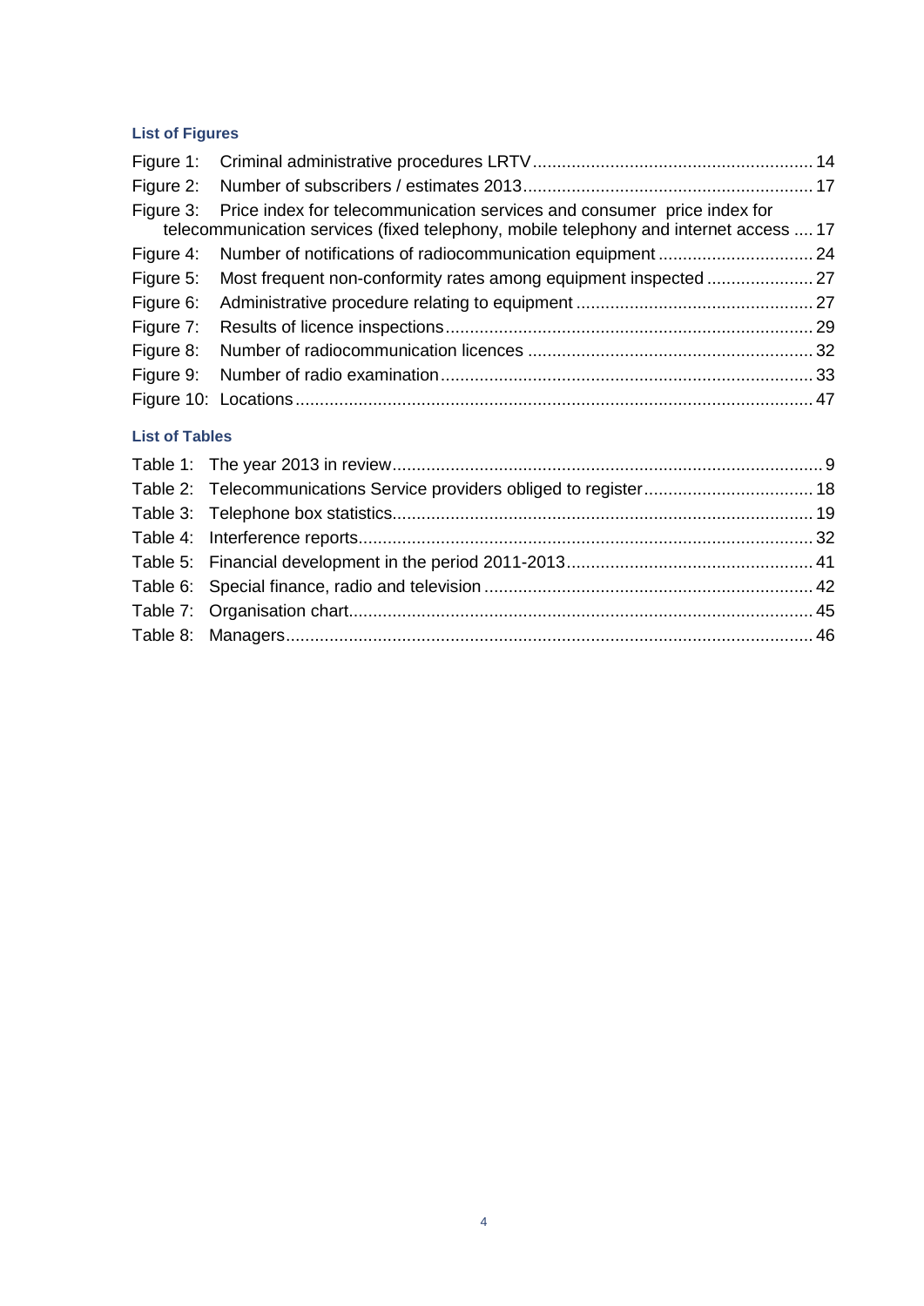#### **List of Figures**

| Figure 3: Price index for telecommunication services and consumer price index for<br>telecommunication services (fixed telephony, mobile telephony and internet access  17 |  |
|----------------------------------------------------------------------------------------------------------------------------------------------------------------------------|--|
| Figure 4: Number of notifications of radiocommunication equipment  24                                                                                                      |  |
|                                                                                                                                                                            |  |
|                                                                                                                                                                            |  |
|                                                                                                                                                                            |  |
|                                                                                                                                                                            |  |
|                                                                                                                                                                            |  |
|                                                                                                                                                                            |  |
|                                                                                                                                                                            |  |

#### **List of Tables**

| Table 2: Telecommunications Service providers obliged to register 18 |  |
|----------------------------------------------------------------------|--|
|                                                                      |  |
|                                                                      |  |
|                                                                      |  |
|                                                                      |  |
|                                                                      |  |
|                                                                      |  |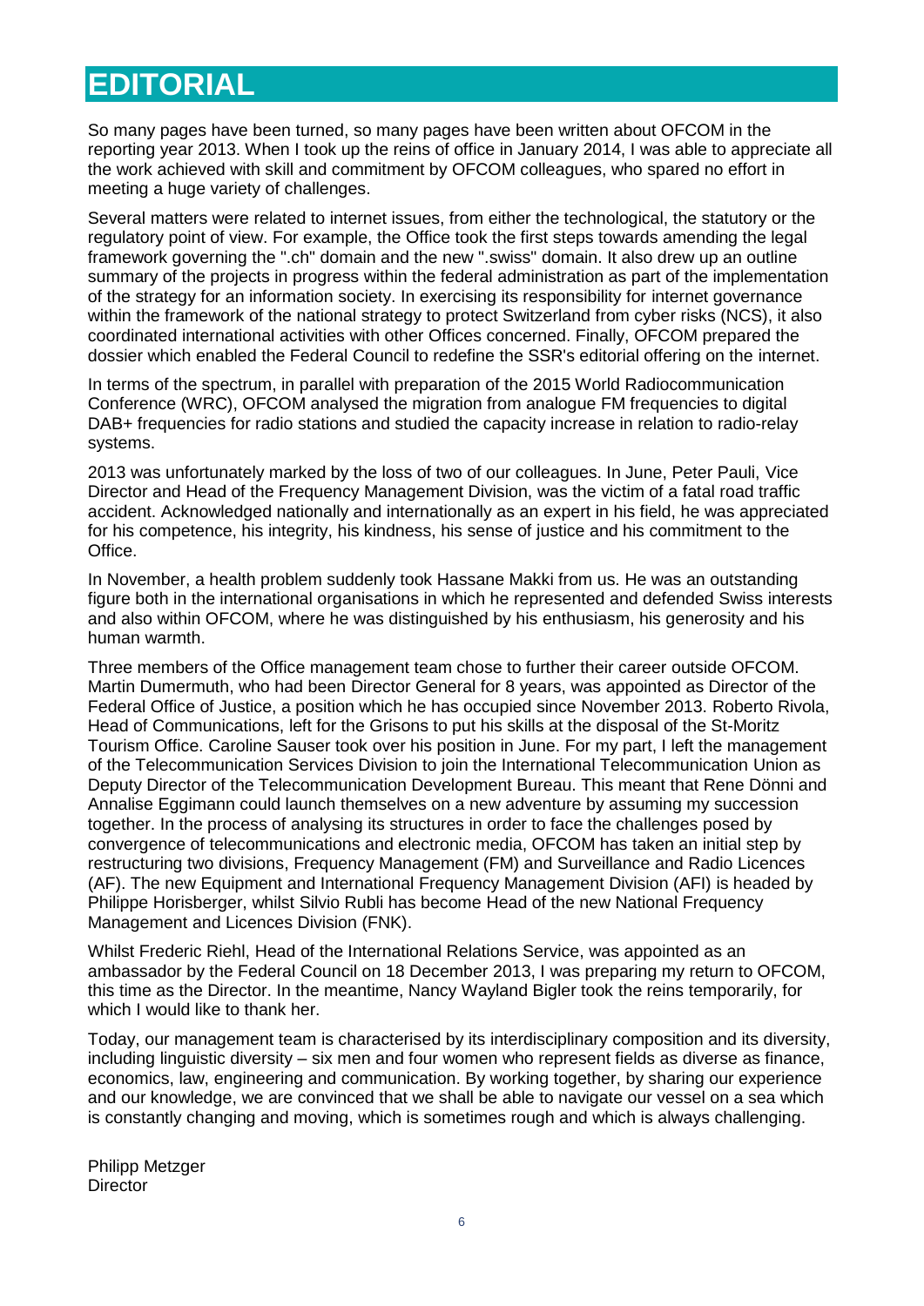# <span id="page-4-0"></span>**EDITORIAL**

So many pages have been turned, so many pages have been written about OFCOM in the reporting year 2013. When I took up the reins of office in January 2014, I was able to appreciate all the work achieved with skill and commitment by OFCOM colleagues, who spared no effort in meeting a huge variety of challenges.

Several matters were related to internet issues, from either the technological, the statutory or the regulatory point of view. For example, the Office took the first steps towards amending the legal framework governing the ".ch" domain and the new ".swiss" domain. It also drew up an outline summary of the projects in progress within the federal administration as part of the implementation of the strategy for an information society. In exercising its responsibility for internet governance within the framework of the national strategy to protect Switzerland from cyber risks (NCS), it also coordinated international activities with other Offices concerned. Finally, OFCOM prepared the dossier which enabled the Federal Council to redefine the SSR's editorial offering on the internet.

In terms of the spectrum, in parallel with preparation of the 2015 World Radiocommunication Conference (WRC), OFCOM analysed the migration from analogue FM frequencies to digital DAB+ frequencies for radio stations and studied the capacity increase in relation to radio-relay systems.

2013 was unfortunately marked by the loss of two of our colleagues. In June, Peter Pauli, Vice Director and Head of the Frequency Management Division, was the victim of a fatal road traffic accident. Acknowledged nationally and internationally as an expert in his field, he was appreciated for his competence, his integrity, his kindness, his sense of justice and his commitment to the Office.

In November, a health problem suddenly took Hassane Makki from us. He was an outstanding figure both in the international organisations in which he represented and defended Swiss interests and also within OFCOM, where he was distinguished by his enthusiasm, his generosity and his human warmth.

Three members of the Office management team chose to further their career outside OFCOM. Martin Dumermuth, who had been Director General for 8 years, was appointed as Director of the Federal Office of Justice, a position which he has occupied since November 2013. Roberto Rivola, Head of Communications, left for the Grisons to put his skills at the disposal of the St-Moritz Tourism Office. Caroline Sauser took over his position in June. For my part, I left the management of the Telecommunication Services Division to join the International Telecommunication Union as Deputy Director of the Telecommunication Development Bureau. This meant that Rene Dönni and Annalise Eggimann could launch themselves on a new adventure by assuming my succession together. In the process of analysing its structures in order to face the challenges posed by convergence of telecommunications and electronic media, OFCOM has taken an initial step by restructuring two divisions, Frequency Management (FM) and Surveillance and Radio Licences (AF). The new Equipment and International Frequency Management Division (AFI) is headed by Philippe Horisberger, whilst Silvio Rubli has become Head of the new National Frequency Management and Licences Division (FNK).

Whilst Frederic Riehl, Head of the International Relations Service, was appointed as an ambassador by the Federal Council on 18 December 2013, I was preparing my return to OFCOM, this time as the Director. In the meantime, Nancy Wayland Bigler took the reins temporarily, for which I would like to thank her.

Today, our management team is characterised by its interdisciplinary composition and its diversity, including linguistic diversity – six men and four women who represent fields as diverse as finance, economics, law, engineering and communication. By working together, by sharing our experience and our knowledge, we are convinced that we shall be able to navigate our vessel on a sea which is constantly changing and moving, which is sometimes rough and which is always challenging.

Philipp Metzger **Director**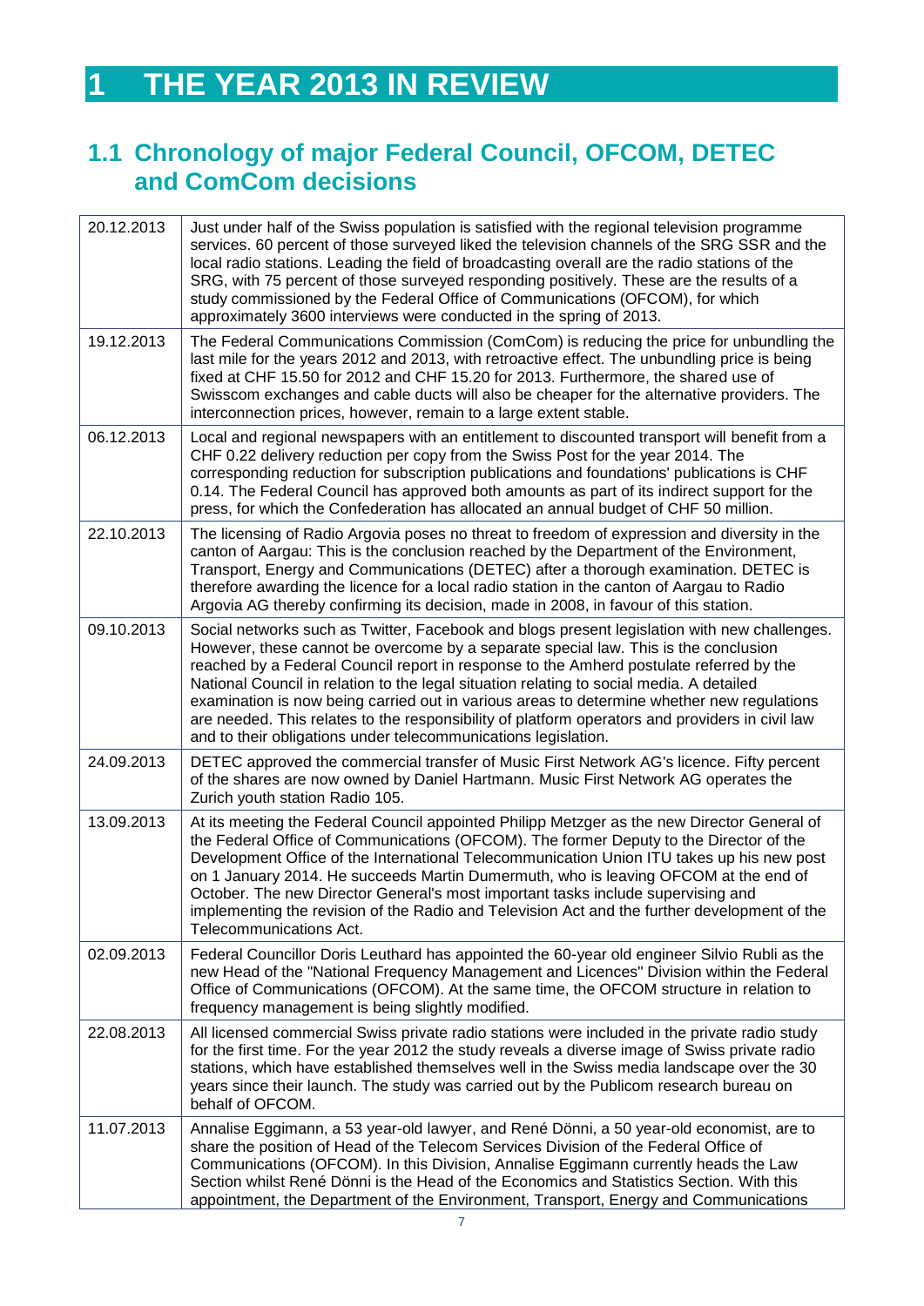# <span id="page-5-0"></span>**1 THE YEAR 2013 IN REVIEW**

# <span id="page-5-1"></span>**1.1 Chronology of major Federal Council, OFCOM, DETEC and ComCom decisions**

| 20.12.2013 | Just under half of the Swiss population is satisfied with the regional television programme<br>services. 60 percent of those surveyed liked the television channels of the SRG SSR and the<br>local radio stations. Leading the field of broadcasting overall are the radio stations of the<br>SRG, with 75 percent of those surveyed responding positively. These are the results of a<br>study commissioned by the Federal Office of Communications (OFCOM), for which<br>approximately 3600 interviews were conducted in the spring of 2013.                                                                                               |
|------------|-----------------------------------------------------------------------------------------------------------------------------------------------------------------------------------------------------------------------------------------------------------------------------------------------------------------------------------------------------------------------------------------------------------------------------------------------------------------------------------------------------------------------------------------------------------------------------------------------------------------------------------------------|
| 19.12.2013 | The Federal Communications Commission (ComCom) is reducing the price for unbundling the<br>last mile for the years 2012 and 2013, with retroactive effect. The unbundling price is being<br>fixed at CHF 15.50 for 2012 and CHF 15.20 for 2013. Furthermore, the shared use of<br>Swisscom exchanges and cable ducts will also be cheaper for the alternative providers. The<br>interconnection prices, however, remain to a large extent stable.                                                                                                                                                                                             |
| 06.12.2013 | Local and regional newspapers with an entitlement to discounted transport will benefit from a<br>CHF 0.22 delivery reduction per copy from the Swiss Post for the year 2014. The<br>corresponding reduction for subscription publications and foundations' publications is CHF<br>0.14. The Federal Council has approved both amounts as part of its indirect support for the<br>press, for which the Confederation has allocated an annual budget of CHF 50 million.                                                                                                                                                                         |
| 22.10.2013 | The licensing of Radio Argovia poses no threat to freedom of expression and diversity in the<br>canton of Aargau: This is the conclusion reached by the Department of the Environment,<br>Transport, Energy and Communications (DETEC) after a thorough examination. DETEC is<br>therefore awarding the licence for a local radio station in the canton of Aargau to Radio<br>Argovia AG thereby confirming its decision, made in 2008, in favour of this station.                                                                                                                                                                            |
| 09.10.2013 | Social networks such as Twitter, Facebook and blogs present legislation with new challenges.<br>However, these cannot be overcome by a separate special law. This is the conclusion<br>reached by a Federal Council report in response to the Amherd postulate referred by the<br>National Council in relation to the legal situation relating to social media. A detailed<br>examination is now being carried out in various areas to determine whether new regulations<br>are needed. This relates to the responsibility of platform operators and providers in civil law<br>and to their obligations under telecommunications legislation. |
| 24.09.2013 | DETEC approved the commercial transfer of Music First Network AG's licence. Fifty percent<br>of the shares are now owned by Daniel Hartmann. Music First Network AG operates the<br>Zurich youth station Radio 105.                                                                                                                                                                                                                                                                                                                                                                                                                           |
| 13.09.2013 | At its meeting the Federal Council appointed Philipp Metzger as the new Director General of<br>the Federal Office of Communications (OFCOM). The former Deputy to the Director of the<br>Development Office of the International Telecommunication Union ITU takes up his new post<br>on 1 January 2014. He succeeds Martin Dumermuth, who is leaving OFCOM at the end of<br>October. The new Director General's most important tasks include supervising and<br>implementing the revision of the Radio and Television Act and the further development of the<br>Telecommunications Act.                                                      |
| 02.09.2013 | Federal Councillor Doris Leuthard has appointed the 60-year old engineer Silvio Rubli as the<br>new Head of the "National Frequency Management and Licences" Division within the Federal<br>Office of Communications (OFCOM). At the same time, the OFCOM structure in relation to<br>frequency management is being slightly modified.                                                                                                                                                                                                                                                                                                        |
| 22.08.2013 | All licensed commercial Swiss private radio stations were included in the private radio study<br>for the first time. For the year 2012 the study reveals a diverse image of Swiss private radio<br>stations, which have established themselves well in the Swiss media landscape over the 30<br>years since their launch. The study was carried out by the Publicom research bureau on<br>behalf of OFCOM.                                                                                                                                                                                                                                    |
| 11.07.2013 | Annalise Eggimann, a 53 year-old lawyer, and René Dönni, a 50 year-old economist, are to<br>share the position of Head of the Telecom Services Division of the Federal Office of<br>Communications (OFCOM). In this Division, Annalise Eggimann currently heads the Law<br>Section whilst René Dönni is the Head of the Economics and Statistics Section. With this<br>appointment, the Department of the Environment, Transport, Energy and Communications                                                                                                                                                                                   |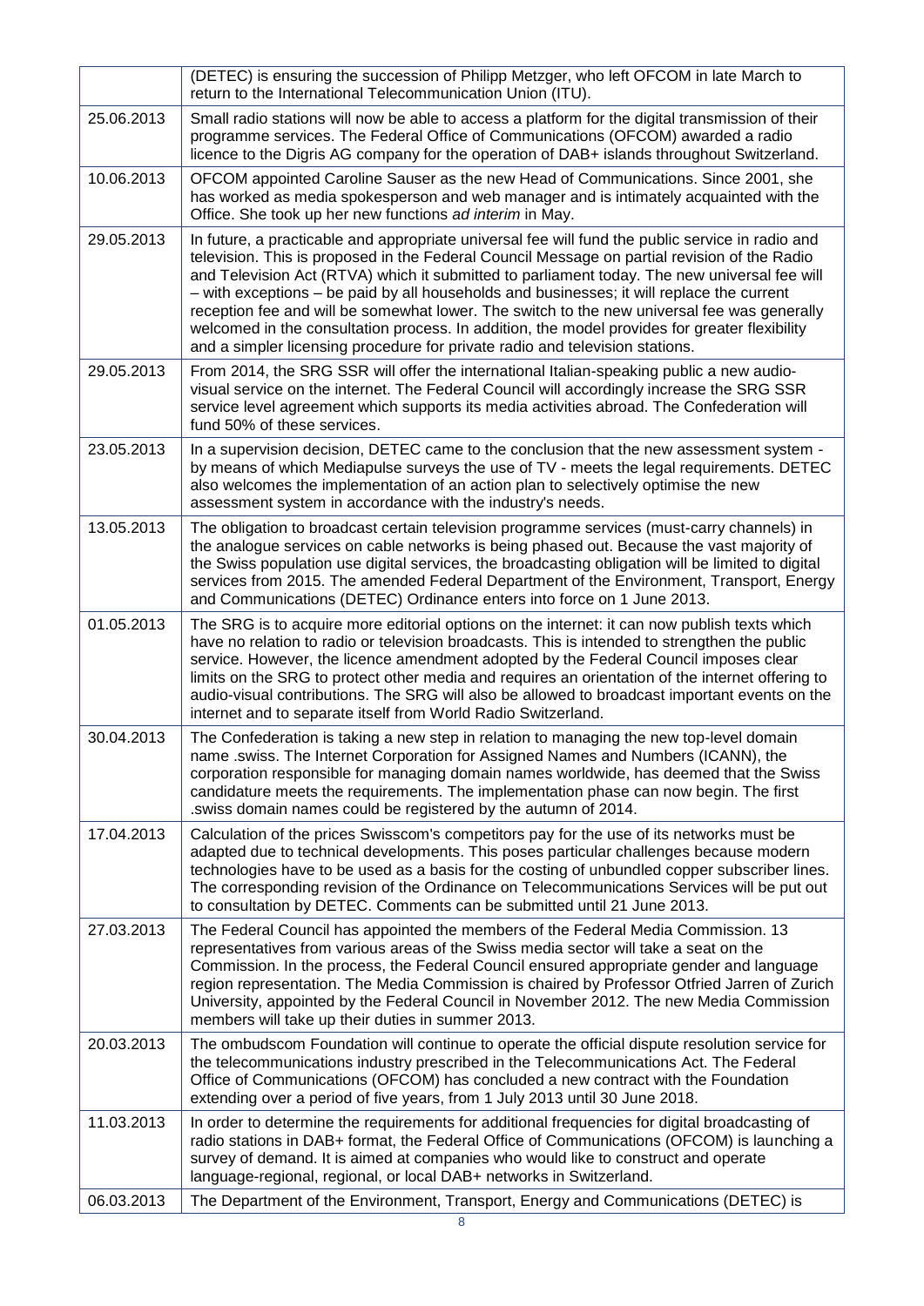|            | (DETEC) is ensuring the succession of Philipp Metzger, who left OFCOM in late March to<br>return to the International Telecommunication Union (ITU).                                                                                                                                                                                                                                                                                                                                                                                                                                                                                                                          |
|------------|-------------------------------------------------------------------------------------------------------------------------------------------------------------------------------------------------------------------------------------------------------------------------------------------------------------------------------------------------------------------------------------------------------------------------------------------------------------------------------------------------------------------------------------------------------------------------------------------------------------------------------------------------------------------------------|
| 25.06.2013 | Small radio stations will now be able to access a platform for the digital transmission of their<br>programme services. The Federal Office of Communications (OFCOM) awarded a radio<br>licence to the Digris AG company for the operation of DAB+ islands throughout Switzerland.                                                                                                                                                                                                                                                                                                                                                                                            |
| 10.06.2013 | OFCOM appointed Caroline Sauser as the new Head of Communications. Since 2001, she<br>has worked as media spokesperson and web manager and is intimately acquainted with the<br>Office. She took up her new functions ad interim in May.                                                                                                                                                                                                                                                                                                                                                                                                                                      |
| 29.05.2013 | In future, a practicable and appropriate universal fee will fund the public service in radio and<br>television. This is proposed in the Federal Council Message on partial revision of the Radio<br>and Television Act (RTVA) which it submitted to parliament today. The new universal fee will<br>- with exceptions - be paid by all households and businesses; it will replace the current<br>reception fee and will be somewhat lower. The switch to the new universal fee was generally<br>welcomed in the consultation process. In addition, the model provides for greater flexibility<br>and a simpler licensing procedure for private radio and television stations. |
| 29.05.2013 | From 2014, the SRG SSR will offer the international Italian-speaking public a new audio-<br>visual service on the internet. The Federal Council will accordingly increase the SRG SSR<br>service level agreement which supports its media activities abroad. The Confederation will<br>fund 50% of these services.                                                                                                                                                                                                                                                                                                                                                            |
| 23.05.2013 | In a supervision decision, DETEC came to the conclusion that the new assessment system -<br>by means of which Mediapulse surveys the use of TV - meets the legal requirements. DETEC<br>also welcomes the implementation of an action plan to selectively optimise the new<br>assessment system in accordance with the industry's needs.                                                                                                                                                                                                                                                                                                                                      |
| 13.05.2013 | The obligation to broadcast certain television programme services (must-carry channels) in<br>the analogue services on cable networks is being phased out. Because the vast majority of<br>the Swiss population use digital services, the broadcasting obligation will be limited to digital<br>services from 2015. The amended Federal Department of the Environment, Transport, Energy<br>and Communications (DETEC) Ordinance enters into force on 1 June 2013.                                                                                                                                                                                                            |
| 01.05.2013 | The SRG is to acquire more editorial options on the internet: it can now publish texts which<br>have no relation to radio or television broadcasts. This is intended to strengthen the public<br>service. However, the licence amendment adopted by the Federal Council imposes clear<br>limits on the SRG to protect other media and requires an orientation of the internet offering to<br>audio-visual contributions. The SRG will also be allowed to broadcast important events on the<br>internet and to separate itself from World Radio Switzerland.                                                                                                                   |
| 30.04.2013 | The Confederation is taking a new step in relation to managing the new top-level domain<br>name .swiss. The Internet Corporation for Assigned Names and Numbers (ICANN), the<br>corporation responsible for managing domain names worldwide, has deemed that the Swiss<br>candidature meets the requirements. The implementation phase can now begin. The first<br>. swiss domain names could be registered by the autumn of 2014.                                                                                                                                                                                                                                            |
| 17.04.2013 | Calculation of the prices Swisscom's competitors pay for the use of its networks must be<br>adapted due to technical developments. This poses particular challenges because modern<br>technologies have to be used as a basis for the costing of unbundled copper subscriber lines.<br>The corresponding revision of the Ordinance on Telecommunications Services will be put out<br>to consultation by DETEC. Comments can be submitted until 21 June 2013.                                                                                                                                                                                                                  |
| 27.03.2013 | The Federal Council has appointed the members of the Federal Media Commission. 13<br>representatives from various areas of the Swiss media sector will take a seat on the<br>Commission. In the process, the Federal Council ensured appropriate gender and language<br>region representation. The Media Commission is chaired by Professor Otfried Jarren of Zurich<br>University, appointed by the Federal Council in November 2012. The new Media Commission<br>members will take up their duties in summer 2013.                                                                                                                                                          |
| 20.03.2013 | The ombudscom Foundation will continue to operate the official dispute resolution service for<br>the telecommunications industry prescribed in the Telecommunications Act. The Federal<br>Office of Communications (OFCOM) has concluded a new contract with the Foundation<br>extending over a period of five years, from 1 July 2013 until 30 June 2018.                                                                                                                                                                                                                                                                                                                    |
| 11.03.2013 | In order to determine the requirements for additional frequencies for digital broadcasting of<br>radio stations in DAB+ format, the Federal Office of Communications (OFCOM) is launching a<br>survey of demand. It is aimed at companies who would like to construct and operate<br>language-regional, regional, or local DAB+ networks in Switzerland.                                                                                                                                                                                                                                                                                                                      |
| 06.03.2013 | The Department of the Environment, Transport, Energy and Communications (DETEC) is                                                                                                                                                                                                                                                                                                                                                                                                                                                                                                                                                                                            |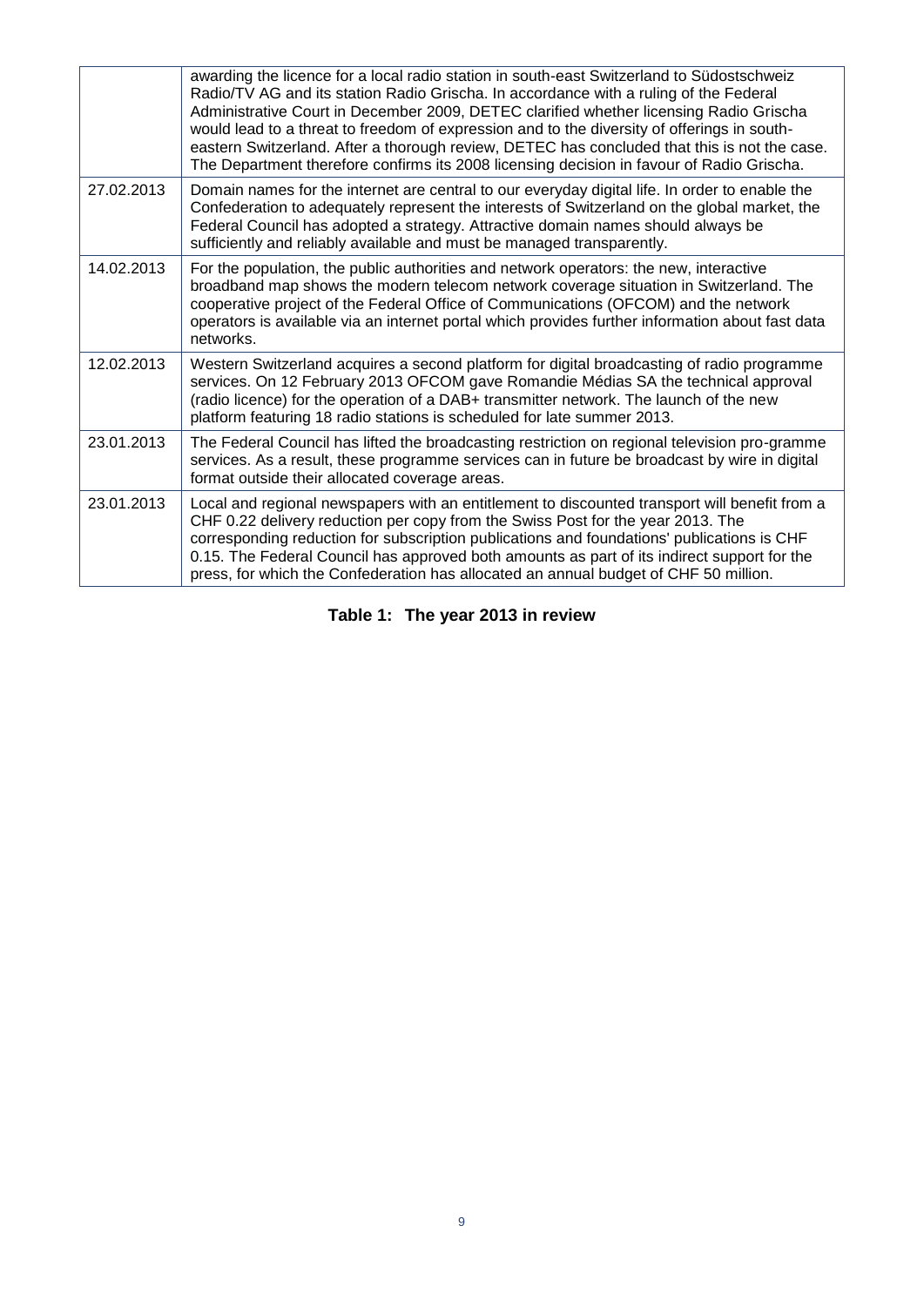|            | awarding the licence for a local radio station in south-east Switzerland to Südostschweiz<br>Radio/TV AG and its station Radio Grischa. In accordance with a ruling of the Federal<br>Administrative Court in December 2009, DETEC clarified whether licensing Radio Grischa<br>would lead to a threat to freedom of expression and to the diversity of offerings in south-<br>eastern Switzerland. After a thorough review, DETEC has concluded that this is not the case.<br>The Department therefore confirms its 2008 licensing decision in favour of Radio Grischa. |
|------------|--------------------------------------------------------------------------------------------------------------------------------------------------------------------------------------------------------------------------------------------------------------------------------------------------------------------------------------------------------------------------------------------------------------------------------------------------------------------------------------------------------------------------------------------------------------------------|
| 27.02.2013 | Domain names for the internet are central to our everyday digital life. In order to enable the<br>Confederation to adequately represent the interests of Switzerland on the global market, the<br>Federal Council has adopted a strategy. Attractive domain names should always be<br>sufficiently and reliably available and must be managed transparently.                                                                                                                                                                                                             |
| 14.02.2013 | For the population, the public authorities and network operators: the new, interactive<br>broadband map shows the modern telecom network coverage situation in Switzerland. The<br>cooperative project of the Federal Office of Communications (OFCOM) and the network<br>operators is available via an internet portal which provides further information about fast data<br>networks.                                                                                                                                                                                  |
| 12.02.2013 | Western Switzerland acquires a second platform for digital broadcasting of radio programme<br>services. On 12 February 2013 OFCOM gave Romandie Médias SA the technical approval<br>(radio licence) for the operation of a DAB+ transmitter network. The launch of the new<br>platform featuring 18 radio stations is scheduled for late summer 2013.                                                                                                                                                                                                                    |
| 23.01.2013 | The Federal Council has lifted the broadcasting restriction on regional television pro-gramme<br>services. As a result, these programme services can in future be broadcast by wire in digital<br>format outside their allocated coverage areas.                                                                                                                                                                                                                                                                                                                         |
| 23.01.2013 | Local and regional newspapers with an entitlement to discounted transport will benefit from a<br>CHF 0.22 delivery reduction per copy from the Swiss Post for the year 2013. The<br>corresponding reduction for subscription publications and foundations' publications is CHF<br>0.15. The Federal Council has approved both amounts as part of its indirect support for the<br>press, for which the Confederation has allocated an annual budget of CHF 50 million.                                                                                                    |

<span id="page-7-0"></span>**Table 1: The year 2013 in review**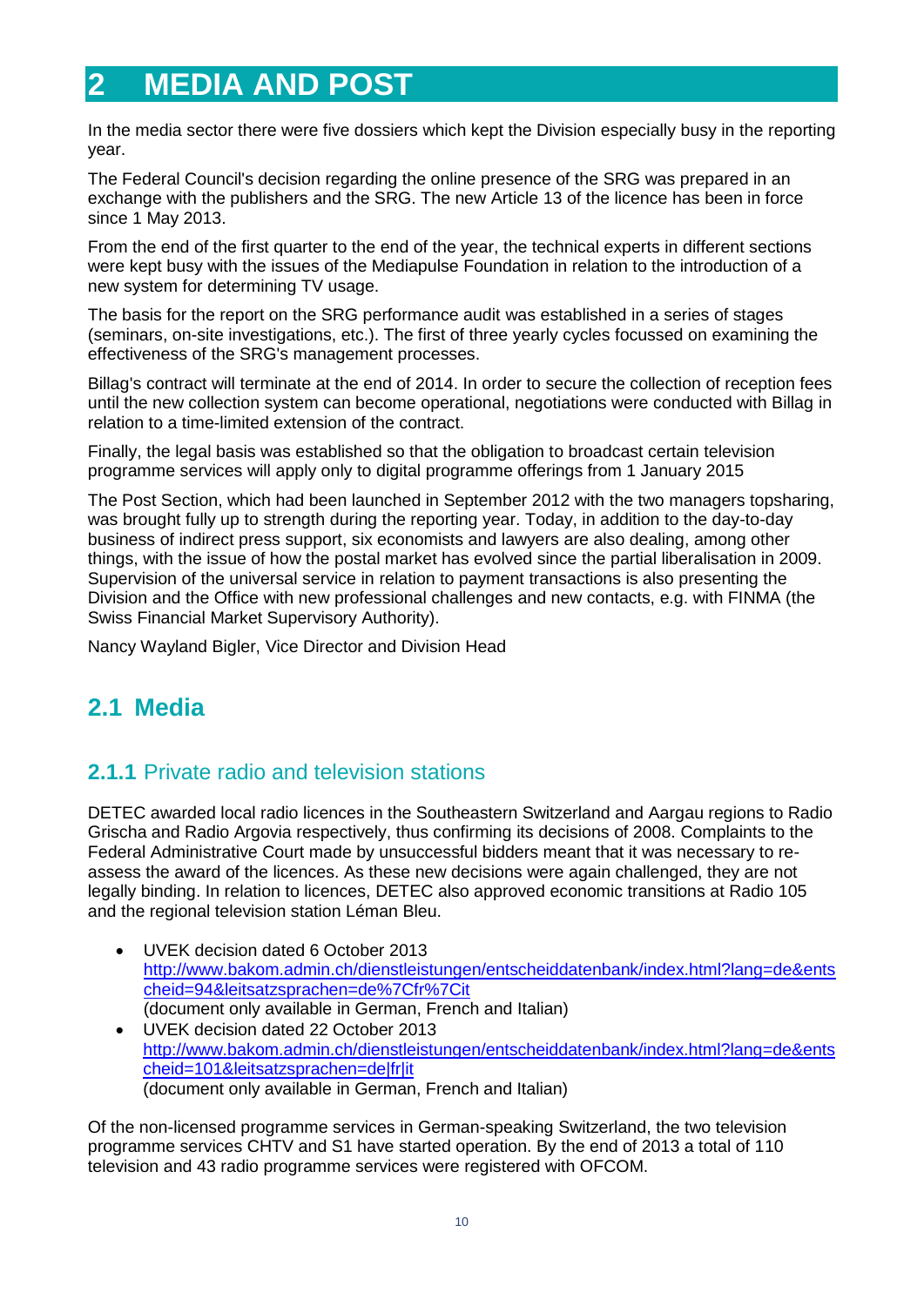# <span id="page-8-0"></span>**2 MEDIA AND POST**

In the media sector there were five dossiers which kept the Division especially busy in the reporting year.

The Federal Council's decision regarding the online presence of the SRG was prepared in an exchange with the publishers and the SRG. The new Article 13 of the licence has been in force since 1 May 2013.

From the end of the first quarter to the end of the year, the technical experts in different sections were kept busy with the issues of the Mediapulse Foundation in relation to the introduction of a new system for determining TV usage.

The basis for the report on the SRG performance audit was established in a series of stages (seminars, on-site investigations, etc.). The first of three yearly cycles focussed on examining the effectiveness of the SRG's management processes.

Billag's contract will terminate at the end of 2014. In order to secure the collection of reception fees until the new collection system can become operational, negotiations were conducted with Billag in relation to a time-limited extension of the contract.

Finally, the legal basis was established so that the obligation to broadcast certain television programme services will apply only to digital programme offerings from 1 January 2015

The Post Section, which had been launched in September 2012 with the two managers topsharing, was brought fully up to strength during the reporting year. Today, in addition to the day-to-day business of indirect press support, six economists and lawyers are also dealing, among other things, with the issue of how the postal market has evolved since the partial liberalisation in 2009. Supervision of the universal service in relation to payment transactions is also presenting the Division and the Office with new professional challenges and new contacts, e.g. with FINMA (the Swiss Financial Market Supervisory Authority).

Nancy Wayland Bigler, Vice Director and Division Head

# <span id="page-8-1"></span>**2.1 Media**

### <span id="page-8-2"></span>**2.1.1** Private radio and television stations

DETEC awarded local radio licences in the Southeastern Switzerland and Aargau regions to Radio Grischa and Radio Argovia respectively, thus confirming its decisions of 2008. Complaints to the Federal Administrative Court made by unsuccessful bidders meant that it was necessary to reassess the award of the licences. As these new decisions were again challenged, they are not legally binding. In relation to licences, DETEC also approved economic transitions at Radio 105 and the regional television station Léman Bleu.

- UVEK decision dated 6 October 2013 [http://www.bakom.admin.ch/dienstleistungen/entscheiddatenbank/index.html?lang=de&ents](http://www.bakom.admin.ch/dienstleistungen/entscheiddatenbank/index.html?lang=de&entscheid=94&leitsatzsprachen=de%7Cfr%7Cit) [cheid=94&leitsatzsprachen=de%7Cfr%7Cit](http://www.bakom.admin.ch/dienstleistungen/entscheiddatenbank/index.html?lang=de&entscheid=94&leitsatzsprachen=de%7Cfr%7Cit) (document only available in German, French and Italian)
- UVEK decision dated 22 October 2013 [http://www.bakom.admin.ch/dienstleistungen/entscheiddatenbank/index.html?lang=de&ents](http://www.bakom.admin.ch/dienstleistungen/entscheiddatenbank/index.html?lang=de&entscheid=101&leitsatzsprachen=de|fr|it) [cheid=101&leitsatzsprachen=de|fr|it](http://www.bakom.admin.ch/dienstleistungen/entscheiddatenbank/index.html?lang=de&entscheid=101&leitsatzsprachen=de|fr|it) (document only available in German, French and Italian)

Of the non-licensed programme services in German-speaking Switzerland, the two television programme services CHTV and S1 have started operation. By the end of 2013 a total of 110 television and 43 radio programme services were registered with OFCOM.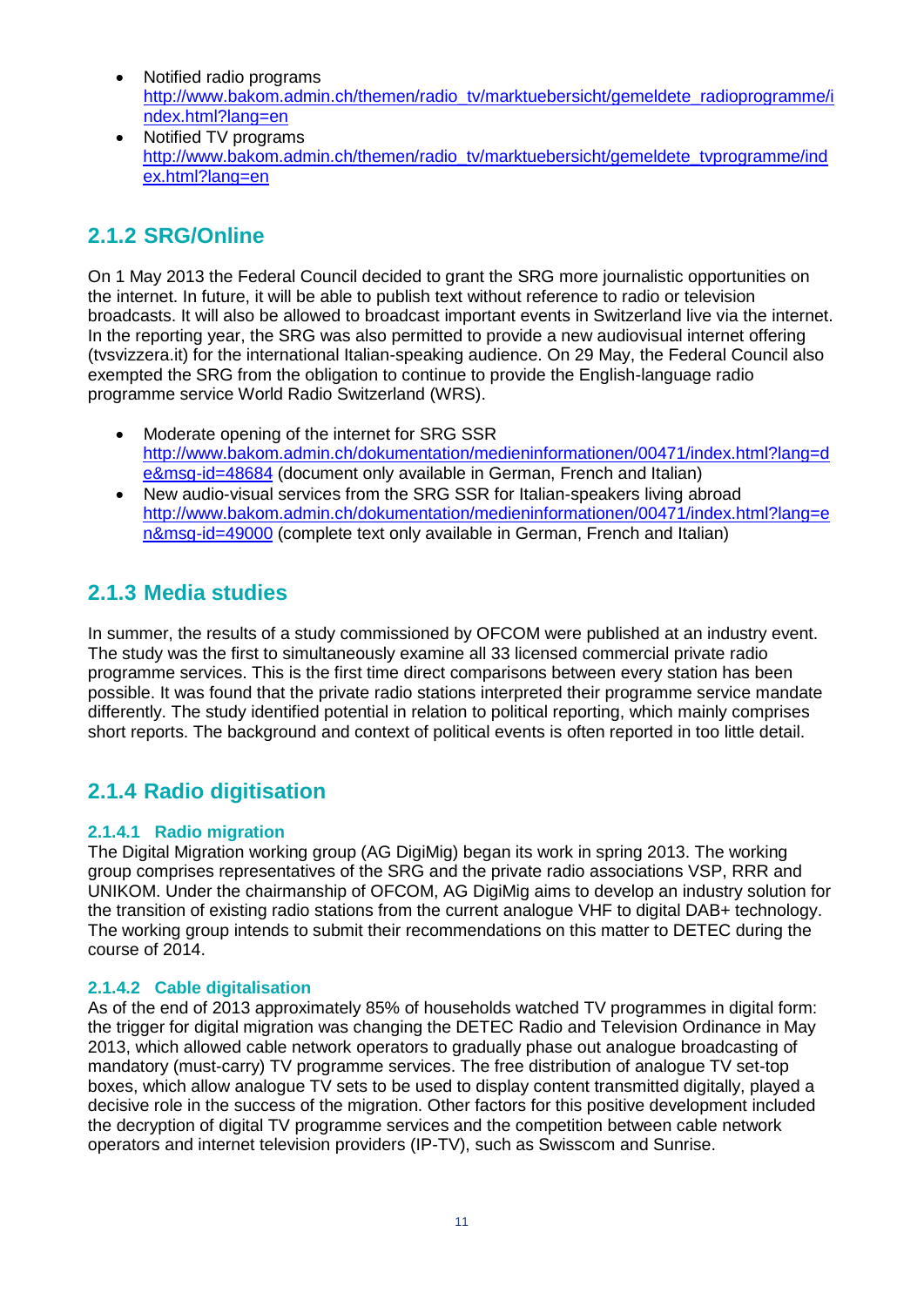- Notified radio programs [http://www.bakom.admin.ch/themen/radio\\_tv/marktuebersicht/gemeldete\\_radioprogramme/i](http://www.bakom.admin.ch/themen/radio_tv/marktuebersicht/gemeldete_radioprogramme/index.html?lang=en) [ndex.html?lang=en](http://www.bakom.admin.ch/themen/radio_tv/marktuebersicht/gemeldete_radioprogramme/index.html?lang=en)
- Notified TV programs [http://www.bakom.admin.ch/themen/radio\\_tv/marktuebersicht/gemeldete\\_tvprogramme/ind](http://www.bakom.admin.ch/themen/radio_tv/marktuebersicht/gemeldete_tvprogramme/index.html?lang=en) [ex.html?lang=en](http://www.bakom.admin.ch/themen/radio_tv/marktuebersicht/gemeldete_tvprogramme/index.html?lang=en)

### <span id="page-9-0"></span>**2.1.2 SRG/Online**

On 1 May 2013 the Federal Council decided to grant the SRG more journalistic opportunities on the internet. In future, it will be able to publish text without reference to radio or television broadcasts. It will also be allowed to broadcast important events in Switzerland live via the internet. In the reporting year, the SRG was also permitted to provide a new audiovisual internet offering (tvsvizzera.it) for the international Italian-speaking audience. On 29 May, the Federal Council also exempted the SRG from the obligation to continue to provide the English-language radio programme service World Radio Switzerland (WRS).

- Moderate opening of the internet for SRG SSR [http://www.bakom.admin.ch/dokumentation/medieninformationen/00471/index.html?lang=d](http://www.bakom.admin.ch/dokumentation/medieninformationen/00471/index.html?lang=de&msg-id=48684) [e&msg-id=48684](http://www.bakom.admin.ch/dokumentation/medieninformationen/00471/index.html?lang=de&msg-id=48684) (document only available in German, French and Italian)
- New audio-visual services from the SRG SSR for Italian-speakers living abroad [http://www.bakom.admin.ch/dokumentation/medieninformationen/00471/index.html?lang=e](http://www.bakom.admin.ch/dokumentation/medieninformationen/00471/index.html?lang=en&msg-id=49000) [n&msg-id=49000](http://www.bakom.admin.ch/dokumentation/medieninformationen/00471/index.html?lang=en&msg-id=49000) (complete text only available in German, French and Italian)

### <span id="page-9-1"></span>**2.1.3 Media studies**

In summer, the results of a study commissioned by OFCOM were published at an industry event. The study was the first to simultaneously examine all 33 licensed commercial private radio programme services. This is the first time direct comparisons between every station has been possible. It was found that the private radio stations interpreted their programme service mandate differently. The study identified potential in relation to political reporting, which mainly comprises short reports. The background and context of political events is often reported in too little detail.

### <span id="page-9-2"></span>**2.1.4 Radio digitisation**

#### **2.1.4.1 Radio migration**

The Digital Migration working group (AG DigiMig) began its work in spring 2013. The working group comprises representatives of the SRG and the private radio associations VSP, RRR and UNIKOM. Under the chairmanship of OFCOM, AG DigiMig aims to develop an industry solution for the transition of existing radio stations from the current analogue VHF to digital DAB+ technology. The working group intends to submit their recommendations on this matter to DETEC during the course of 2014.

#### **2.1.4.2 Cable digitalisation**

As of the end of 2013 approximately 85% of households watched TV programmes in digital form: the trigger for digital migration was changing the DETEC Radio and Television Ordinance in May 2013, which allowed cable network operators to gradually phase out analogue broadcasting of mandatory (must-carry) TV programme services. The free distribution of analogue TV set-top boxes, which allow analogue TV sets to be used to display content transmitted digitally, played a decisive role in the success of the migration. Other factors for this positive development included the decryption of digital TV programme services and the competition between cable network operators and internet television providers (IP-TV), such as Swisscom and Sunrise.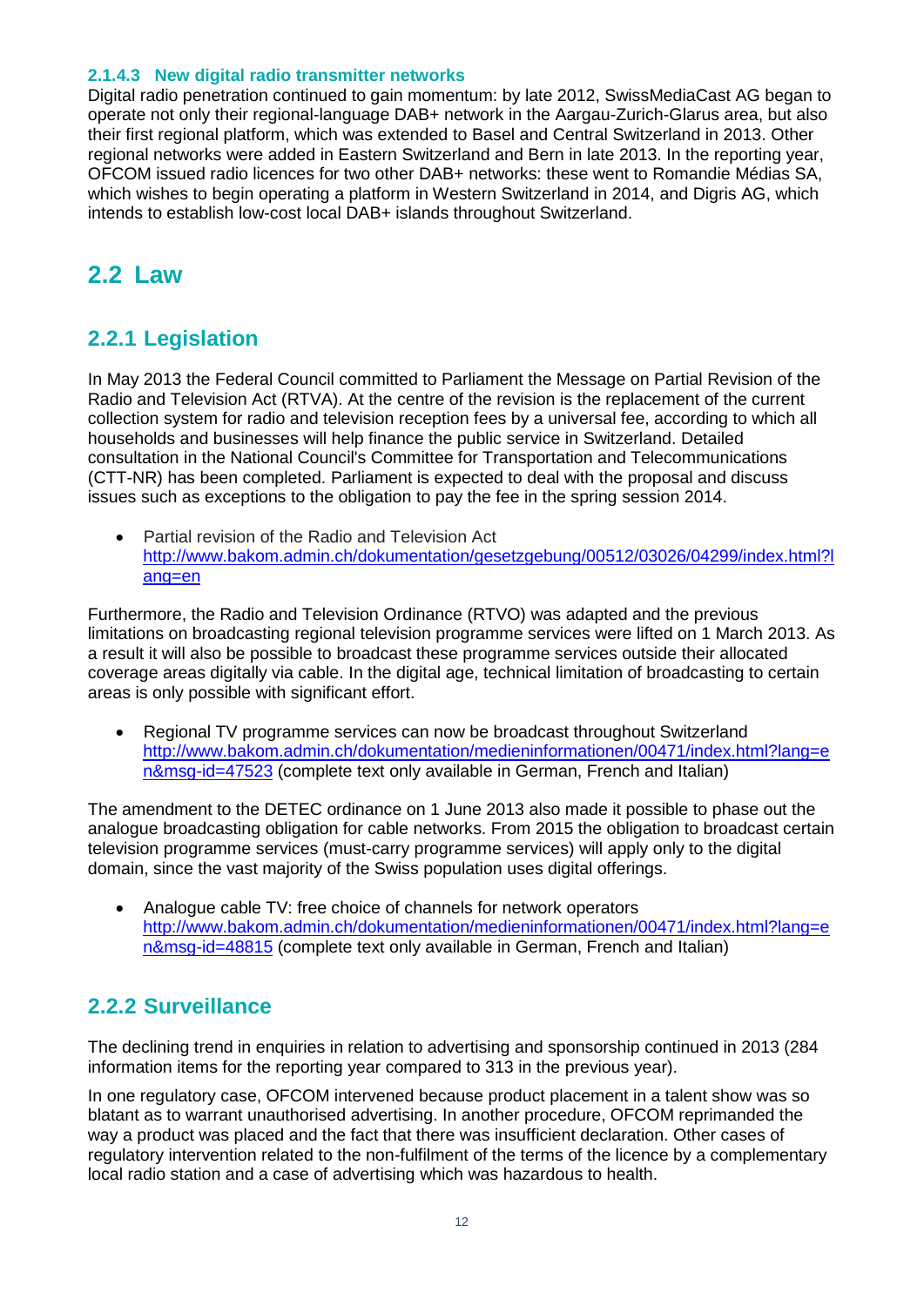#### **2.1.4.3 New digital radio transmitter networks**

Digital radio penetration continued to gain momentum: by late 2012, SwissMediaCast AG began to operate not only their regional-language DAB+ network in the Aargau-Zurich-Glarus area, but also their first regional platform, which was extended to Basel and Central Switzerland in 2013. Other regional networks were added in Eastern Switzerland and Bern in late 2013. In the reporting year, OFCOM issued radio licences for two other DAB+ networks: these went to Romandie Médias SA, which wishes to begin operating a platform in Western Switzerland in 2014, and Digris AG, which intends to establish low-cost local DAB+ islands throughout Switzerland.

# <span id="page-10-0"></span>**2.2 Law**

### <span id="page-10-1"></span>**2.2.1 Legislation**

In May 2013 the Federal Council committed to Parliament the Message on Partial Revision of the Radio and Television Act (RTVA). At the centre of the revision is the replacement of the current collection system for radio and television reception fees by a universal fee, according to which all households and businesses will help finance the public service in Switzerland. Detailed consultation in the National Council's Committee for Transportation and Telecommunications (CTT-NR) has been completed. Parliament is expected to deal with the proposal and discuss issues such as exceptions to the obligation to pay the fee in the spring session 2014.

• Partial revision of the Radio and Television Act [http://www.bakom.admin.ch/dokumentation/gesetzgebung/00512/03026/04299/index.html?l](http://www.bakom.admin.ch/dokumentation/gesetzgebung/00512/03026/04299/index.html?lang=en) [ang=en](http://www.bakom.admin.ch/dokumentation/gesetzgebung/00512/03026/04299/index.html?lang=en)

Furthermore, the Radio and Television Ordinance (RTVO) was adapted and the previous limitations on broadcasting regional television programme services were lifted on 1 March 2013. As a result it will also be possible to broadcast these programme services outside their allocated coverage areas digitally via cable. In the digital age, technical limitation of broadcasting to certain areas is only possible with significant effort.

 Regional TV programme services can now be broadcast throughout Switzerland [http://www.bakom.admin.ch/dokumentation/medieninformationen/00471/index.html?lang=e](http://www.bakom.admin.ch/dokumentation/medieninformationen/00471/index.html?lang=en&msg-id=47523) [n&msg-id=47523](http://www.bakom.admin.ch/dokumentation/medieninformationen/00471/index.html?lang=en&msg-id=47523) (complete text only available in German, French and Italian)

The amendment to the DETEC ordinance on 1 June 2013 also made it possible to phase out the analogue broadcasting obligation for cable networks. From 2015 the obligation to broadcast certain television programme services (must-carry programme services) will apply only to the digital domain, since the vast majority of the Swiss population uses digital offerings.

 Analogue cable TV: free choice of channels for network operators [http://www.bakom.admin.ch/dokumentation/medieninformationen/00471/index.html?lang=e](http://www.bakom.admin.ch/dokumentation/medieninformationen/00471/index.html?lang=en&msg-id=48815) [n&msg-id=48815](http://www.bakom.admin.ch/dokumentation/medieninformationen/00471/index.html?lang=en&msg-id=48815) (complete text only available in German, French and Italian)

### <span id="page-10-2"></span>**2.2.2 Surveillance**

The declining trend in enquiries in relation to advertising and sponsorship continued in 2013 (284 information items for the reporting year compared to 313 in the previous year).

In one regulatory case, OFCOM intervened because product placement in a talent show was so blatant as to warrant unauthorised advertising. In another procedure, OFCOM reprimanded the way a product was placed and the fact that there was insufficient declaration. Other cases of regulatory intervention related to the non-fulfilment of the terms of the licence by a complementary local radio station and a case of advertising which was hazardous to health.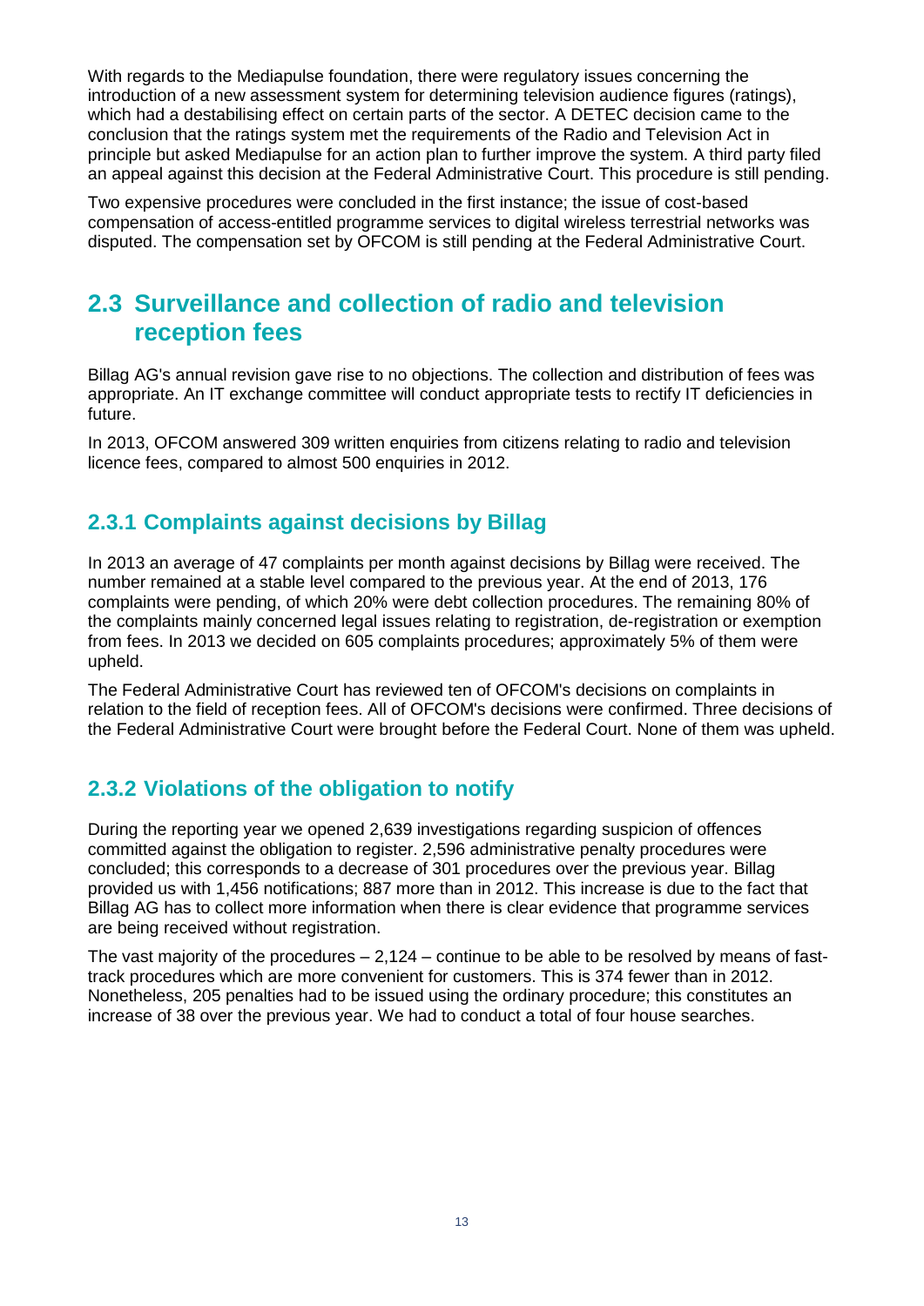With regards to the Mediapulse foundation, there were regulatory issues concerning the introduction of a new assessment system for determining television audience figures (ratings), which had a destabilising effect on certain parts of the sector. A DETEC decision came to the conclusion that the ratings system met the requirements of the Radio and Television Act in principle but asked Mediapulse for an action plan to further improve the system. A third party filed an appeal against this decision at the Federal Administrative Court. This procedure is still pending.

Two expensive procedures were concluded in the first instance; the issue of cost-based compensation of access-entitled programme services to digital wireless terrestrial networks was disputed. The compensation set by OFCOM is still pending at the Federal Administrative Court.

# <span id="page-11-0"></span>**2.3 Surveillance and collection of radio and television reception fees**

Billag AG's annual revision gave rise to no objections. The collection and distribution of fees was appropriate. An IT exchange committee will conduct appropriate tests to rectify IT deficiencies in future.

In 2013, OFCOM answered 309 written enquiries from citizens relating to radio and television licence fees, compared to almost 500 enquiries in 2012.

### <span id="page-11-1"></span>**2.3.1 Complaints against decisions by Billag**

In 2013 an average of 47 complaints per month against decisions by Billag were received. The number remained at a stable level compared to the previous year. At the end of 2013, 176 complaints were pending, of which 20% were debt collection procedures. The remaining 80% of the complaints mainly concerned legal issues relating to registration, de-registration or exemption from fees. In 2013 we decided on 605 complaints procedures; approximately 5% of them were upheld.

The Federal Administrative Court has reviewed ten of OFCOM's decisions on complaints in relation to the field of reception fees. All of OFCOM's decisions were confirmed. Three decisions of the Federal Administrative Court were brought before the Federal Court. None of them was upheld.

### <span id="page-11-2"></span>**2.3.2 Violations of the obligation to notify**

During the reporting year we opened 2,639 investigations regarding suspicion of offences committed against the obligation to register. 2,596 administrative penalty procedures were concluded; this corresponds to a decrease of 301 procedures over the previous year. Billag provided us with 1,456 notifications; 887 more than in 2012. This increase is due to the fact that Billag AG has to collect more information when there is clear evidence that programme services are being received without registration.

The vast majority of the procedures  $-2,124$  – continue to be able to be resolved by means of fasttrack procedures which are more convenient for customers. This is 374 fewer than in 2012. Nonetheless, 205 penalties had to be issued using the ordinary procedure; this constitutes an increase of 38 over the previous year. We had to conduct a total of four house searches.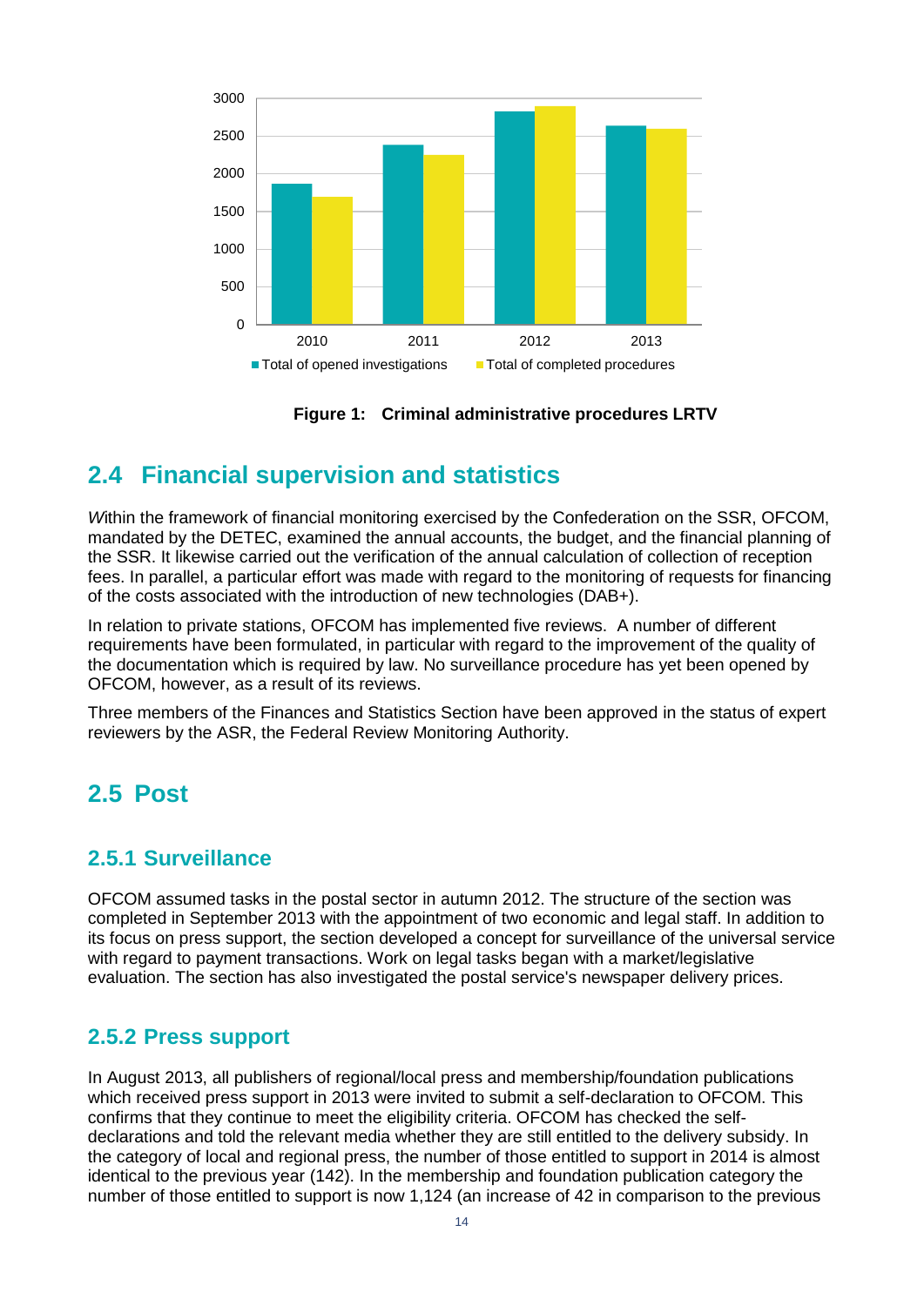

**Figure 1: Criminal administrative procedures LRTV**

# <span id="page-12-4"></span><span id="page-12-0"></span>**2.4 Financial supervision and statistics**

*W*ithin the framework of financial monitoring exercised by the Confederation on the SSR, OFCOM, mandated by the DETEC, examined the annual accounts, the budget, and the financial planning of the SSR. It likewise carried out the verification of the annual calculation of collection of reception fees. In parallel, a particular effort was made with regard to the monitoring of requests for financing of the costs associated with the introduction of new technologies (DAB+).

In relation to private stations, OFCOM has implemented five reviews. A number of different requirements have been formulated, in particular with regard to the improvement of the quality of the documentation which is required by law. No surveillance procedure has yet been opened by OFCOM, however, as a result of its reviews.

Three members of the Finances and Statistics Section have been approved in the status of expert reviewers by the ASR, the Federal Review Monitoring Authority.

# <span id="page-12-1"></span>**2.5 Post**

### <span id="page-12-2"></span>**2.5.1 Surveillance**

OFCOM assumed tasks in the postal sector in autumn 2012. The structure of the section was completed in September 2013 with the appointment of two economic and legal staff. In addition to its focus on press support, the section developed a concept for surveillance of the universal service with regard to payment transactions. Work on legal tasks began with a market/legislative evaluation. The section has also investigated the postal service's newspaper delivery prices.

### <span id="page-12-3"></span>**2.5.2 Press support**

In August 2013, all publishers of regional/local press and membership/foundation publications which received press support in 2013 were invited to submit a self-declaration to OFCOM. This confirms that they continue to meet the eligibility criteria. OFCOM has checked the selfdeclarations and told the relevant media whether they are still entitled to the delivery subsidy. In the category of local and regional press, the number of those entitled to support in 2014 is almost identical to the previous year (142). In the membership and foundation publication category the number of those entitled to support is now 1,124 (an increase of 42 in comparison to the previous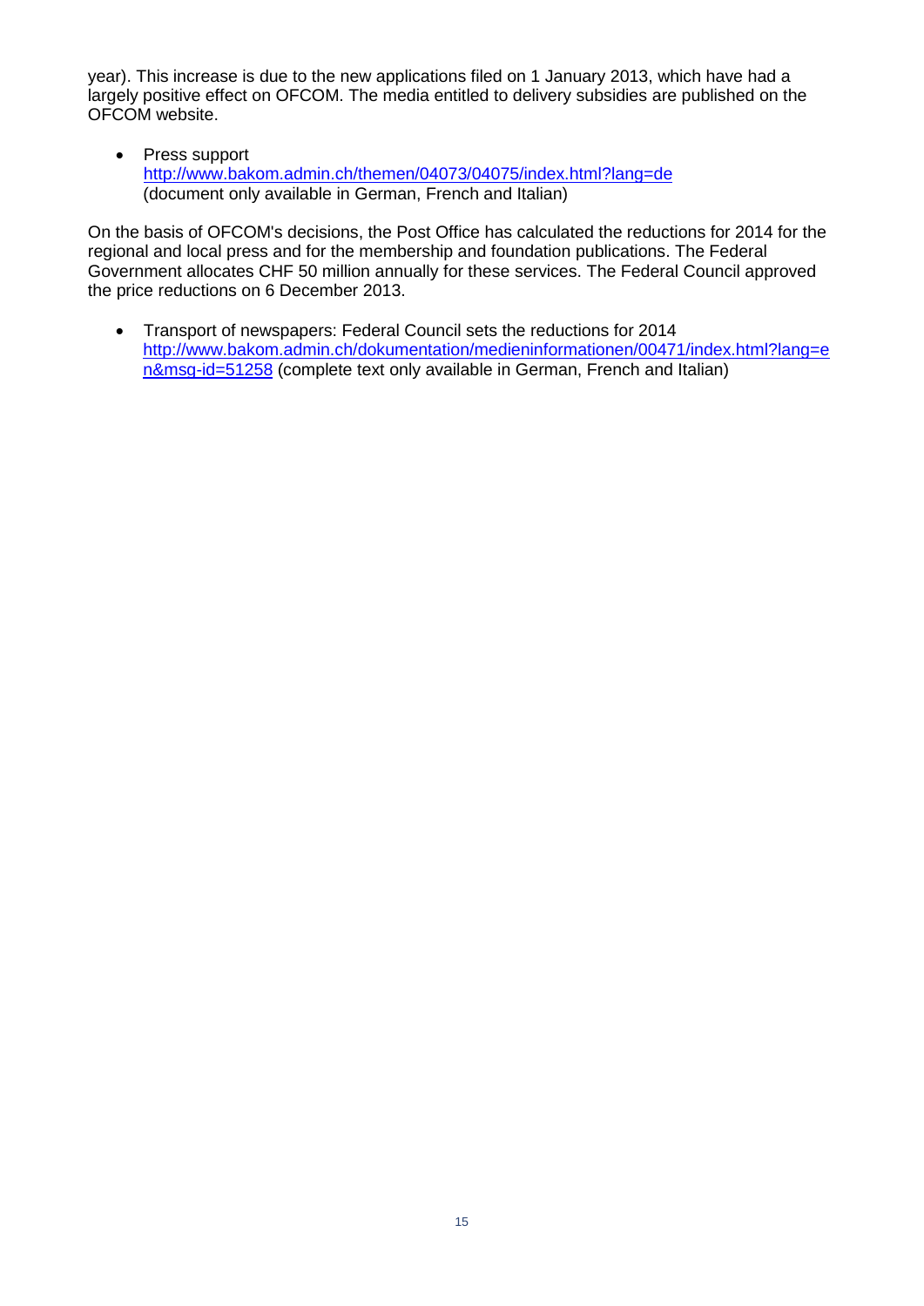year). This increase is due to the new applications filed on 1 January 2013, which have had a largely positive effect on OFCOM. The media entitled to delivery subsidies are published on the OFCOM website.

• Press support <http://www.bakom.admin.ch/themen/04073/04075/index.html?lang=de> (document only available in German, French and Italian)

On the basis of OFCOM's decisions, the Post Office has calculated the reductions for 2014 for the regional and local press and for the membership and foundation publications. The Federal Government allocates CHF 50 million annually for these services. The Federal Council approved the price reductions on 6 December 2013.

• Transport of newspapers: Federal Council sets the reductions for 2014 [http://www.bakom.admin.ch/dokumentation/medieninformationen/00471/index.html?lang=e](http://www.bakom.admin.ch/dokumentation/medieninformationen/00471/index.html?lang=en&msg-id=51258) [n&msg-id=51258](http://www.bakom.admin.ch/dokumentation/medieninformationen/00471/index.html?lang=en&msg-id=51258) (complete text only available in German, French and Italian)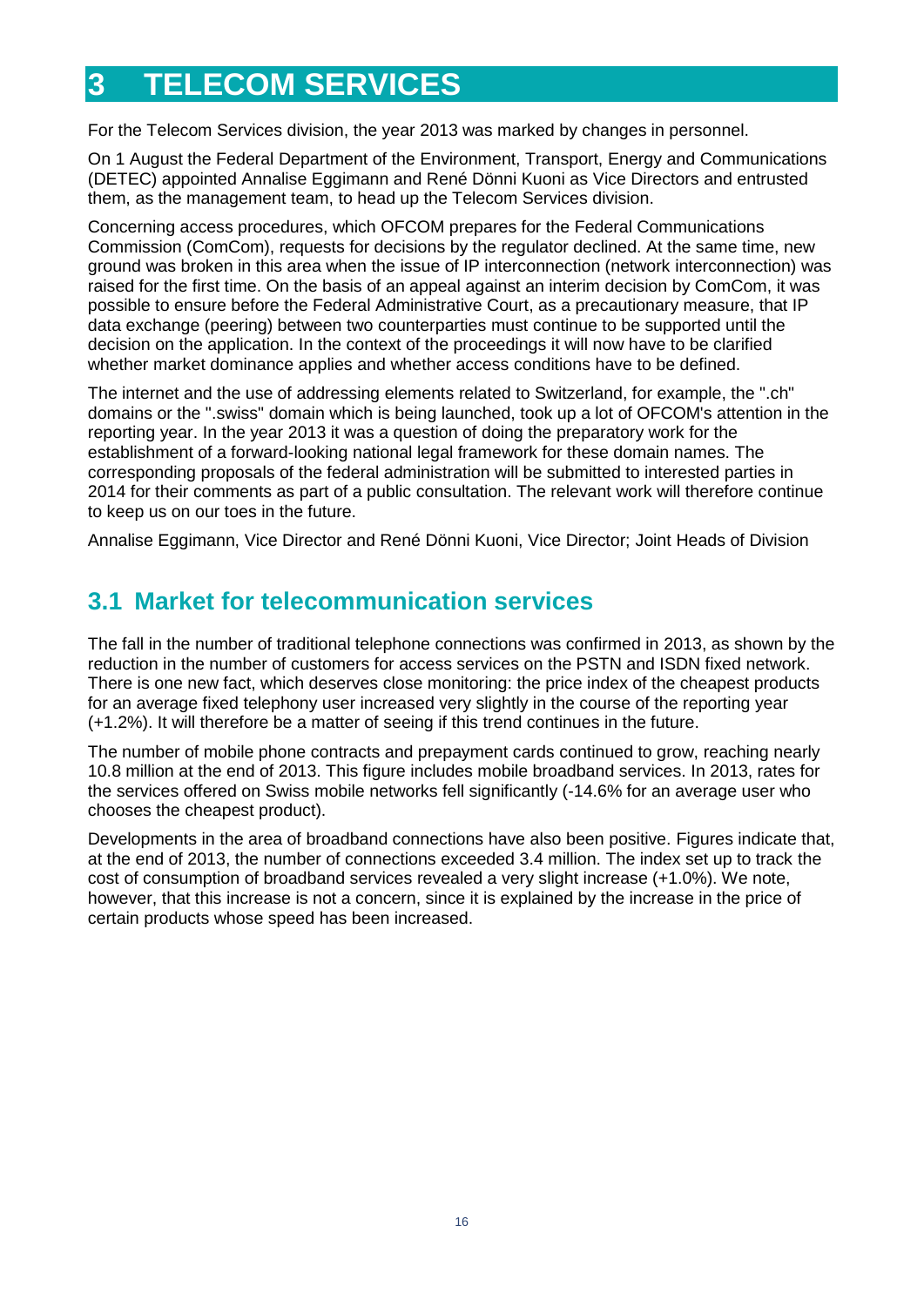# <span id="page-14-0"></span>**3 TELECOM SERVICES**

For the Telecom Services division, the year 2013 was marked by changes in personnel.

On 1 August the Federal Department of the Environment, Transport, Energy and Communications (DETEC) appointed Annalise Eggimann and René Dönni Kuoni as Vice Directors and entrusted them, as the management team, to head up the Telecom Services division.

Concerning access procedures, which OFCOM prepares for the Federal Communications Commission (ComCom), requests for decisions by the regulator declined. At the same time, new ground was broken in this area when the issue of IP interconnection (network interconnection) was raised for the first time. On the basis of an appeal against an interim decision by ComCom, it was possible to ensure before the Federal Administrative Court, as a precautionary measure, that IP data exchange (peering) between two counterparties must continue to be supported until the decision on the application. In the context of the proceedings it will now have to be clarified whether market dominance applies and whether access conditions have to be defined.

The internet and the use of addressing elements related to Switzerland, for example, the ".ch" domains or the ".swiss" domain which is being launched, took up a lot of OFCOM's attention in the reporting year. In the year 2013 it was a question of doing the preparatory work for the establishment of a forward-looking national legal framework for these domain names. The corresponding proposals of the federal administration will be submitted to interested parties in 2014 for their comments as part of a public consultation. The relevant work will therefore continue to keep us on our toes in the future.

<span id="page-14-1"></span>Annalise Eggimann, Vice Director and René Dönni Kuoni, Vice Director; Joint Heads of Division

# **3.1 Market for telecommunication services**

The fall in the number of traditional telephone connections was confirmed in 2013, as shown by the reduction in the number of customers for access services on the PSTN and ISDN fixed network. There is one new fact, which deserves close monitoring: the price index of the cheapest products for an average fixed telephony user increased very slightly in the course of the reporting year (+1.2%). It will therefore be a matter of seeing if this trend continues in the future.

The number of mobile phone contracts and prepayment cards continued to grow, reaching nearly 10.8 million at the end of 2013. This figure includes mobile broadband services. In 2013, rates for the services offered on Swiss mobile networks fell significantly (-14.6% for an average user who chooses the cheapest product).

Developments in the area of broadband connections have also been positive. Figures indicate that, at the end of 2013, the number of connections exceeded 3.4 million. The index set up to track the cost of consumption of broadband services revealed a very slight increase (+1.0%). We note, however, that this increase is not a concern, since it is explained by the increase in the price of certain products whose speed has been increased.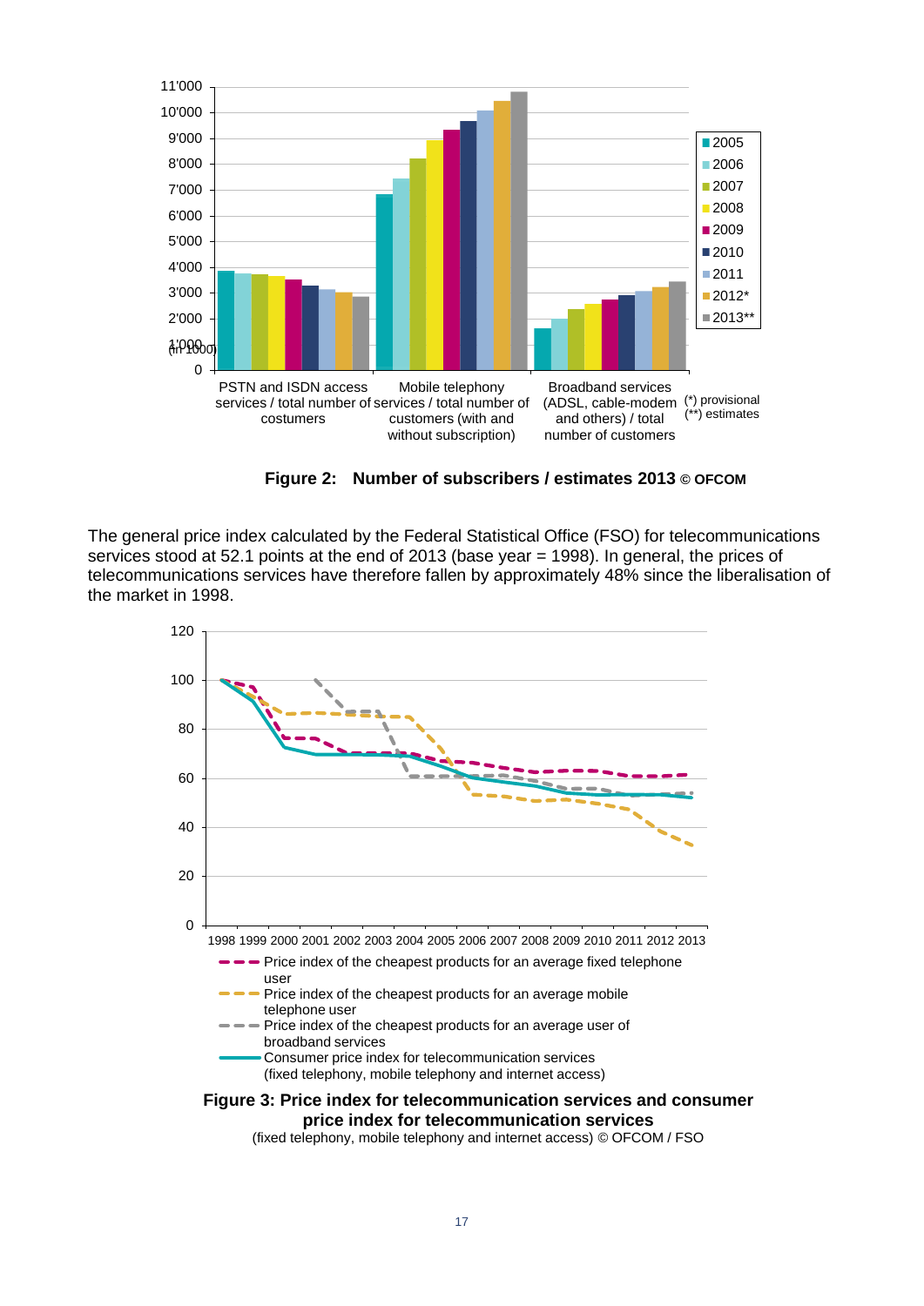

**Figure 2: Number of subscribers / estimates 2013 © OFCOM**

<span id="page-15-0"></span>The general price index calculated by the Federal Statistical Office (FSO) for telecommunications services stood at 52.1 points at the end of 2013 (base year = 1998). In general, the prices of telecommunications services have therefore fallen by approximately 48% since the liberalisation of the market in 1998.



<span id="page-15-1"></span>(fixed telephony, mobile telephony and internet access) © OFCOM / FSO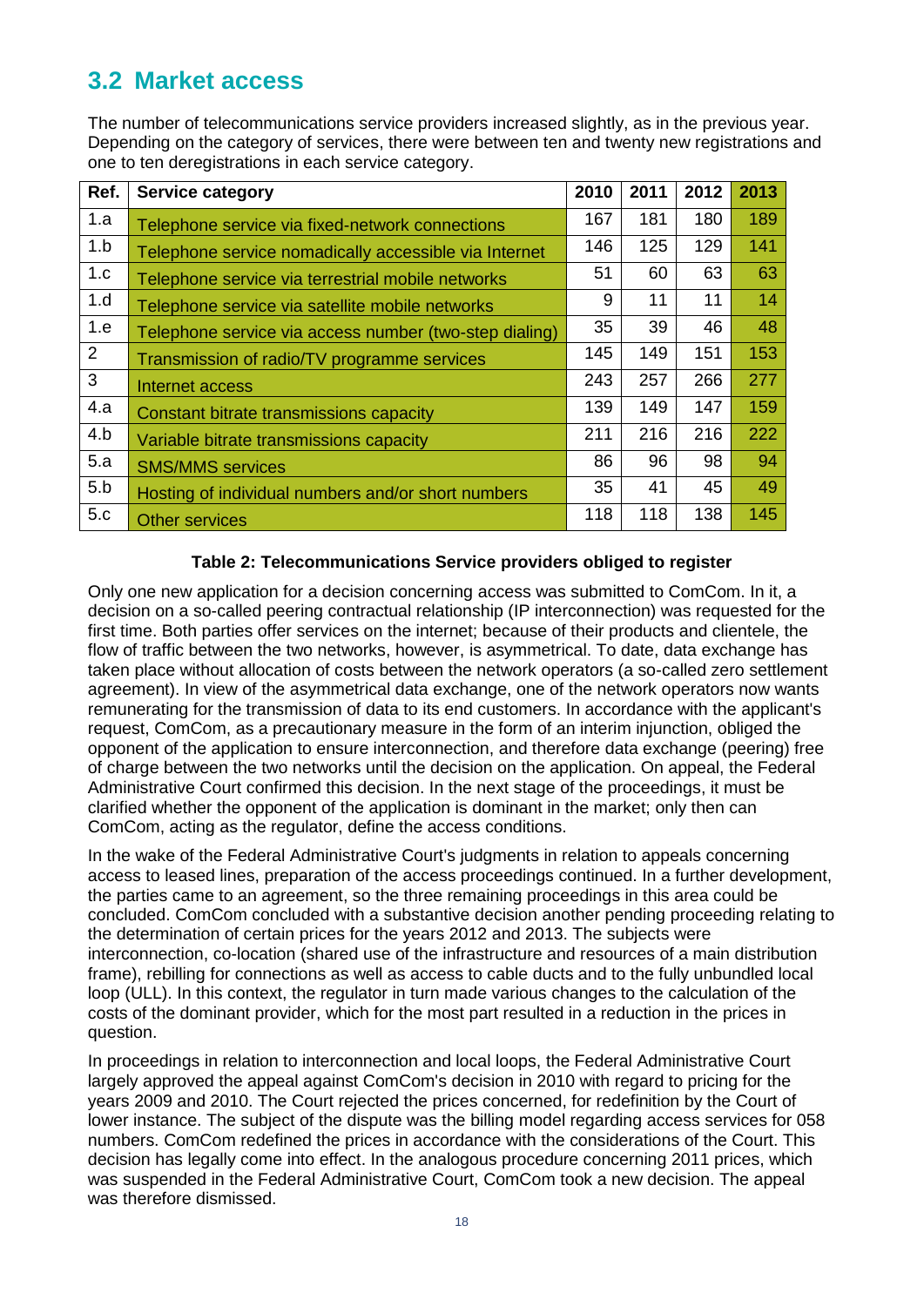# <span id="page-16-0"></span>**3.2 Market access**

The number of telecommunications service providers increased slightly, as in the previous year. Depending on the category of services, there were between ten and twenty new registrations and one to ten deregistrations in each service category.

| Ref. | <b>Service category</b>                                | 2010 | 2011 | 2012 | 2013 |
|------|--------------------------------------------------------|------|------|------|------|
| 1.a  | Telephone service via fixed-network connections        | 167  | 181  | 180  | 189  |
| 1.b  | Telephone service nomadically accessible via Internet  | 146  | 125  | 129  | 141  |
| 1.c  | Telephone service via terrestrial mobile networks      | 51   | 60   | 63   | 63   |
| 1.d  | Telephone service via satellite mobile networks        | 9    | 11   | 11   | 14   |
| 1.e  | Telephone service via access number (two-step dialing) | 35   | 39   | 46   | 48   |
| 2    | Transmission of radio/TV programme services            | 145  | 149  | 151  | 153  |
| 3    | Internet access                                        | 243  | 257  | 266  | 277  |
| 4.a  | Constant bitrate transmissions capacity                | 139  | 149  | 147  | 159  |
| 4.b  | Variable bitrate transmissions capacity                | 211  | 216  | 216  | 222  |
| 5.a  | <b>SMS/MMS</b> services                                | 86   | 96   | 98   | 94   |
| 5.b  | Hosting of individual numbers and/or short numbers     | 35   | 41   | 45   | 49   |
| 5.c  | Other services                                         | 118  | 118  | 138  | 145  |

#### **Table 2: Telecommunications Service providers obliged to register**

<span id="page-16-1"></span>Only one new application for a decision concerning access was submitted to ComCom. In it, a decision on a so-called peering contractual relationship (IP interconnection) was requested for the first time. Both parties offer services on the internet; because of their products and clientele, the flow of traffic between the two networks, however, is asymmetrical. To date, data exchange has taken place without allocation of costs between the network operators (a so-called zero settlement agreement). In view of the asymmetrical data exchange, one of the network operators now wants remunerating for the transmission of data to its end customers. In accordance with the applicant's request, ComCom, as a precautionary measure in the form of an interim injunction, obliged the opponent of the application to ensure interconnection, and therefore data exchange (peering) free of charge between the two networks until the decision on the application. On appeal, the Federal Administrative Court confirmed this decision. In the next stage of the proceedings, it must be clarified whether the opponent of the application is dominant in the market; only then can ComCom, acting as the regulator, define the access conditions.

In the wake of the Federal Administrative Court's judgments in relation to appeals concerning access to leased lines, preparation of the access proceedings continued. In a further development, the parties came to an agreement, so the three remaining proceedings in this area could be concluded. ComCom concluded with a substantive decision another pending proceeding relating to the determination of certain prices for the years 2012 and 2013. The subjects were interconnection, co-location (shared use of the infrastructure and resources of a main distribution frame), rebilling for connections as well as access to cable ducts and to the fully unbundled local loop (ULL). In this context, the regulator in turn made various changes to the calculation of the costs of the dominant provider, which for the most part resulted in a reduction in the prices in question.

In proceedings in relation to interconnection and local loops, the Federal Administrative Court largely approved the appeal against ComCom's decision in 2010 with regard to pricing for the years 2009 and 2010. The Court rejected the prices concerned, for redefinition by the Court of lower instance. The subject of the dispute was the billing model regarding access services for 058 numbers. ComCom redefined the prices in accordance with the considerations of the Court. This decision has legally come into effect. In the analogous procedure concerning 2011 prices, which was suspended in the Federal Administrative Court, ComCom took a new decision. The appeal was therefore dismissed.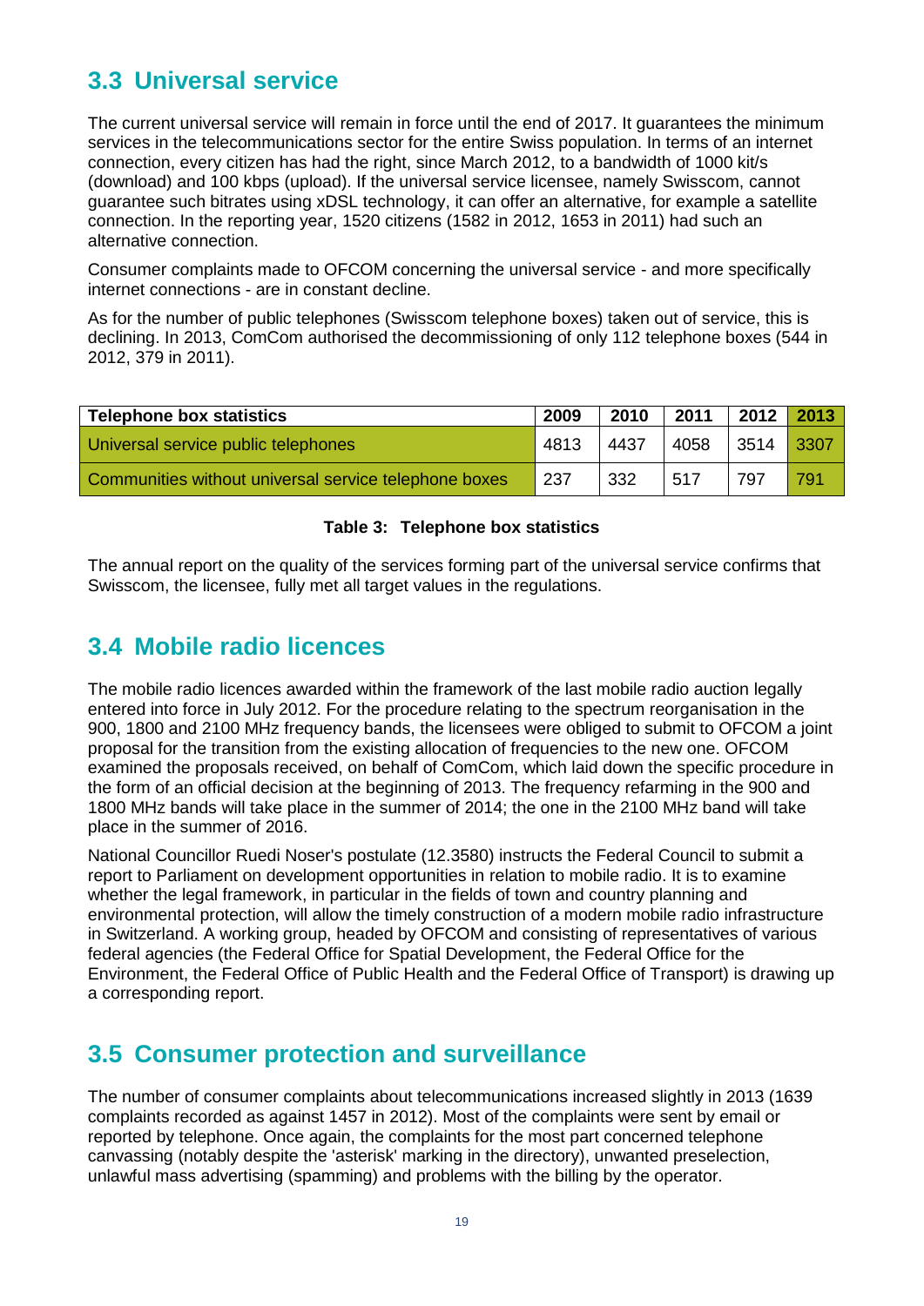# <span id="page-17-0"></span>**3.3 Universal service**

The current universal service will remain in force until the end of 2017. It guarantees the minimum services in the telecommunications sector for the entire Swiss population. In terms of an internet connection, every citizen has had the right, since March 2012, to a bandwidth of 1000 kit/s (download) and 100 kbps (upload). If the universal service licensee, namely Swisscom, cannot guarantee such bitrates using xDSL technology, it can offer an alternative, for example a satellite connection. In the reporting year, 1520 citizens (1582 in 2012, 1653 in 2011) had such an alternative connection.

Consumer complaints made to OFCOM concerning the universal service - and more specifically internet connections - are in constant decline.

As for the number of public telephones (Swisscom telephone boxes) taken out of service, this is declining. In 2013, ComCom authorised the decommissioning of only 112 telephone boxes (544 in 2012, 379 in 2011).

| <b>Telephone box statistics</b>                       | 2009 | 2010 | 2011      | 2012 | 2013 |
|-------------------------------------------------------|------|------|-----------|------|------|
| Universal service public telephones                   | 4813 | 4437 | 4058 3514 |      | 3307 |
| Communities without universal service telephone boxes | 237  | 332  | 517       | 797  | 791  |

#### **Table 3: Telephone box statistics**

<span id="page-17-3"></span>The annual report on the quality of the services forming part of the universal service confirms that Swisscom, the licensee, fully met all target values in the regulations.

## <span id="page-17-1"></span>**3.4 Mobile radio licences**

The mobile radio licences awarded within the framework of the last mobile radio auction legally entered into force in July 2012. For the procedure relating to the spectrum reorganisation in the 900, 1800 and 2100 MHz frequency bands, the licensees were obliged to submit to OFCOM a joint proposal for the transition from the existing allocation of frequencies to the new one. OFCOM examined the proposals received, on behalf of ComCom, which laid down the specific procedure in the form of an official decision at the beginning of 2013. The frequency refarming in the 900 and 1800 MHz bands will take place in the summer of 2014; the one in the 2100 MHz band will take place in the summer of 2016.

National Councillor Ruedi Noser's postulate (12.3580) instructs the Federal Council to submit a report to Parliament on development opportunities in relation to mobile radio. It is to examine whether the legal framework, in particular in the fields of town and country planning and environmental protection, will allow the timely construction of a modern mobile radio infrastructure in Switzerland. A working group, headed by OFCOM and consisting of representatives of various federal agencies (the Federal Office for Spatial Development, the Federal Office for the Environment, the Federal Office of Public Health and the Federal Office of Transport) is drawing up a corresponding report.

## <span id="page-17-2"></span>**3.5 Consumer protection and surveillance**

The number of consumer complaints about telecommunications increased slightly in 2013 (1639 complaints recorded as against 1457 in 2012). Most of the complaints were sent by email or reported by telephone. Once again, the complaints for the most part concerned telephone canvassing (notably despite the 'asterisk' marking in the directory), unwanted preselection, unlawful mass advertising (spamming) and problems with the billing by the operator.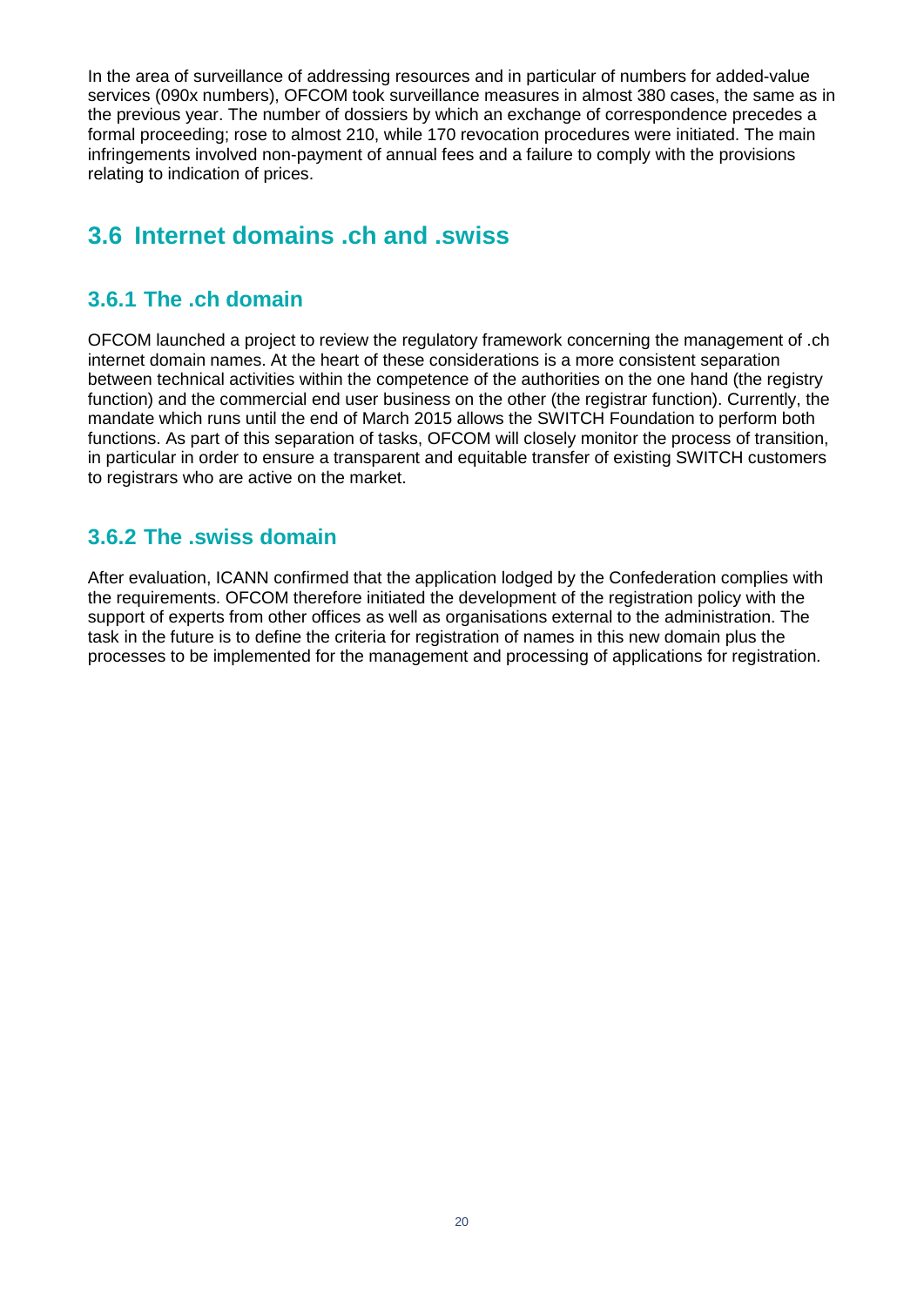In the area of surveillance of addressing resources and in particular of numbers for added-value services (090x numbers), OFCOM took surveillance measures in almost 380 cases, the same as in the previous year. The number of dossiers by which an exchange of correspondence precedes a formal proceeding; rose to almost 210, while 170 revocation procedures were initiated. The main infringements involved non-payment of annual fees and a failure to comply with the provisions relating to indication of prices.

# <span id="page-18-0"></span>**3.6 Internet domains .ch and .swiss**

### <span id="page-18-1"></span>**3.6.1 The .ch domain**

OFCOM launched a project to review the regulatory framework concerning the management of .ch internet domain names. At the heart of these considerations is a more consistent separation between technical activities within the competence of the authorities on the one hand (the registry function) and the commercial end user business on the other (the registrar function). Currently, the mandate which runs until the end of March 2015 allows the SWITCH Foundation to perform both functions. As part of this separation of tasks, OFCOM will closely monitor the process of transition, in particular in order to ensure a transparent and equitable transfer of existing SWITCH customers to registrars who are active on the market.

### <span id="page-18-2"></span>**3.6.2 The .swiss domain**

After evaluation, ICANN confirmed that the application lodged by the Confederation complies with the requirements. OFCOM therefore initiated the development of the registration policy with the support of experts from other offices as well as organisations external to the administration. The task in the future is to define the criteria for registration of names in this new domain plus the processes to be implemented for the management and processing of applications for registration.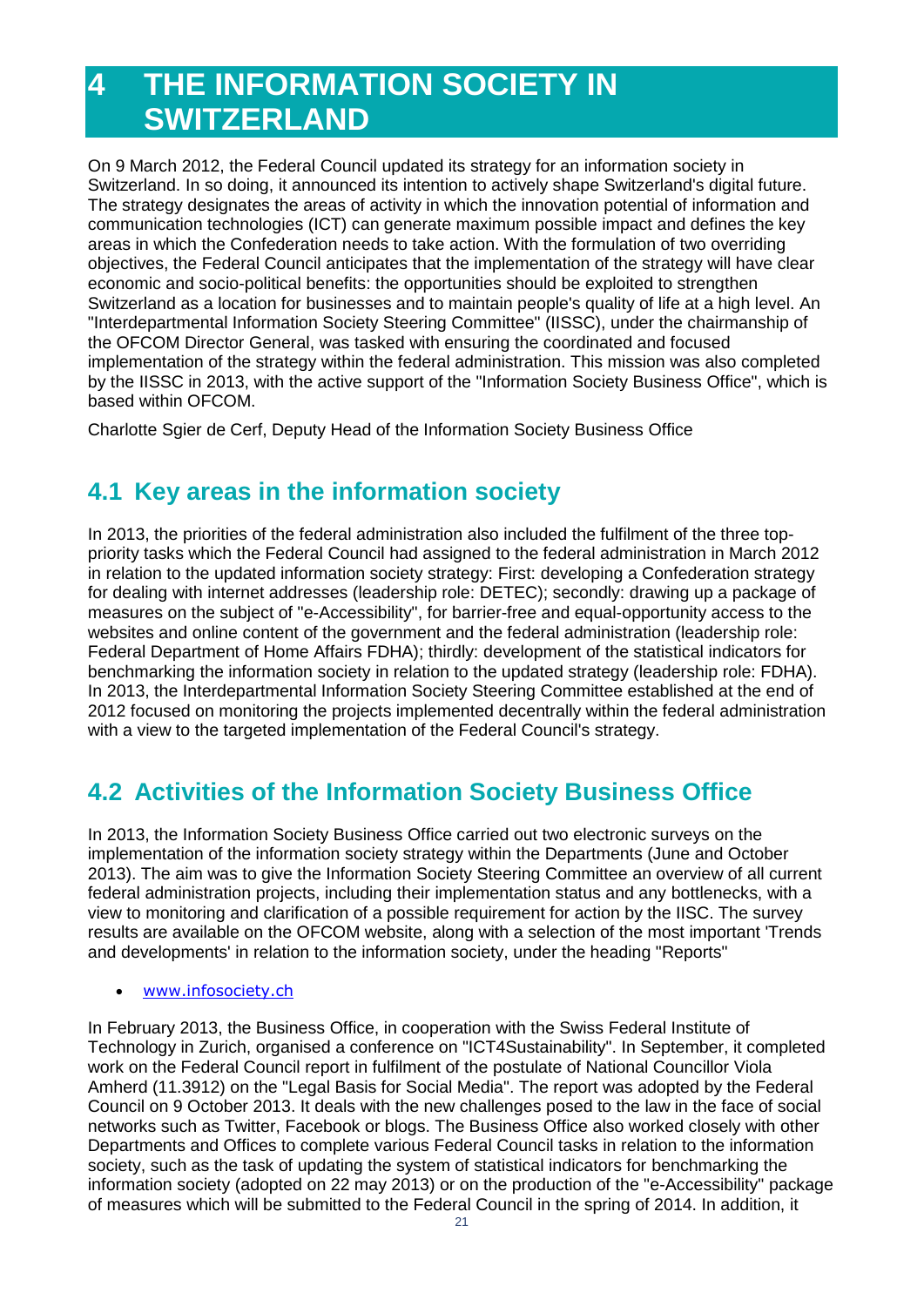# <span id="page-19-0"></span>**4 THE INFORMATION SOCIETY IN SWITZERLAND**

On 9 March 2012, the Federal Council updated its strategy for an information society in Switzerland. In so doing, it announced its intention to actively shape Switzerland's digital future. The strategy designates the areas of activity in which the innovation potential of information and communication technologies (ICT) can generate maximum possible impact and defines the key areas in which the Confederation needs to take action. With the formulation of two overriding objectives, the Federal Council anticipates that the implementation of the strategy will have clear economic and socio-political benefits: the opportunities should be exploited to strengthen Switzerland as a location for businesses and to maintain people's quality of life at a high level. An "Interdepartmental Information Society Steering Committee" (IISSC), under the chairmanship of the OFCOM Director General, was tasked with ensuring the coordinated and focused implementation of the strategy within the federal administration. This mission was also completed by the IISSC in 2013, with the active support of the "Information Society Business Office", which is based within OFCOM.

Charlotte Sgier de Cerf, Deputy Head of the Information Society Business Office

# <span id="page-19-1"></span>**4.1 Key areas in the information society**

In 2013, the priorities of the federal administration also included the fulfilment of the three toppriority tasks which the Federal Council had assigned to the federal administration in March 2012 in relation to the updated information society strategy: First: developing a Confederation strategy for dealing with internet addresses (leadership role: DETEC); secondly: drawing up a package of measures on the subject of "e-Accessibility", for barrier-free and equal-opportunity access to the websites and online content of the government and the federal administration (leadership role: Federal Department of Home Affairs FDHA); thirdly: development of the statistical indicators for benchmarking the information society in relation to the updated strategy (leadership role: FDHA). In 2013, the Interdepartmental Information Society Steering Committee established at the end of 2012 focused on monitoring the projects implemented decentrally within the federal administration with a view to the targeted implementation of the Federal Council's strategy.

# <span id="page-19-2"></span>**4.2 Activities of the Information Society Business Office**

In 2013, the Information Society Business Office carried out two electronic surveys on the implementation of the information society strategy within the Departments (June and October 2013). The aim was to give the Information Society Steering Committee an overview of all current federal administration projects, including their implementation status and any bottlenecks, with a view to monitoring and clarification of a possible requirement for action by the IISC. The survey results are available on the OFCOM website, along with a selection of the most important 'Trends and developments' in relation to the information society, under the heading "Reports"

#### [www.infosociety.ch](http://www.infosociety.ch/)

In February 2013, the Business Office, in cooperation with the Swiss Federal Institute of Technology in Zurich, organised a conference on "ICT4Sustainability". In September, it completed work on the Federal Council report in fulfilment of the postulate of National Councillor Viola Amherd (11.3912) on the "Legal Basis for Social Media". The report was adopted by the Federal Council on 9 October 2013. It deals with the new challenges posed to the law in the face of social networks such as Twitter, Facebook or blogs. The Business Office also worked closely with other Departments and Offices to complete various Federal Council tasks in relation to the information society, such as the task of updating the system of statistical indicators for benchmarking the information society (adopted on 22 may 2013) or on the production of the "e-Accessibility" package of measures which will be submitted to the Federal Council in the spring of 2014. In addition, it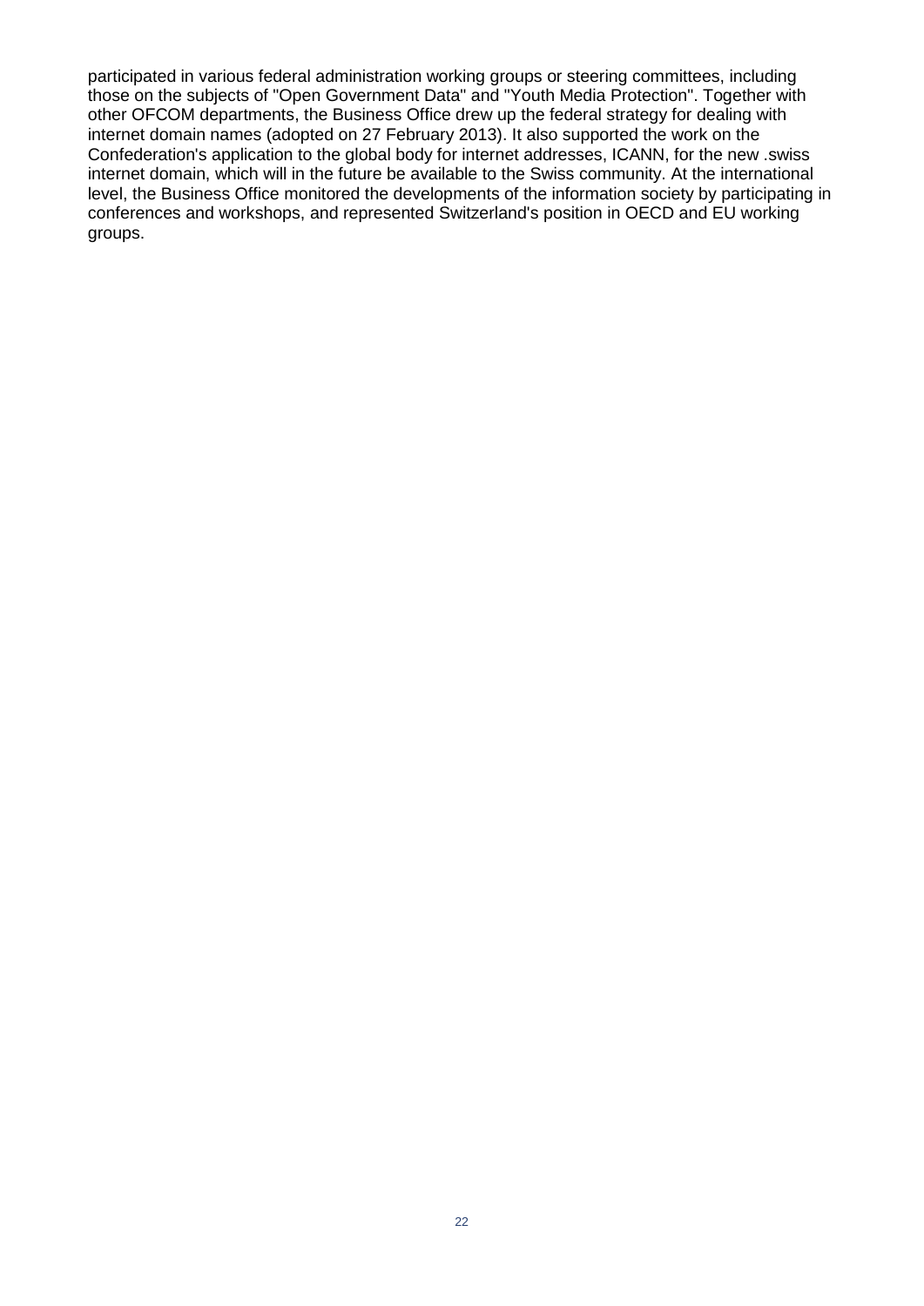participated in various federal administration working groups or steering committees, including those on the subjects of "Open Government Data" and "Youth Media Protection". Together with other OFCOM departments, the Business Office drew up the federal strategy for dealing with internet domain names (adopted on 27 February 2013). It also supported the work on the Confederation's application to the global body for internet addresses, ICANN, for the new .swiss internet domain, which will in the future be available to the Swiss community. At the international level, the Business Office monitored the developments of the information society by participating in conferences and workshops, and represented Switzerland's position in OECD and EU working groups.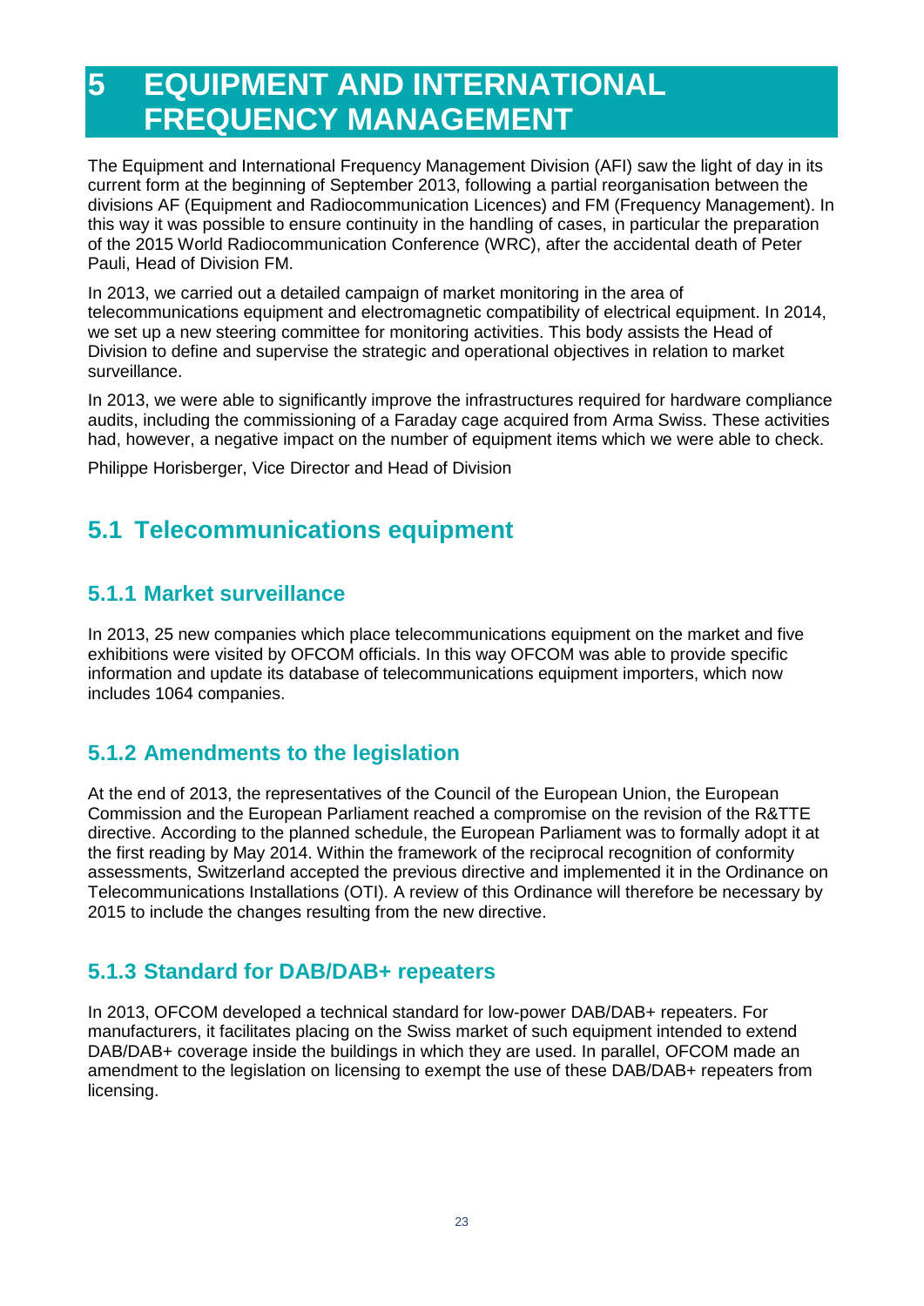# <span id="page-21-0"></span>**5 EQUIPMENT AND INTERNATIONAL FREQUENCY MANAGEMENT**

The Equipment and International Frequency Management Division (AFI) saw the light of day in its current form at the beginning of September 2013, following a partial reorganisation between the divisions AF (Equipment and Radiocommunication Licences) and FM (Frequency Management). In this way it was possible to ensure continuity in the handling of cases, in particular the preparation of the 2015 World Radiocommunication Conference (WRC), after the accidental death of Peter Pauli, Head of Division FM.

In 2013, we carried out a detailed campaign of market monitoring in the area of telecommunications equipment and electromagnetic compatibility of electrical equipment. In 2014, we set up a new steering committee for monitoring activities. This body assists the Head of Division to define and supervise the strategic and operational objectives in relation to market surveillance.

In 2013, we were able to significantly improve the infrastructures required for hardware compliance audits, including the commissioning of a Faraday cage acquired from Arma Swiss. These activities had, however, a negative impact on the number of equipment items which we were able to check.

Philippe Horisberger, Vice Director and Head of Division

# <span id="page-21-1"></span>**5.1 Telecommunications equipment**

### <span id="page-21-2"></span>**5.1.1 Market surveillance**

In 2013, 25 new companies which place telecommunications equipment on the market and five exhibitions were visited by OFCOM officials. In this way OFCOM was able to provide specific information and update its database of telecommunications equipment importers, which now includes 1064 companies.

### <span id="page-21-3"></span>**5.1.2 Amendments to the legislation**

At the end of 2013, the representatives of the Council of the European Union, the European Commission and the European Parliament reached a compromise on the revision of the R&TTE directive. According to the planned schedule, the European Parliament was to formally adopt it at the first reading by May 2014. Within the framework of the reciprocal recognition of conformity assessments, Switzerland accepted the previous directive and implemented it in the Ordinance on Telecommunications Installations (OTI). A review of this Ordinance will therefore be necessary by 2015 to include the changes resulting from the new directive.

### <span id="page-21-4"></span>**5.1.3 Standard for DAB/DAB+ repeaters**

In 2013, OFCOM developed a technical standard for low-power DAB/DAB+ repeaters. For manufacturers, it facilitates placing on the Swiss market of such equipment intended to extend DAB/DAB+ coverage inside the buildings in which they are used. In parallel, OFCOM made an amendment to the legislation on licensing to exempt the use of these DAB/DAB+ repeaters from licensing.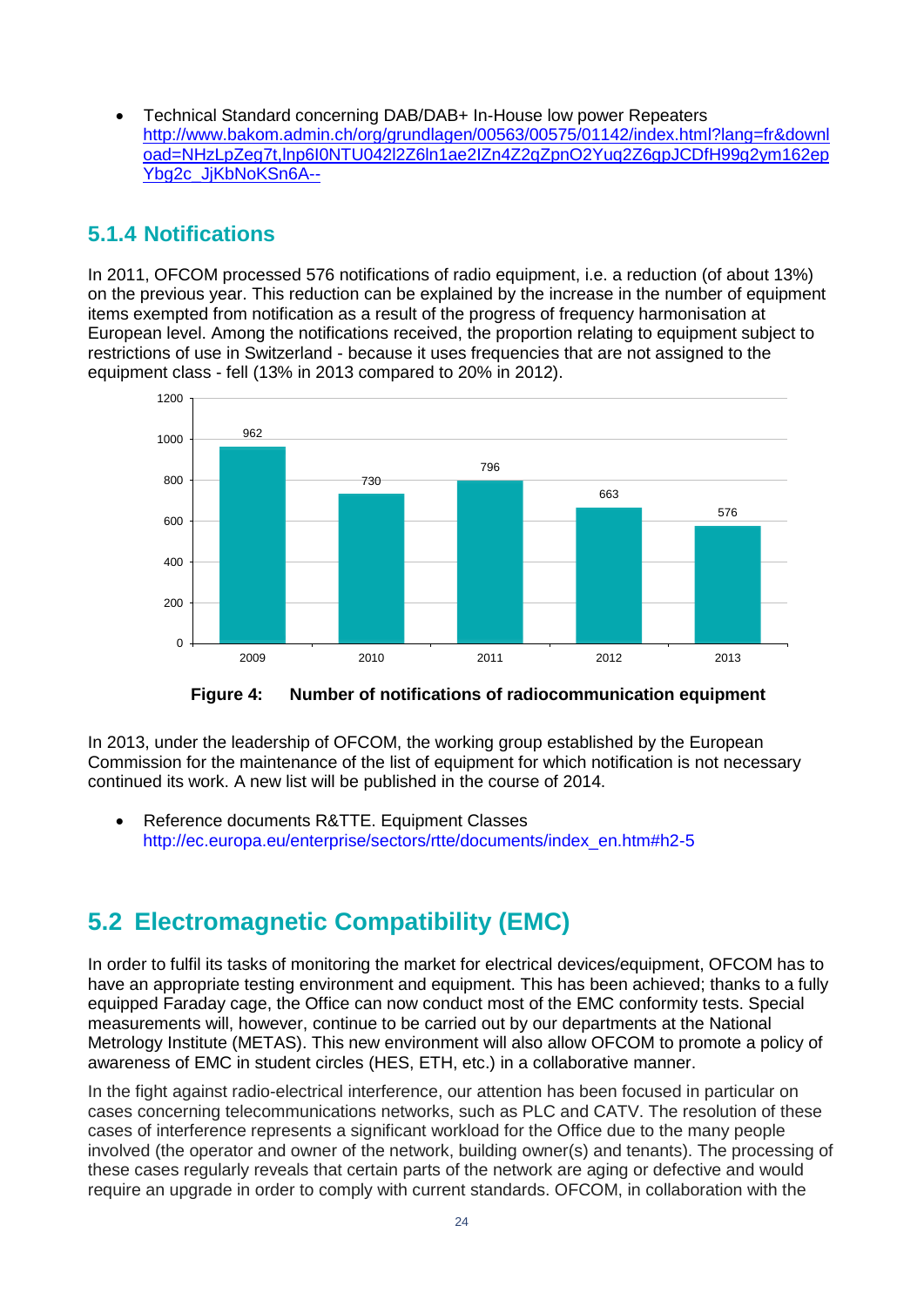Technical Standard concerning DAB/DAB+ In-House low power Repeaters [http://www.bakom.admin.ch/org/grundlagen/00563/00575/01142/index.html?lang=fr&downl](http://www.bakom.admin.ch/org/grundlagen/00563/00575/01142/index.html?lang=fr&download=NHzLpZeg7t,lnp6I0NTU042l2Z6ln1ae2IZn4Z2qZpnO2Yuq2Z6gpJCDfH99g2ym162epYbg2c_JjKbNoKSn6A--) [oad=NHzLpZeg7t,lnp6I0NTU042l2Z6ln1ae2IZn4Z2qZpnO2Yuq2Z6gpJCDfH99g2ym162ep](http://www.bakom.admin.ch/org/grundlagen/00563/00575/01142/index.html?lang=fr&download=NHzLpZeg7t,lnp6I0NTU042l2Z6ln1ae2IZn4Z2qZpnO2Yuq2Z6gpJCDfH99g2ym162epYbg2c_JjKbNoKSn6A--) [Ybg2c\\_JjKbNoKSn6A--](http://www.bakom.admin.ch/org/grundlagen/00563/00575/01142/index.html?lang=fr&download=NHzLpZeg7t,lnp6I0NTU042l2Z6ln1ae2IZn4Z2qZpnO2Yuq2Z6gpJCDfH99g2ym162epYbg2c_JjKbNoKSn6A--)

### <span id="page-22-0"></span>**5.1.4 Notifications**

In 2011, OFCOM processed 576 notifications of radio equipment, i.e. a reduction (of about 13%) on the previous year. This reduction can be explained by the increase in the number of equipment items exempted from notification as a result of the progress of frequency harmonisation at European level. Among the notifications received, the proportion relating to equipment subject to restrictions of use in Switzerland - because it uses frequencies that are not assigned to the equipment class - fell (13% in 2013 compared to 20% in 2012).



**Figure 4: Number of notifications of radiocommunication equipment**

<span id="page-22-2"></span>In 2013, under the leadership of OFCOM, the working group established by the European Commission for the maintenance of the list of equipment for which notification is not necessary continued its work. A new list will be published in the course of 2014.

• Reference documents R&TTE. Equipment Classes [http://ec.europa.eu/enterprise/sectors/rtte/documents/index\\_en.htm#h2-5](http://ec.europa.eu/enterprise/sectors/rtte/documents/index_en.htm#h2-5)

# <span id="page-22-1"></span>**5.2 Electromagnetic Compatibility (EMC)**

In order to fulfil its tasks of monitoring the market for electrical devices/equipment, OFCOM has to have an appropriate testing environment and equipment. This has been achieved; thanks to a fully equipped Faraday cage, the Office can now conduct most of the EMC conformity tests. Special measurements will, however, continue to be carried out by our departments at the National Metrology Institute (METAS). This new environment will also allow OFCOM to promote a policy of awareness of EMC in student circles (HES, ETH, etc.) in a collaborative manner.

In the fight against radio-electrical interference, our attention has been focused in particular on cases concerning telecommunications networks, such as PLC and CATV. The resolution of these cases of interference represents a significant workload for the Office due to the many people involved (the operator and owner of the network, building owner(s) and tenants). The processing of these cases regularly reveals that certain parts of the network are aging or defective and would require an upgrade in order to comply with current standards. OFCOM, in collaboration with the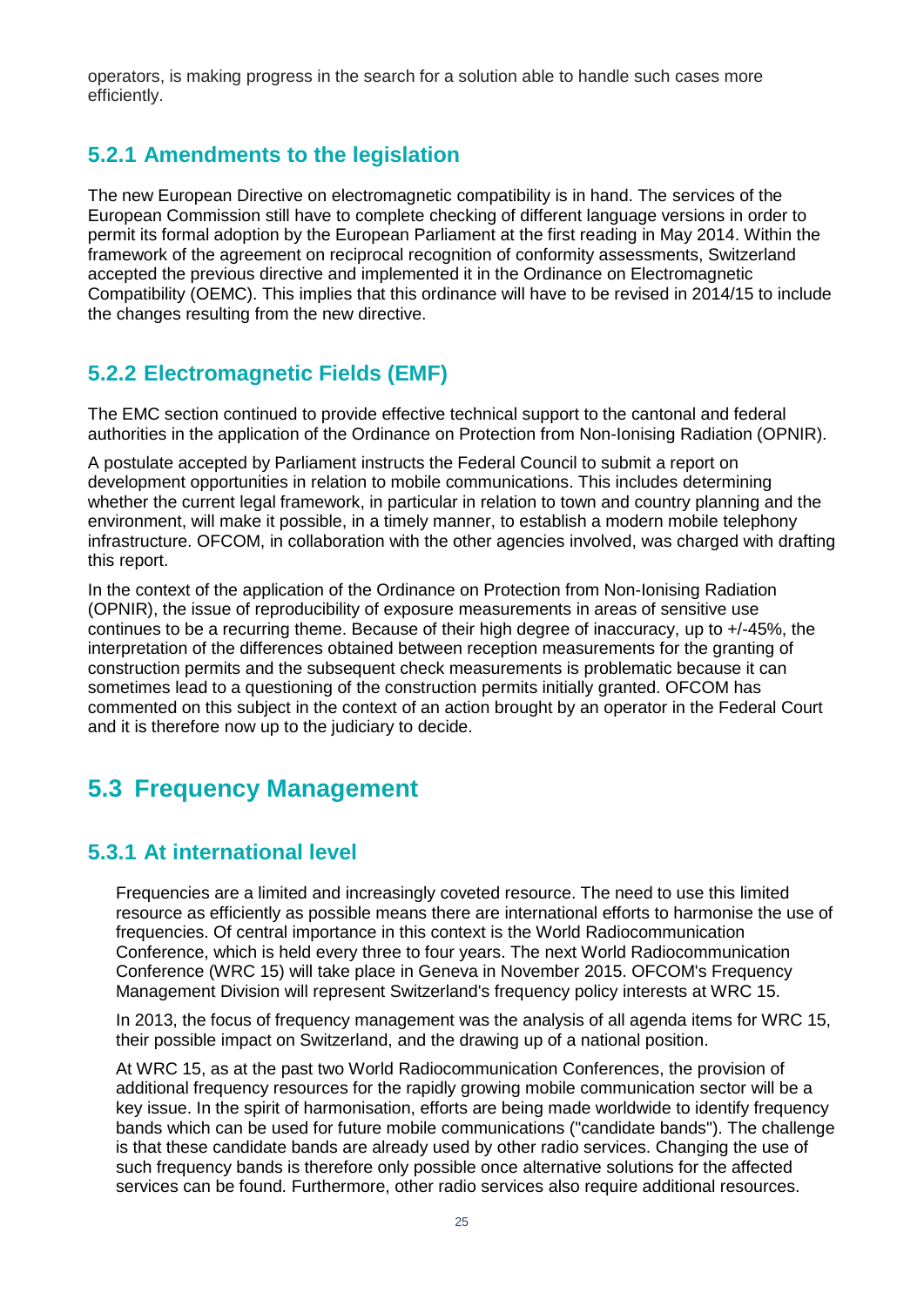operators, is making progress in the search for a solution able to handle such cases more efficiently.

#### <span id="page-23-0"></span>**5.2.1 Amendments to the legislation**

The new European Directive on electromagnetic compatibility is in hand. The services of the European Commission still have to complete checking of different language versions in order to permit its formal adoption by the European Parliament at the first reading in May 2014. Within the framework of the agreement on reciprocal recognition of conformity assessments, Switzerland accepted the previous directive and implemented it in the Ordinance on Electromagnetic Compatibility (OEMC). This implies that this ordinance will have to be revised in 2014/15 to include the changes resulting from the new directive.

### <span id="page-23-1"></span>**5.2.2 Electromagnetic Fields (EMF)**

The EMC section continued to provide effective technical support to the cantonal and federal authorities in the application of the Ordinance on Protection from Non-Ionising Radiation (OPNIR).

A postulate accepted by Parliament instructs the Federal Council to submit a report on development opportunities in relation to mobile communications. This includes determining whether the current legal framework, in particular in relation to town and country planning and the environment, will make it possible, in a timely manner, to establish a modern mobile telephony infrastructure. OFCOM, in collaboration with the other agencies involved, was charged with drafting this report.

In the context of the application of the Ordinance on Protection from Non-Ionising Radiation (OPNIR), the issue of reproducibility of exposure measurements in areas of sensitive use continues to be a recurring theme. Because of their high degree of inaccuracy, up to +/-45%, the interpretation of the differences obtained between reception measurements for the granting of construction permits and the subsequent check measurements is problematic because it can sometimes lead to a questioning of the construction permits initially granted. OFCOM has commented on this subject in the context of an action brought by an operator in the Federal Court and it is therefore now up to the judiciary to decide.

## <span id="page-23-2"></span>**5.3 Frequency Management**

#### <span id="page-23-3"></span>**5.3.1 At international level**

Frequencies are a limited and increasingly coveted resource. The need to use this limited resource as efficiently as possible means there are international efforts to harmonise the use of frequencies. Of central importance in this context is the World Radiocommunication Conference, which is held every three to four years. The next World Radiocommunication Conference (WRC 15) will take place in Geneva in November 2015. OFCOM's Frequency Management Division will represent Switzerland's frequency policy interests at WRC 15.

In 2013, the focus of frequency management was the analysis of all agenda items for WRC 15, their possible impact on Switzerland, and the drawing up of a national position.

At WRC 15, as at the past two World Radiocommunication Conferences, the provision of additional frequency resources for the rapidly growing mobile communication sector will be a key issue. In the spirit of harmonisation, efforts are being made worldwide to identify frequency bands which can be used for future mobile communications ("candidate bands"). The challenge is that these candidate bands are already used by other radio services. Changing the use of such frequency bands is therefore only possible once alternative solutions for the affected services can be found. Furthermore, other radio services also require additional resources.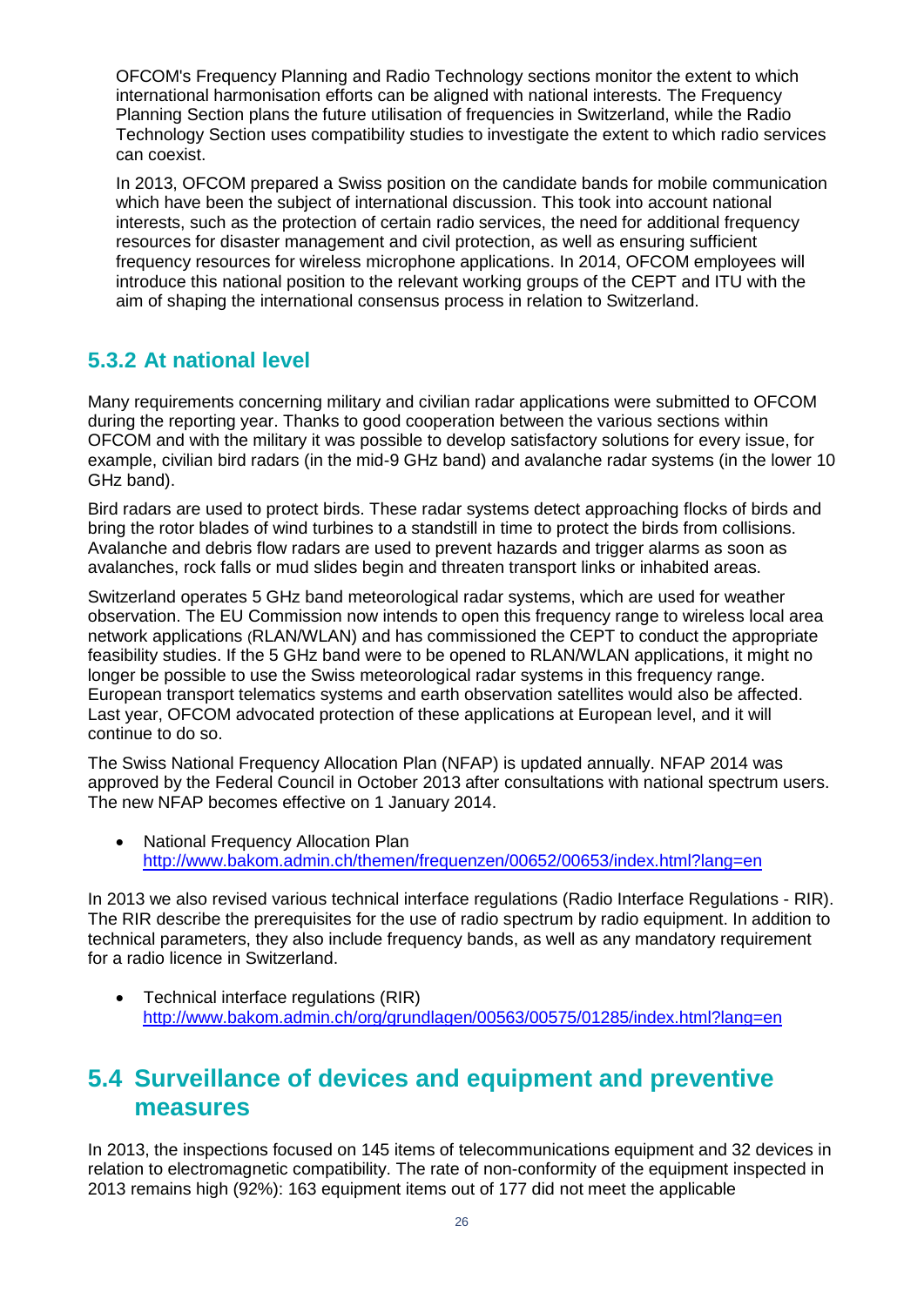OFCOM's Frequency Planning and Radio Technology sections monitor the extent to which international harmonisation efforts can be aligned with national interests. The Frequency Planning Section plans the future utilisation of frequencies in Switzerland, while the Radio Technology Section uses compatibility studies to investigate the extent to which radio services can coexist.

In 2013, OFCOM prepared a Swiss position on the candidate bands for mobile communication which have been the subject of international discussion. This took into account national interests, such as the protection of certain radio services, the need for additional frequency resources for disaster management and civil protection, as well as ensuring sufficient frequency resources for wireless microphone applications. In 2014, OFCOM employees will introduce this national position to the relevant working groups of the CEPT and ITU with the aim of shaping the international consensus process in relation to Switzerland.

### <span id="page-24-0"></span>**5.3.2 At national level**

Many requirements concerning military and civilian radar applications were submitted to OFCOM during the reporting year. Thanks to good cooperation between the various sections within OFCOM and with the military it was possible to develop satisfactory solutions for every issue, for example, civilian bird radars (in the mid-9 GHz band) and avalanche radar systems (in the lower 10 GHz band).

Bird radars are used to protect birds. These radar systems detect approaching flocks of birds and bring the rotor blades of wind turbines to a standstill in time to protect the birds from collisions. Avalanche and debris flow radars are used to prevent hazards and trigger alarms as soon as avalanches, rock falls or mud slides begin and threaten transport links or inhabited areas.

Switzerland operates 5 GHz band meteorological radar systems, which are used for weather observation. The EU Commission now intends to open this frequency range to wireless local area network applications (RLAN/WLAN) and has commissioned the CEPT to conduct the appropriate feasibility studies. If the 5 GHz band were to be opened to RLAN/WLAN applications, it might no longer be possible to use the Swiss meteorological radar systems in this frequency range. European transport telematics systems and earth observation satellites would also be affected. Last year, OFCOM advocated protection of these applications at European level, and it will continue to do so.

The Swiss National Frequency Allocation Plan (NFAP) is updated annually. NFAP 2014 was approved by the Federal Council in October 2013 after consultations with national spectrum users. The new NFAP becomes effective on 1 January 2014.

• National Frequency Allocation Plan <http://www.bakom.admin.ch/themen/frequenzen/00652/00653/index.html?lang=en>

In 2013 we also revised various technical interface regulations (Radio Interface Regulations - RIR). The RIR describe the prerequisites for the use of radio spectrum by radio equipment. In addition to technical parameters, they also include frequency bands, as well as any mandatory requirement for a radio licence in Switzerland.

 Technical interface regulations (RIR) <http://www.bakom.admin.ch/org/grundlagen/00563/00575/01285/index.html?lang=en>

## <span id="page-24-1"></span>**5.4 Surveillance of devices and equipment and preventive measures**

In 2013, the inspections focused on 145 items of telecommunications equipment and 32 devices in relation to electromagnetic compatibility. The rate of non-conformity of the equipment inspected in 2013 remains high (92%): 163 equipment items out of 177 did not meet the applicable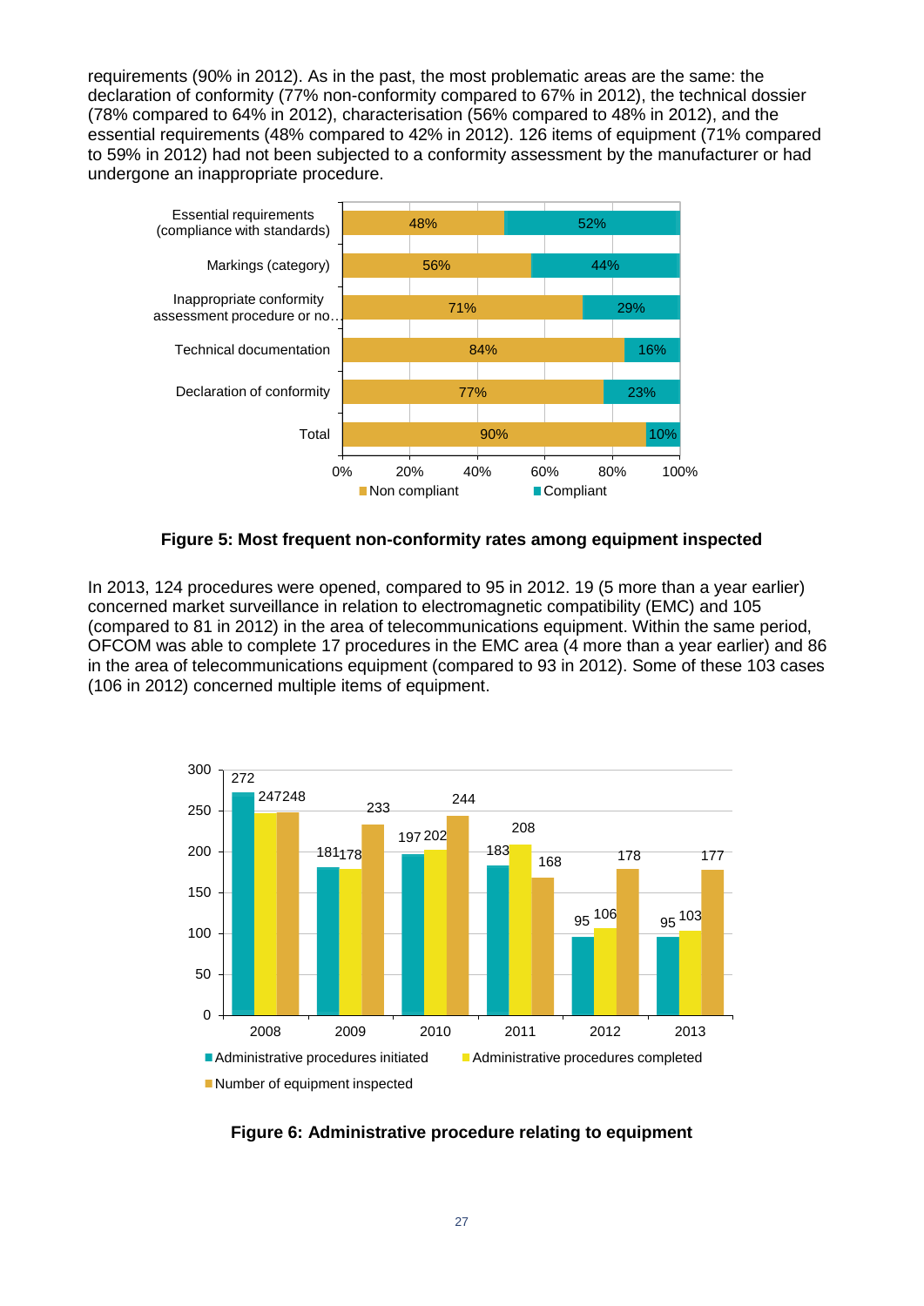requirements (90% in 2012). As in the past, the most problematic areas are the same: the declaration of conformity (77% non-conformity compared to 67% in 2012), the technical dossier (78% compared to 64% in 2012), characterisation (56% compared to 48% in 2012), and the essential requirements (48% compared to 42% in 2012). 126 items of equipment (71% compared to 59% in 2012) had not been subjected to a conformity assessment by the manufacturer or had undergone an inappropriate procedure.



#### **Figure 5: Most frequent non-conformity rates among equipment inspected**

<span id="page-25-0"></span>In 2013, 124 procedures were opened, compared to 95 in 2012. 19 (5 more than a year earlier) concerned market surveillance in relation to electromagnetic compatibility (EMC) and 105 (compared to 81 in 2012) in the area of telecommunications equipment. Within the same period, OFCOM was able to complete 17 procedures in the EMC area (4 more than a year earlier) and 86 in the area of telecommunications equipment (compared to 93 in 2012). Some of these 103 cases (106 in 2012) concerned multiple items of equipment.



<span id="page-25-1"></span>**Figure 6: Administrative procedure relating to equipment**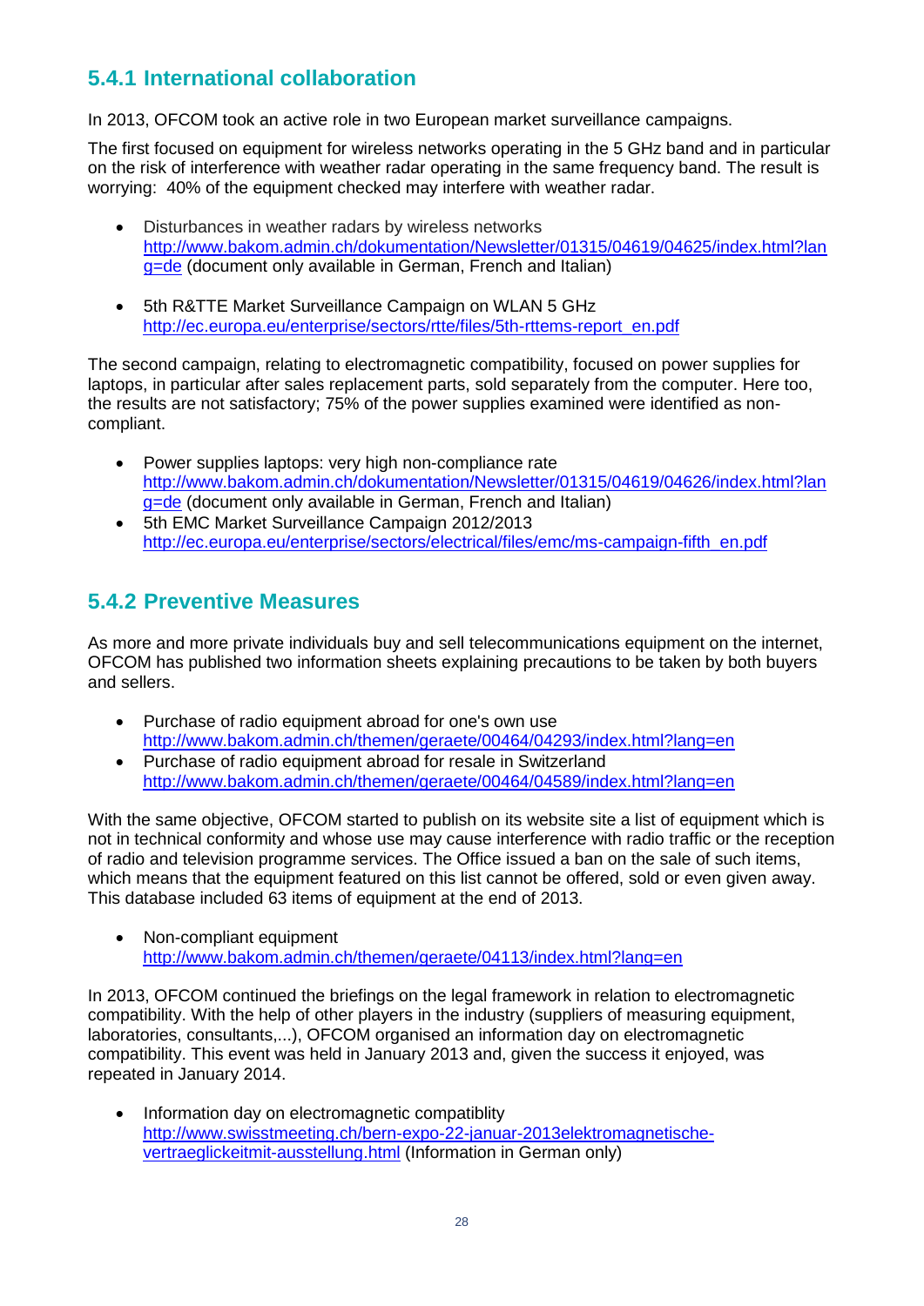### <span id="page-26-0"></span>**5.4.1 International collaboration**

In 2013, OFCOM took an active role in two European market surveillance campaigns.

The first focused on equipment for wireless networks operating in the 5 GHz band and in particular on the risk of interference with weather radar operating in the same frequency band. The result is worrying: 40% of the equipment checked may interfere with weather radar.

- Disturbances in weather radars by wireless networks [http://www.bakom.admin.ch/dokumentation/Newsletter/01315/04619/04625/index.html?lan](http://www.bakom.admin.ch/dokumentation/Newsletter/01315/04619/04625/index.html?lang=de) [g=de](http://www.bakom.admin.ch/dokumentation/Newsletter/01315/04619/04625/index.html?lang=de) (document only available in German, French and Italian)
- 5th R&TTE Market Surveillance Campaign on WLAN 5 GHz [http://ec.europa.eu/enterprise/sectors/rtte/files/5th-rttems-report\\_en.pdf](http://ec.europa.eu/enterprise/sectors/rtte/files/5th-rttems-report_en.pdf)

The second campaign, relating to electromagnetic compatibility, focused on power supplies for laptops, in particular after sales replacement parts, sold separately from the computer. Here too, the results are not satisfactory; 75% of the power supplies examined were identified as noncompliant.

- Power supplies laptops: very high non-compliance rate [http://www.bakom.admin.ch/dokumentation/Newsletter/01315/04619/04626/index.html?lan](http://www.bakom.admin.ch/dokumentation/Newsletter/01315/04619/04626/index.html?lang=de) [g=de](http://www.bakom.admin.ch/dokumentation/Newsletter/01315/04619/04626/index.html?lang=de) (document only available in German, French and Italian)
- 5th EMC Market Surveillance Campaign 2012/2013 [http://ec.europa.eu/enterprise/sectors/electrical/files/emc/ms-campaign-fifth\\_en.pdf](http://ec.europa.eu/enterprise/sectors/electrical/files/emc/ms-campaign-fifth_en.pdf)

### <span id="page-26-1"></span>**5.4.2 Preventive Measures**

As more and more private individuals buy and sell telecommunications equipment on the internet, OFCOM has published two information sheets explaining precautions to be taken by both buyers and sellers.

- Purchase of radio equipment abroad for one's own use <http://www.bakom.admin.ch/themen/geraete/00464/04293/index.html?lang=en>
- Purchase of radio equipment abroad for resale in Switzerland <http://www.bakom.admin.ch/themen/geraete/00464/04589/index.html?lang=en>

With the same objective, OFCOM started to publish on its website site a list of equipment which is not in technical conformity and whose use may cause interference with radio traffic or the reception of radio and television programme services. The Office issued a ban on the sale of such items, which means that the equipment featured on this list cannot be offered, sold or even given away. This database included 63 items of equipment at the end of 2013.

• Non-compliant equipment <http://www.bakom.admin.ch/themen/geraete/04113/index.html?lang=en>

In 2013, OFCOM continued the briefings on the legal framework in relation to electromagnetic compatibility. With the help of other players in the industry (suppliers of measuring equipment, laboratories, consultants,...), OFCOM organised an information day on electromagnetic compatibility. This event was held in January 2013 and, given the success it enjoyed, was repeated in January 2014.

• Information day on electromagnetic compatiblity [http://www.swisstmeeting.ch/bern-expo-22-januar-2013elektromagnetische](http://www.swisstmeeting.ch/bern-expo-22-januar-2013elektromagnetische-vertraeglickeitmit-ausstellung.html)[vertraeglickeitmit-ausstellung.html](http://www.swisstmeeting.ch/bern-expo-22-januar-2013elektromagnetische-vertraeglickeitmit-ausstellung.html) (Information in German only)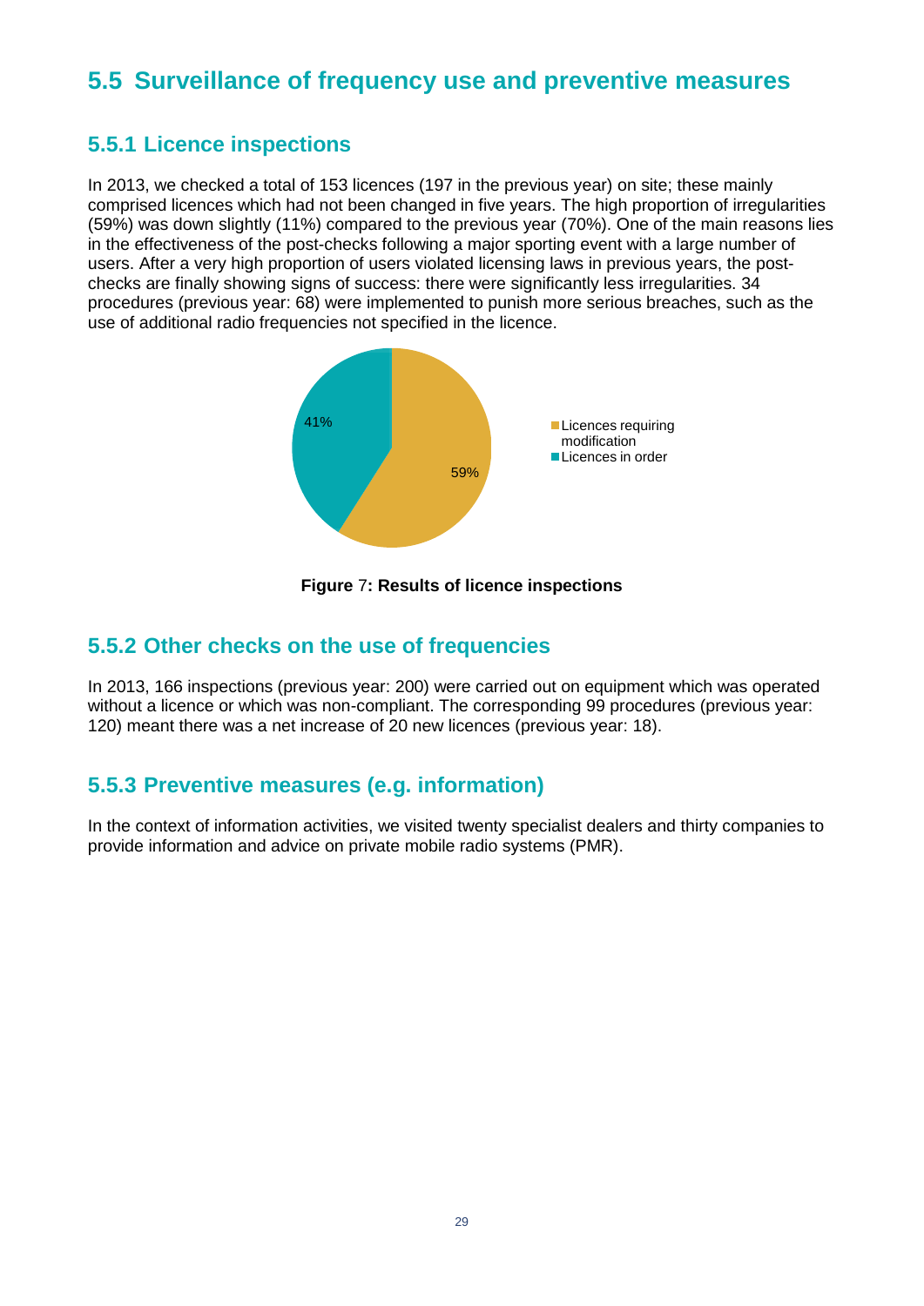# <span id="page-27-0"></span>**5.5 Surveillance of frequency use and preventive measures**

#### <span id="page-27-1"></span>**5.5.1 Licence inspections**

In 2013, we checked a total of 153 licences (197 in the previous year) on site; these mainly comprised licences which had not been changed in five years. The high proportion of irregularities (59%) was down slightly (11%) compared to the previous year (70%). One of the main reasons lies in the effectiveness of the post-checks following a major sporting event with a large number of users. After a very high proportion of users violated licensing laws in previous years, the postchecks are finally showing signs of success: there were significantly less irregularities. 34 procedures (previous year: 68) were implemented to punish more serious breaches, such as the use of additional radio frequencies not specified in the licence.



**Figure** 7**: Results of licence inspections**

#### <span id="page-27-4"></span><span id="page-27-2"></span>**5.5.2 Other checks on the use of frequencies**

In 2013, 166 inspections (previous year: 200) were carried out on equipment which was operated without a licence or which was non-compliant. The corresponding 99 procedures (previous year: 120) meant there was a net increase of 20 new licences (previous year: 18).

#### <span id="page-27-3"></span>**5.5.3 Preventive measures (e.g. information)**

In the context of information activities, we visited twenty specialist dealers and thirty companies to provide information and advice on private mobile radio systems (PMR).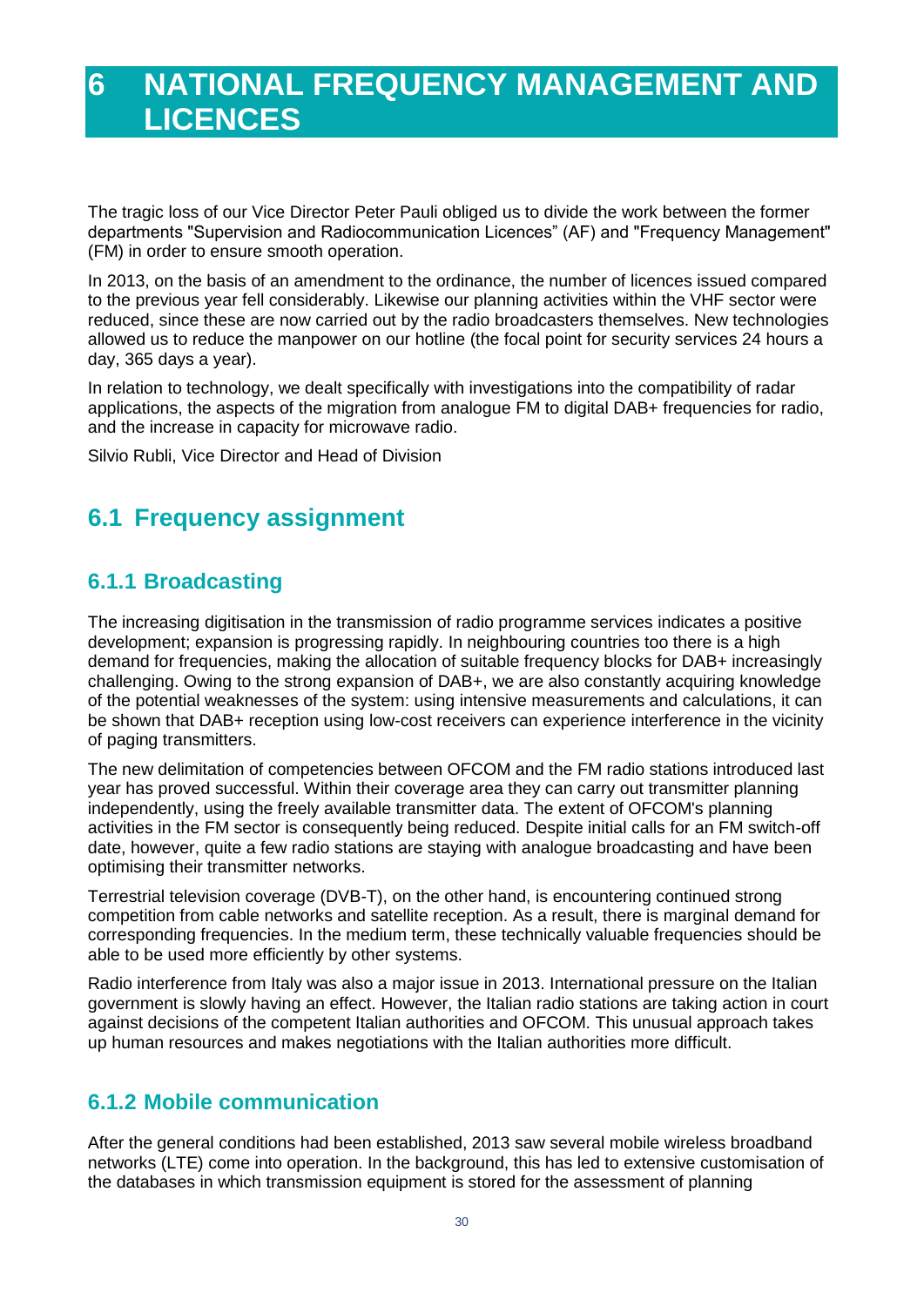# <span id="page-28-0"></span>**6 NATIONAL FREQUENCY MANAGEMENT AND LICENCES**

The tragic loss of our Vice Director Peter Pauli obliged us to divide the work between the former departments "Supervision and Radiocommunication Licences" (AF) and "Frequency Management" (FM) in order to ensure smooth operation.

In 2013, on the basis of an amendment to the ordinance, the number of licences issued compared to the previous year fell considerably. Likewise our planning activities within the VHF sector were reduced, since these are now carried out by the radio broadcasters themselves. New technologies allowed us to reduce the manpower on our hotline (the focal point for security services 24 hours a day, 365 days a year).

In relation to technology, we dealt specifically with investigations into the compatibility of radar applications, the aspects of the migration from analogue FM to digital DAB+ frequencies for radio, and the increase in capacity for microwave radio.

Silvio Rubli, Vice Director and Head of Division

# <span id="page-28-1"></span>**6.1 Frequency assignment**

### <span id="page-28-2"></span>**6.1.1 Broadcasting**

The increasing digitisation in the transmission of radio programme services indicates a positive development; expansion is progressing rapidly. In neighbouring countries too there is a high demand for frequencies, making the allocation of suitable frequency blocks for DAB+ increasingly challenging. Owing to the strong expansion of DAB+, we are also constantly acquiring knowledge of the potential weaknesses of the system: using intensive measurements and calculations, it can be shown that DAB+ reception using low-cost receivers can experience interference in the vicinity of paging transmitters.

The new delimitation of competencies between OFCOM and the FM radio stations introduced last year has proved successful. Within their coverage area they can carry out transmitter planning independently, using the freely available transmitter data. The extent of OFCOM's planning activities in the FM sector is consequently being reduced. Despite initial calls for an FM switch-off date, however, quite a few radio stations are staying with analogue broadcasting and have been optimising their transmitter networks.

Terrestrial television coverage (DVB-T), on the other hand, is encountering continued strong competition from cable networks and satellite reception. As a result, there is marginal demand for corresponding frequencies. In the medium term, these technically valuable frequencies should be able to be used more efficiently by other systems.

Radio interference from Italy was also a major issue in 2013. International pressure on the Italian government is slowly having an effect. However, the Italian radio stations are taking action in court against decisions of the competent Italian authorities and OFCOM. This unusual approach takes up human resources and makes negotiations with the Italian authorities more difficult.

### <span id="page-28-3"></span>**6.1.2 Mobile communication**

After the general conditions had been established, 2013 saw several mobile wireless broadband networks (LTE) come into operation. In the background, this has led to extensive customisation of the databases in which transmission equipment is stored for the assessment of planning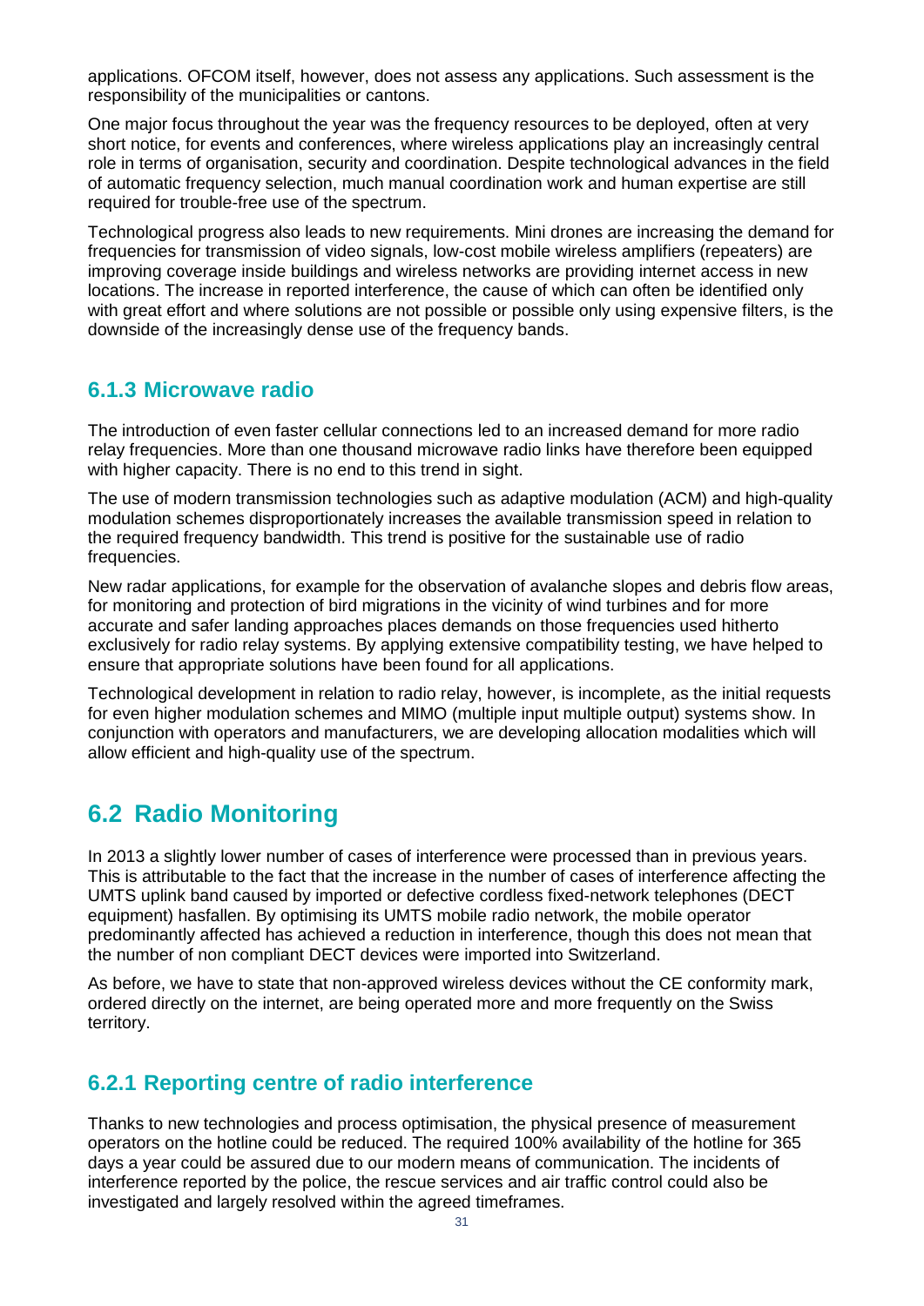applications. OFCOM itself, however, does not assess any applications. Such assessment is the responsibility of the municipalities or cantons.

One major focus throughout the year was the frequency resources to be deployed, often at very short notice, for events and conferences, where wireless applications play an increasingly central role in terms of organisation, security and coordination. Despite technological advances in the field of automatic frequency selection, much manual coordination work and human expertise are still required for trouble-free use of the spectrum.

Technological progress also leads to new requirements. Mini drones are increasing the demand for frequencies for transmission of video signals, low-cost mobile wireless amplifiers (repeaters) are improving coverage inside buildings and wireless networks are providing internet access in new locations. The increase in reported interference, the cause of which can often be identified only with great effort and where solutions are not possible or possible only using expensive filters, is the downside of the increasingly dense use of the frequency bands.

#### <span id="page-29-0"></span>**6.1.3 Microwave radio**

The introduction of even faster cellular connections led to an increased demand for more radio relay frequencies. More than one thousand microwave radio links have therefore been equipped with higher capacity. There is no end to this trend in sight.

The use of modern transmission technologies such as adaptive modulation (ACM) and high-quality modulation schemes disproportionately increases the available transmission speed in relation to the required frequency bandwidth. This trend is positive for the sustainable use of radio frequencies.

New radar applications, for example for the observation of avalanche slopes and debris flow areas, for monitoring and protection of bird migrations in the vicinity of wind turbines and for more accurate and safer landing approaches places demands on those frequencies used hitherto exclusively for radio relay systems. By applying extensive compatibility testing, we have helped to ensure that appropriate solutions have been found for all applications.

Technological development in relation to radio relay, however, is incomplete, as the initial requests for even higher modulation schemes and MIMO (multiple input multiple output) systems show. In conjunction with operators and manufacturers, we are developing allocation modalities which will allow efficient and high-quality use of the spectrum.

## <span id="page-29-1"></span>**6.2 Radio Monitoring**

In 2013 a slightly lower number of cases of interference were processed than in previous years. This is attributable to the fact that the increase in the number of cases of interference affecting the UMTS uplink band caused by imported or defective cordless fixed-network telephones (DECT equipment) hasfallen. By optimising its UMTS mobile radio network, the mobile operator predominantly affected has achieved a reduction in interference, though this does not mean that the number of non compliant DECT devices were imported into Switzerland.

As before, we have to state that non-approved wireless devices without the CE conformity mark, ordered directly on the internet, are being operated more and more frequently on the Swiss territory.

#### <span id="page-29-2"></span>**6.2.1 Reporting centre of radio interference**

Thanks to new technologies and process optimisation, the physical presence of measurement operators on the hotline could be reduced. The required 100% availability of the hotline for 365 days a year could be assured due to our modern means of communication. The incidents of interference reported by the police, the rescue services and air traffic control could also be investigated and largely resolved within the agreed timeframes.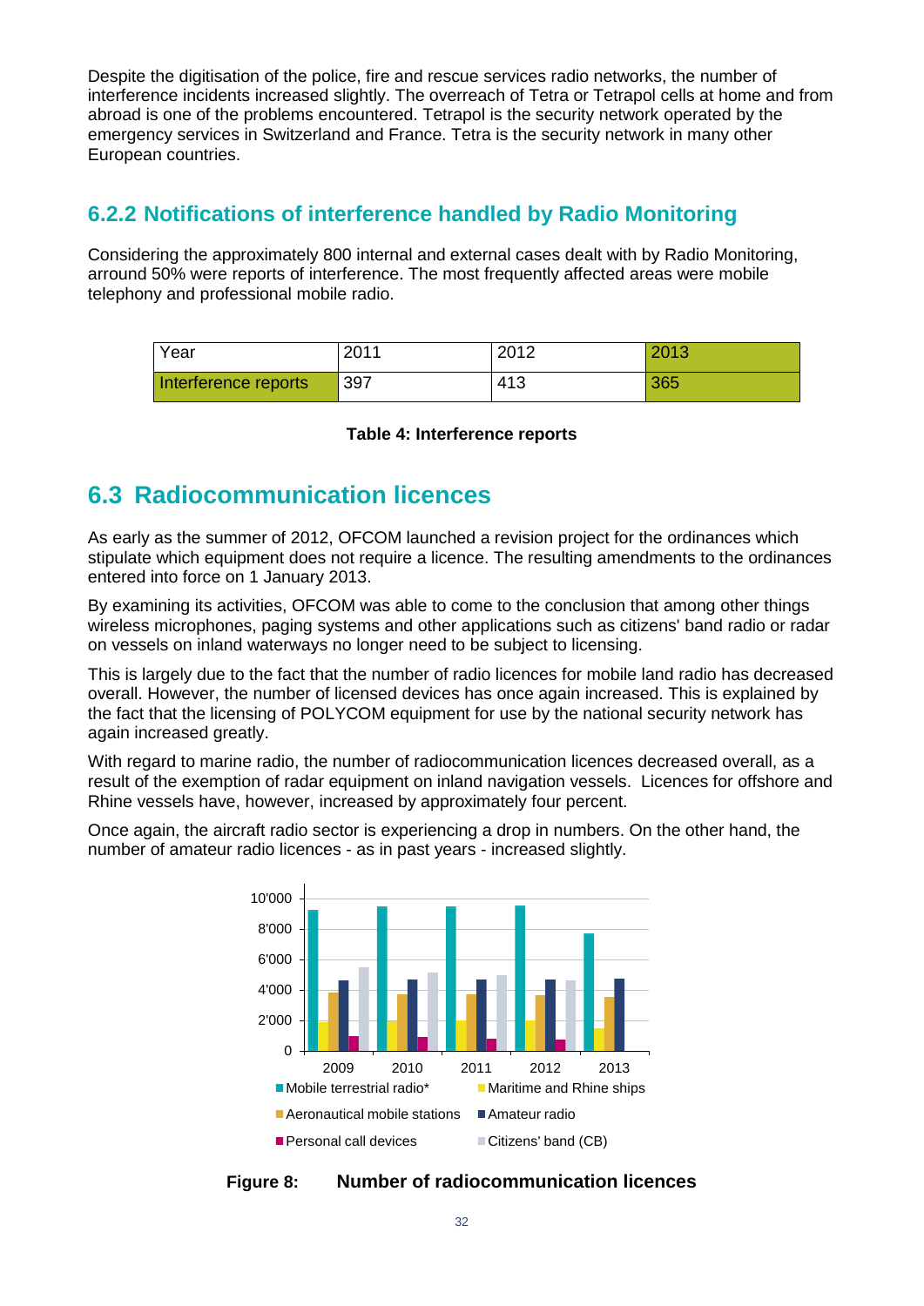Despite the digitisation of the police, fire and rescue services radio networks, the number of interference incidents increased slightly. The overreach of Tetra or Tetrapol cells at home and from abroad is one of the problems encountered. Tetrapol is the security network operated by the emergency services in Switzerland and France. Tetra is the security network in many other European countries.

#### <span id="page-30-0"></span>**6.2.2 Notifications of interference handled by Radio Monitoring**

Considering the approximately 800 internal and external cases dealt with by Radio Monitoring, arround 50% were reports of interference. The most frequently affected areas were mobile telephony and professional mobile radio.

| Year                 | 2011 | 2012 | 2013 |
|----------------------|------|------|------|
| Interference reports | 397  | 413  | 365  |

#### **Table 4: Interference reports**

### <span id="page-30-3"></span><span id="page-30-1"></span>**6.3 Radiocommunication licences**

As early as the summer of 2012, OFCOM launched a revision project for the ordinances which stipulate which equipment does not require a licence. The resulting amendments to the ordinances entered into force on 1 January 2013.

By examining its activities, OFCOM was able to come to the conclusion that among other things wireless microphones, paging systems and other applications such as citizens' band radio or radar on vessels on inland waterways no longer need to be subject to licensing.

This is largely due to the fact that the number of radio licences for mobile land radio has decreased overall. However, the number of licensed devices has once again increased. This is explained by the fact that the licensing of POLYCOM equipment for use by the national security network has again increased greatly.

With regard to marine radio, the number of radiocommunication licences decreased overall, as a result of the exemption of radar equipment on inland navigation vessels. Licences for offshore and Rhine vessels have, however, increased by approximately four percent.

Once again, the aircraft radio sector is experiencing a drop in numbers. On the other hand, the number of amateur radio licences - as in past years - increased slightly.



<span id="page-30-2"></span>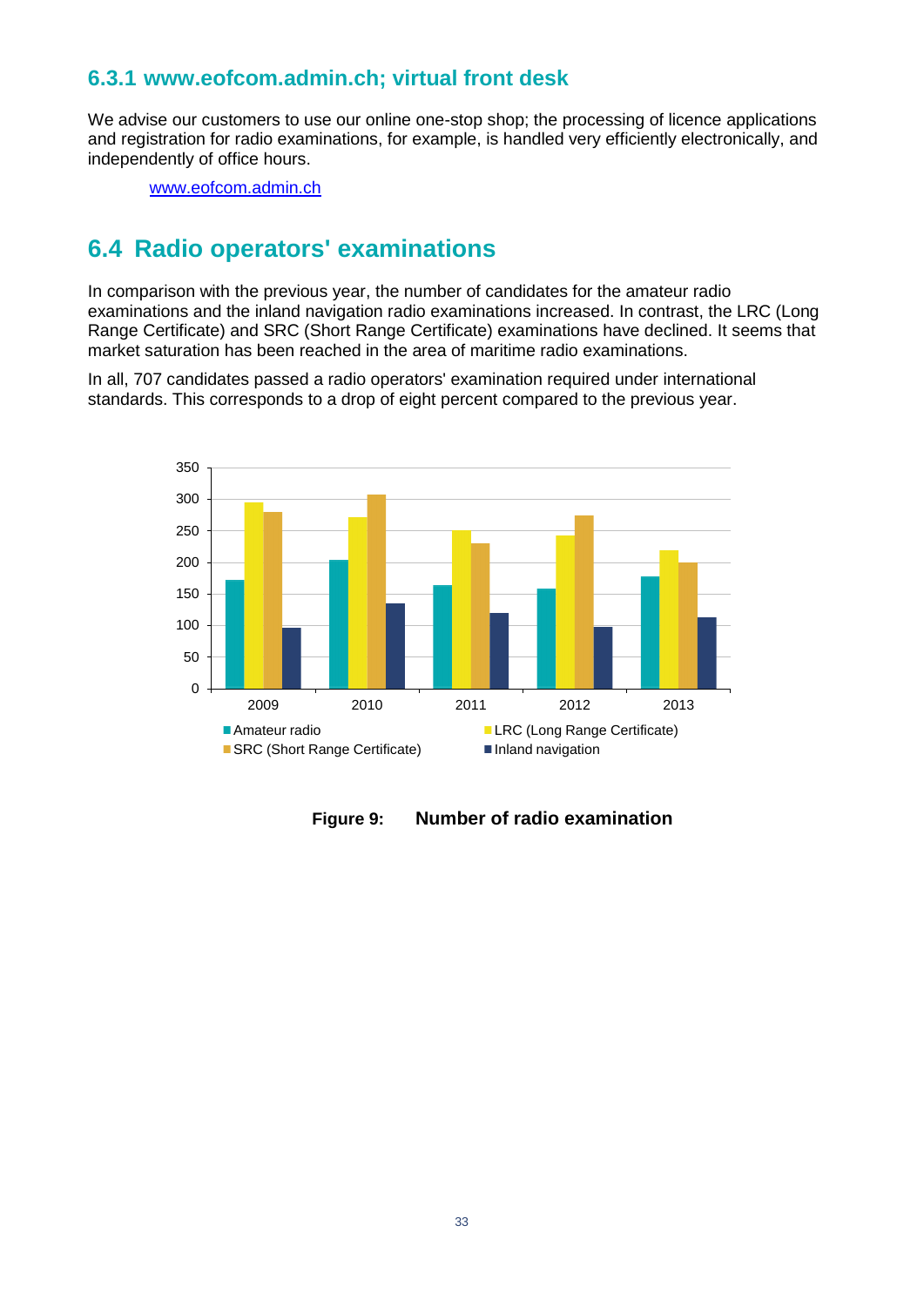#### <span id="page-31-0"></span>**6.3.1 www.eofcom.admin.ch; virtual front desk**

We advise our customers to use our online one-stop shop; the processing of licence applications and registration for radio examinations, for example, is handled very efficiently electronically, and independently of office hours.

[www.eofcom.admin.ch](http://www.eofcom.admin.ch/)

### <span id="page-31-1"></span>**6.4 Radio operators' examinations**

In comparison with the previous year, the number of candidates for the amateur radio examinations and the inland navigation radio examinations increased. In contrast, the LRC (Long Range Certificate) and SRC (Short Range Certificate) examinations have declined. It seems that market saturation has been reached in the area of maritime radio examinations.

In all, 707 candidates passed a radio operators' examination required under international standards. This corresponds to a drop of eight percent compared to the previous year.



<span id="page-31-2"></span>**Figure 9: Number of radio examination**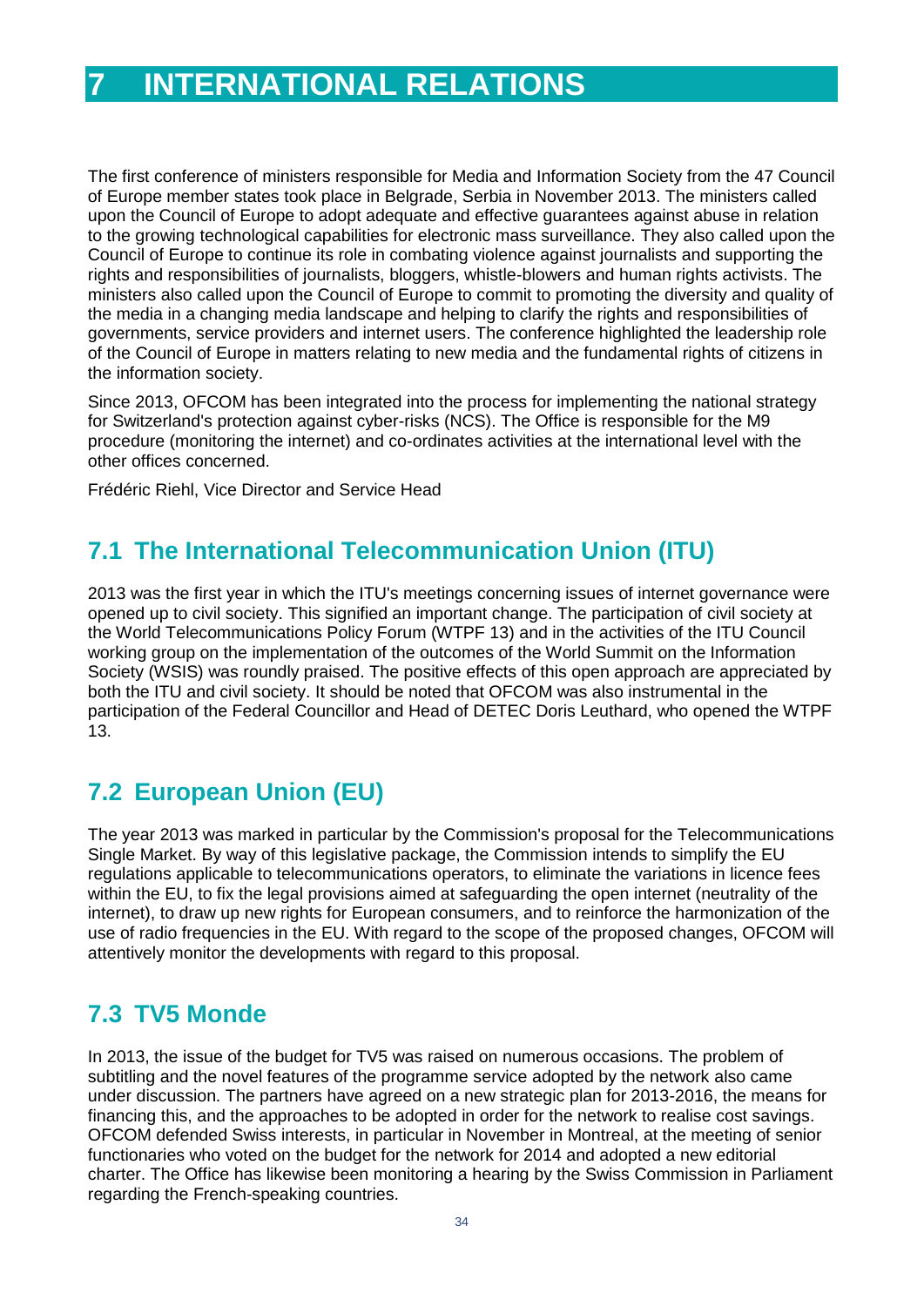# <span id="page-32-0"></span>**7 INTERNATIONAL RELATIONS**

The first conference of ministers responsible for Media and Information Society from the 47 Council of Europe member states took place in Belgrade, Serbia in November 2013. The ministers called upon the Council of Europe to adopt adequate and effective guarantees against abuse in relation to the growing technological capabilities for electronic mass surveillance. They also called upon the Council of Europe to continue its role in combating violence against journalists and supporting the rights and responsibilities of journalists, bloggers, whistle-blowers and human rights activists. The ministers also called upon the Council of Europe to commit to promoting the diversity and quality of the media in a changing media landscape and helping to clarify the rights and responsibilities of governments, service providers and internet users. The conference highlighted the leadership role of the Council of Europe in matters relating to new media and the fundamental rights of citizens in the information society.

Since 2013, OFCOM has been integrated into the process for implementing the national strategy for Switzerland's protection against cyber-risks (NCS). The Office is responsible for the M9 procedure (monitoring the internet) and co-ordinates activities at the international level with the other offices concerned.

<span id="page-32-1"></span>Frédéric Riehl, Vice Director and Service Head

# **7.1 The International Telecommunication Union (ITU)**

2013 was the first year in which the ITU's meetings concerning issues of internet governance were opened up to civil society. This signified an important change. The participation of civil society at the World Telecommunications Policy Forum (WTPF 13) and in the activities of the ITU Council working group on the implementation of the outcomes of the World Summit on the Information Society (WSIS) was roundly praised. The positive effects of this open approach are appreciated by both the ITU and civil society. It should be noted that OFCOM was also instrumental in the participation of the Federal Councillor and Head of DETEC Doris Leuthard, who opened the WTPF 13.

# <span id="page-32-2"></span>**7.2 European Union (EU)**

The year 2013 was marked in particular by the Commission's proposal for the Telecommunications Single Market. By way of this legislative package, the Commission intends to simplify the EU regulations applicable to telecommunications operators, to eliminate the variations in licence fees within the EU, to fix the legal provisions aimed at safeguarding the open internet (neutrality of the internet), to draw up new rights for European consumers, and to reinforce the harmonization of the use of radio frequencies in the EU. With regard to the scope of the proposed changes, OFCOM will attentively monitor the developments with regard to this proposal.

# <span id="page-32-3"></span>**7.3 TV5 Monde**

In 2013, the issue of the budget for TV5 was raised on numerous occasions. The problem of subtitling and the novel features of the programme service adopted by the network also came under discussion. The partners have agreed on a new strategic plan for 2013-2016, the means for financing this, and the approaches to be adopted in order for the network to realise cost savings. OFCOM defended Swiss interests, in particular in November in Montreal, at the meeting of senior functionaries who voted on the budget for the network for 2014 and adopted a new editorial charter. The Office has likewise been monitoring a hearing by the Swiss Commission in Parliament regarding the French-speaking countries.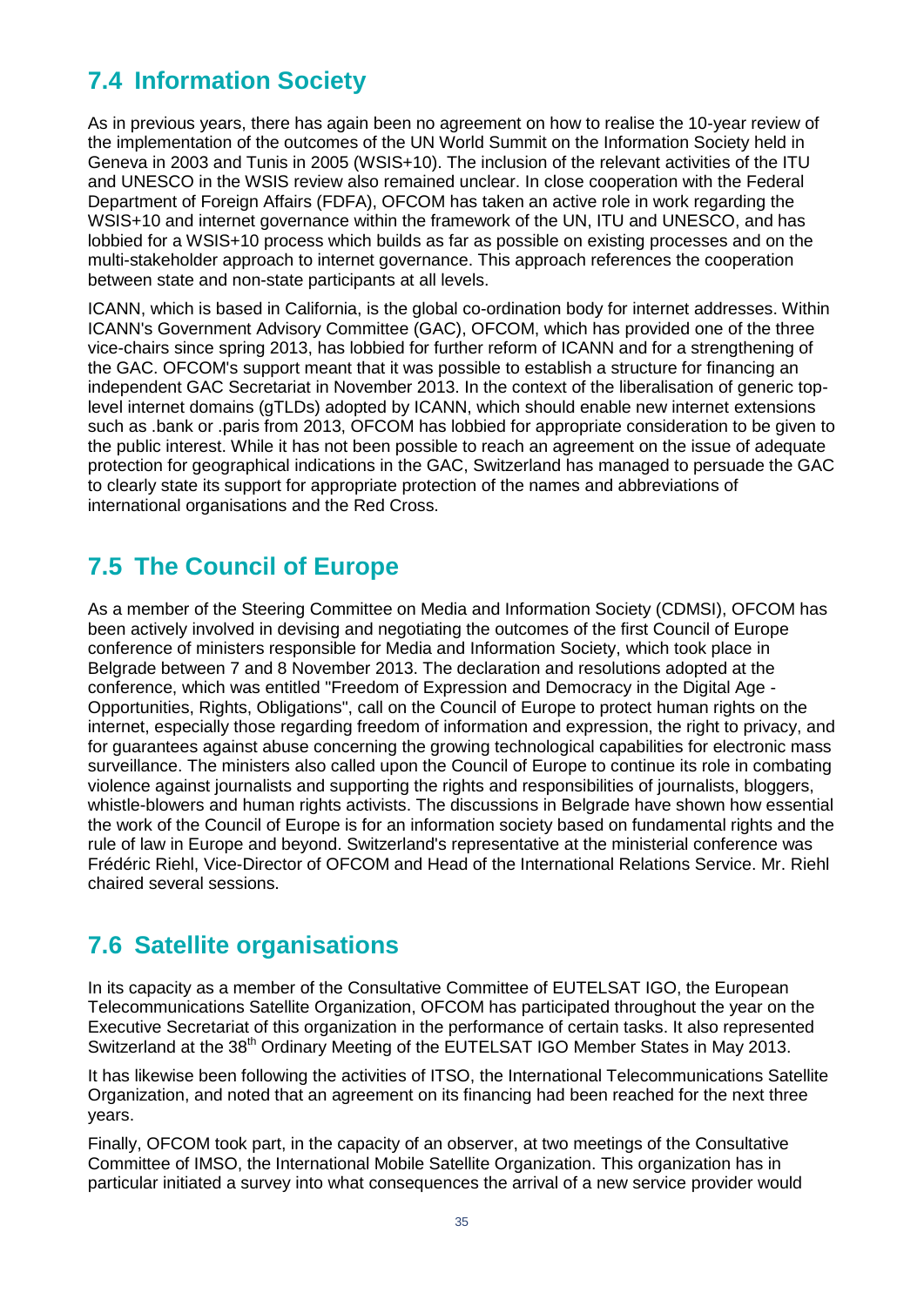# <span id="page-33-0"></span>**7.4 Information Society**

As in previous years, there has again been no agreement on how to realise the 10-year review of the implementation of the outcomes of the UN World Summit on the Information Society held in Geneva in 2003 and Tunis in 2005 (WSIS+10). The inclusion of the relevant activities of the ITU and UNESCO in the WSIS review also remained unclear. In close cooperation with the Federal Department of Foreign Affairs (FDFA), OFCOM has taken an active role in work regarding the WSIS+10 and internet governance within the framework of the UN, ITU and UNESCO, and has lobbied for a WSIS+10 process which builds as far as possible on existing processes and on the multi-stakeholder approach to internet governance. This approach references the cooperation between state and non-state participants at all levels.

ICANN, which is based in California, is the global co-ordination body for internet addresses. Within ICANN's Government Advisory Committee (GAC), OFCOM, which has provided one of the three vice-chairs since spring 2013, has lobbied for further reform of ICANN and for a strengthening of the GAC. OFCOM's support meant that it was possible to establish a structure for financing an independent GAC Secretariat in November 2013. In the context of the liberalisation of generic toplevel internet domains (gTLDs) adopted by ICANN, which should enable new internet extensions such as .bank or .paris from 2013, OFCOM has lobbied for appropriate consideration to be given to the public interest. While it has not been possible to reach an agreement on the issue of adequate protection for geographical indications in the GAC, Switzerland has managed to persuade the GAC to clearly state its support for appropriate protection of the names and abbreviations of international organisations and the Red Cross.

# <span id="page-33-1"></span>**7.5 The Council of Europe**

As a member of the Steering Committee on Media and Information Society (CDMSI), OFCOM has been actively involved in devising and negotiating the outcomes of the first Council of Europe conference of ministers responsible for Media and Information Society, which took place in Belgrade between 7 and 8 November 2013. The declaration and resolutions adopted at the conference, which was entitled "Freedom of Expression and Democracy in the Digital Age - Opportunities, Rights, Obligations", call on the Council of Europe to protect human rights on the internet, especially those regarding freedom of information and expression, the right to privacy, and for guarantees against abuse concerning the growing technological capabilities for electronic mass surveillance. The ministers also called upon the Council of Europe to continue its role in combating violence against journalists and supporting the rights and responsibilities of journalists, bloggers, whistle-blowers and human rights activists. The discussions in Belgrade have shown how essential the work of the Council of Europe is for an information society based on fundamental rights and the rule of law in Europe and beyond. Switzerland's representative at the ministerial conference was Frédéric Riehl, Vice-Director of OFCOM and Head of the International Relations Service. Mr. Riehl chaired several sessions.

# <span id="page-33-2"></span>**7.6 Satellite organisations**

In its capacity as a member of the Consultative Committee of EUTELSAT IGO, the European Telecommunications Satellite Organization, OFCOM has participated throughout the year on the Executive Secretariat of this organization in the performance of certain tasks. It also represented Switzerland at the 38<sup>th</sup> Ordinary Meeting of the EUTELSAT IGO Member States in May 2013.

It has likewise been following the activities of ITSO, the International Telecommunications Satellite Organization, and noted that an agreement on its financing had been reached for the next three years.

Finally, OFCOM took part, in the capacity of an observer, at two meetings of the Consultative Committee of IMSO, the International Mobile Satellite Organization. This organization has in particular initiated a survey into what consequences the arrival of a new service provider would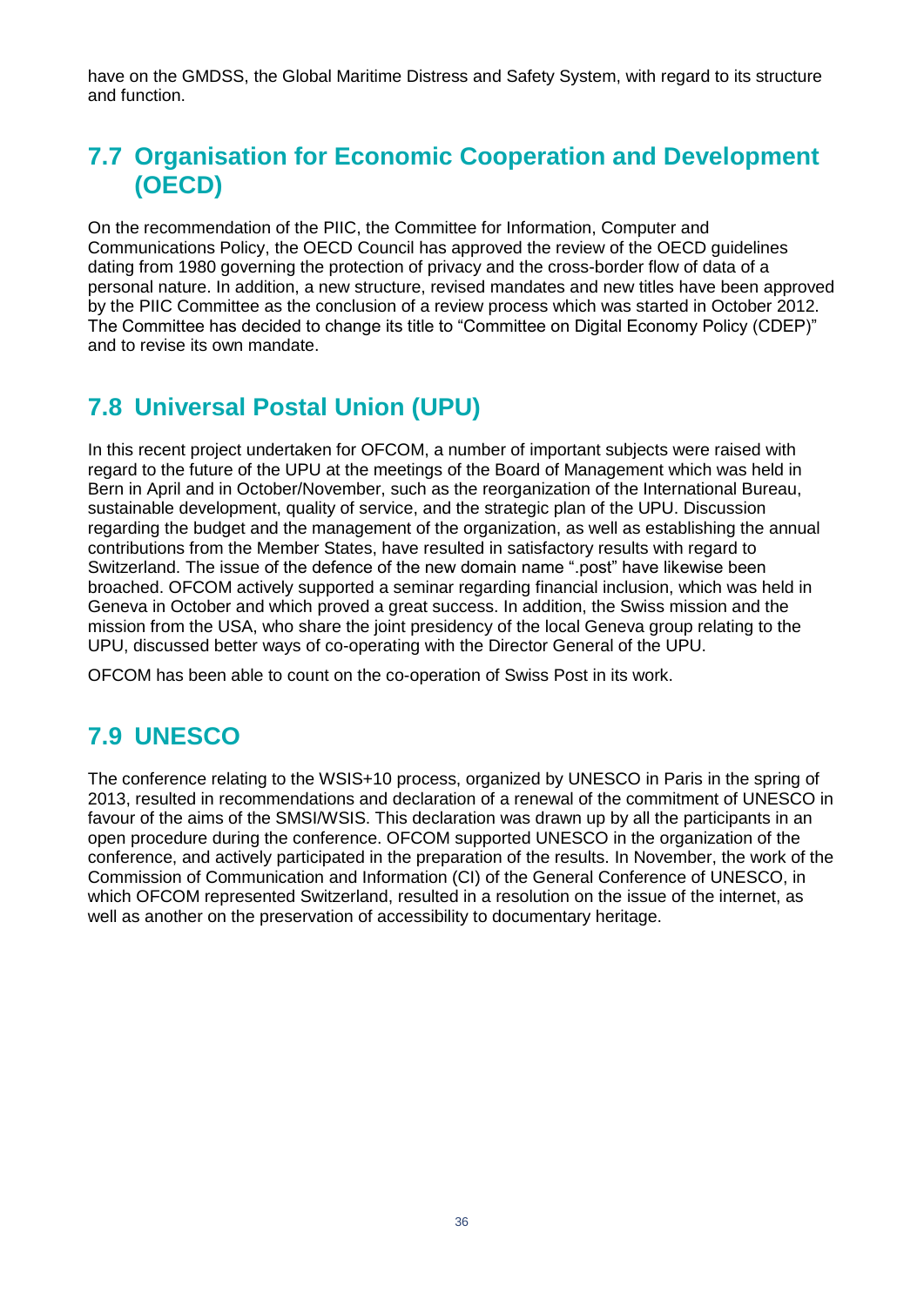have on the GMDSS, the Global Maritime Distress and Safety System, with regard to its structure and function.

# <span id="page-34-0"></span>**7.7 Organisation for Economic Cooperation and Development (OECD)**

On the recommendation of the PIIC, the Committee for Information, Computer and Communications Policy, the OECD Council has approved the review of the OECD guidelines dating from 1980 governing the protection of privacy and the cross-border flow of data of a personal nature. In addition, a new structure, revised mandates and new titles have been approved by the PIIC Committee as the conclusion of a review process which was started in October 2012. The Committee has decided to change its title to "Committee on Digital Economy Policy (CDEP)" and to revise its own mandate.

# <span id="page-34-1"></span>**7.8 Universal Postal Union (UPU)**

In this recent project undertaken for OFCOM, a number of important subjects were raised with regard to the future of the UPU at the meetings of the Board of Management which was held in Bern in April and in October/November, such as the reorganization of the International Bureau, sustainable development, quality of service, and the strategic plan of the UPU. Discussion regarding the budget and the management of the organization, as well as establishing the annual contributions from the Member States, have resulted in satisfactory results with regard to Switzerland. The issue of the defence of the new domain name ".post" have likewise been broached. OFCOM actively supported a seminar regarding financial inclusion, which was held in Geneva in October and which proved a great success. In addition, the Swiss mission and the mission from the USA, who share the joint presidency of the local Geneva group relating to the UPU, discussed better ways of co-operating with the Director General of the UPU.

<span id="page-34-2"></span>OFCOM has been able to count on the co-operation of Swiss Post in its work.

# **7.9 UNESCO**

The conference relating to the WSIS+10 process, organized by UNESCO in Paris in the spring of 2013, resulted in recommendations and declaration of a renewal of the commitment of UNESCO in favour of the aims of the SMSI/WSIS. This declaration was drawn up by all the participants in an open procedure during the conference. OFCOM supported UNESCO in the organization of the conference, and actively participated in the preparation of the results. In November, the work of the Commission of Communication and Information (CI) of the General Conference of UNESCO, in which OFCOM represented Switzerland, resulted in a resolution on the issue of the internet, as well as another on the preservation of accessibility to documentary heritage.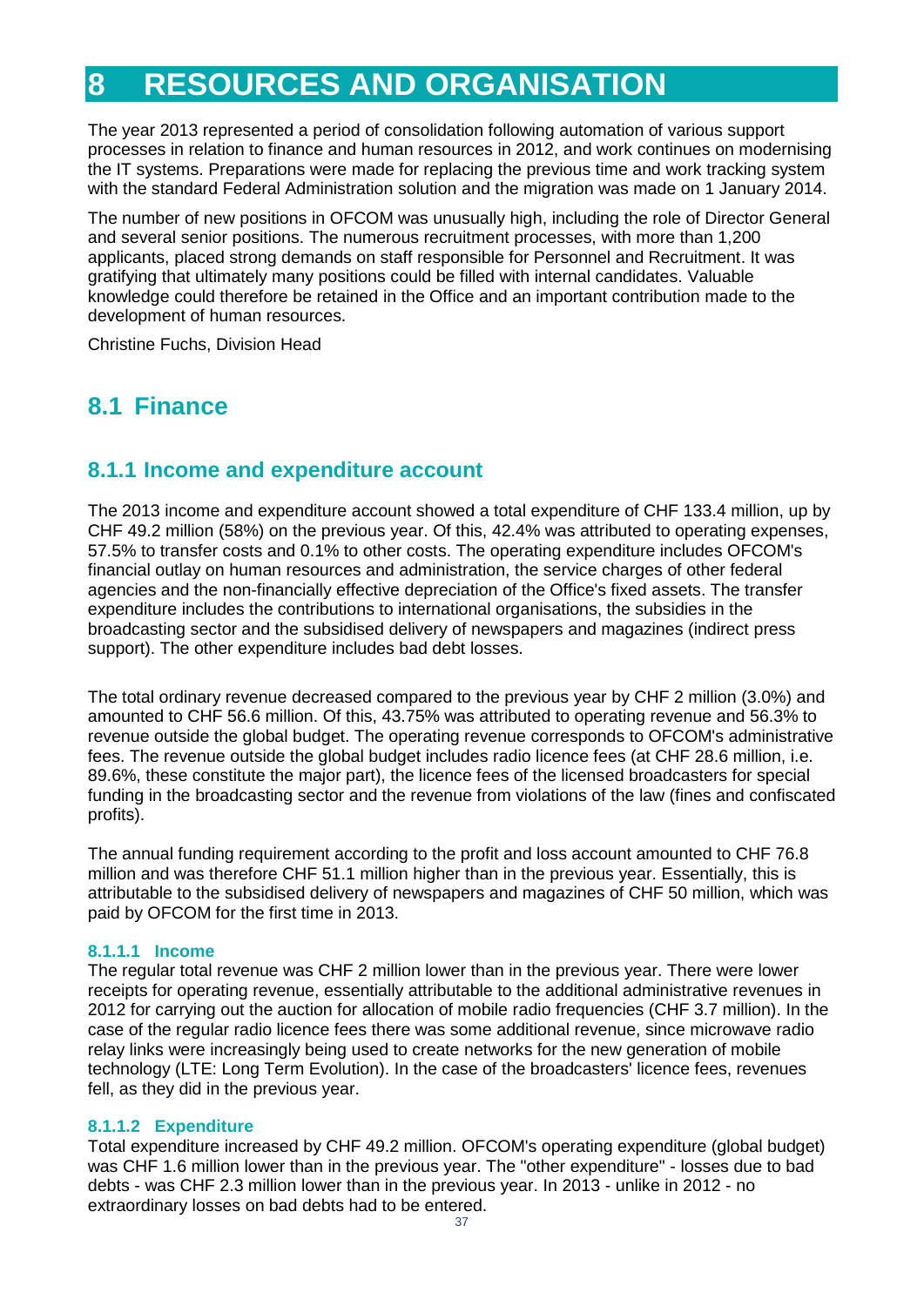# <span id="page-35-0"></span>**8 RESOURCES AND ORGANISATION**

The year 2013 represented a period of consolidation following automation of various support processes in relation to finance and human resources in 2012, and work continues on modernising the IT systems. Preparations were made for replacing the previous time and work tracking system with the standard Federal Administration solution and the migration was made on 1 January 2014.

The number of new positions in OFCOM was unusually high, including the role of Director General and several senior positions. The numerous recruitment processes, with more than 1,200 applicants, placed strong demands on staff responsible for Personnel and Recruitment. It was gratifying that ultimately many positions could be filled with internal candidates. Valuable knowledge could therefore be retained in the Office and an important contribution made to the development of human resources.

<span id="page-35-1"></span>Christine Fuchs, Division Head

## **8.1 Finance**

#### <span id="page-35-2"></span>**8.1.1 Income and expenditure account**

The 2013 income and expenditure account showed a total expenditure of CHF 133.4 million, up by CHF 49.2 million (58%) on the previous year. Of this, 42.4% was attributed to operating expenses, 57.5% to transfer costs and 0.1% to other costs. The operating expenditure includes OFCOM's financial outlay on human resources and administration, the service charges of other federal agencies and the non-financially effective depreciation of the Office's fixed assets. The transfer expenditure includes the contributions to international organisations, the subsidies in the broadcasting sector and the subsidised delivery of newspapers and magazines (indirect press support). The other expenditure includes bad debt losses.

The total ordinary revenue decreased compared to the previous year by CHF 2 million (3.0%) and amounted to CHF 56.6 million. Of this, 43.75% was attributed to operating revenue and 56.3% to revenue outside the global budget. The operating revenue corresponds to OFCOM's administrative fees. The revenue outside the global budget includes radio licence fees (at CHF 28.6 million, i.e. 89.6%, these constitute the major part), the licence fees of the licensed broadcasters for special funding in the broadcasting sector and the revenue from violations of the law (fines and confiscated profits).

The annual funding requirement according to the profit and loss account amounted to CHF 76.8 million and was therefore CHF 51.1 million higher than in the previous year. Essentially, this is attributable to the subsidised delivery of newspapers and magazines of CHF 50 million, which was paid by OFCOM for the first time in 2013.

#### **8.1.1.1 Income**

The regular total revenue was CHF 2 million lower than in the previous year. There were lower receipts for operating revenue, essentially attributable to the additional administrative revenues in 2012 for carrying out the auction for allocation of mobile radio frequencies (CHF 3.7 million). In the case of the regular radio licence fees there was some additional revenue, since microwave radio relay links were increasingly being used to create networks for the new generation of mobile technology (LTE: Long Term Evolution). In the case of the broadcasters' licence fees, revenues fell, as they did in the previous year.

#### **8.1.1.2 Expenditure**

Total expenditure increased by CHF 49.2 million. OFCOM's operating expenditure (global budget) was CHF 1.6 million lower than in the previous year. The "other expenditure" - losses due to bad debts - was CHF 2.3 million lower than in the previous year. In 2013 - unlike in 2012 - no extraordinary losses on bad debts had to be entered.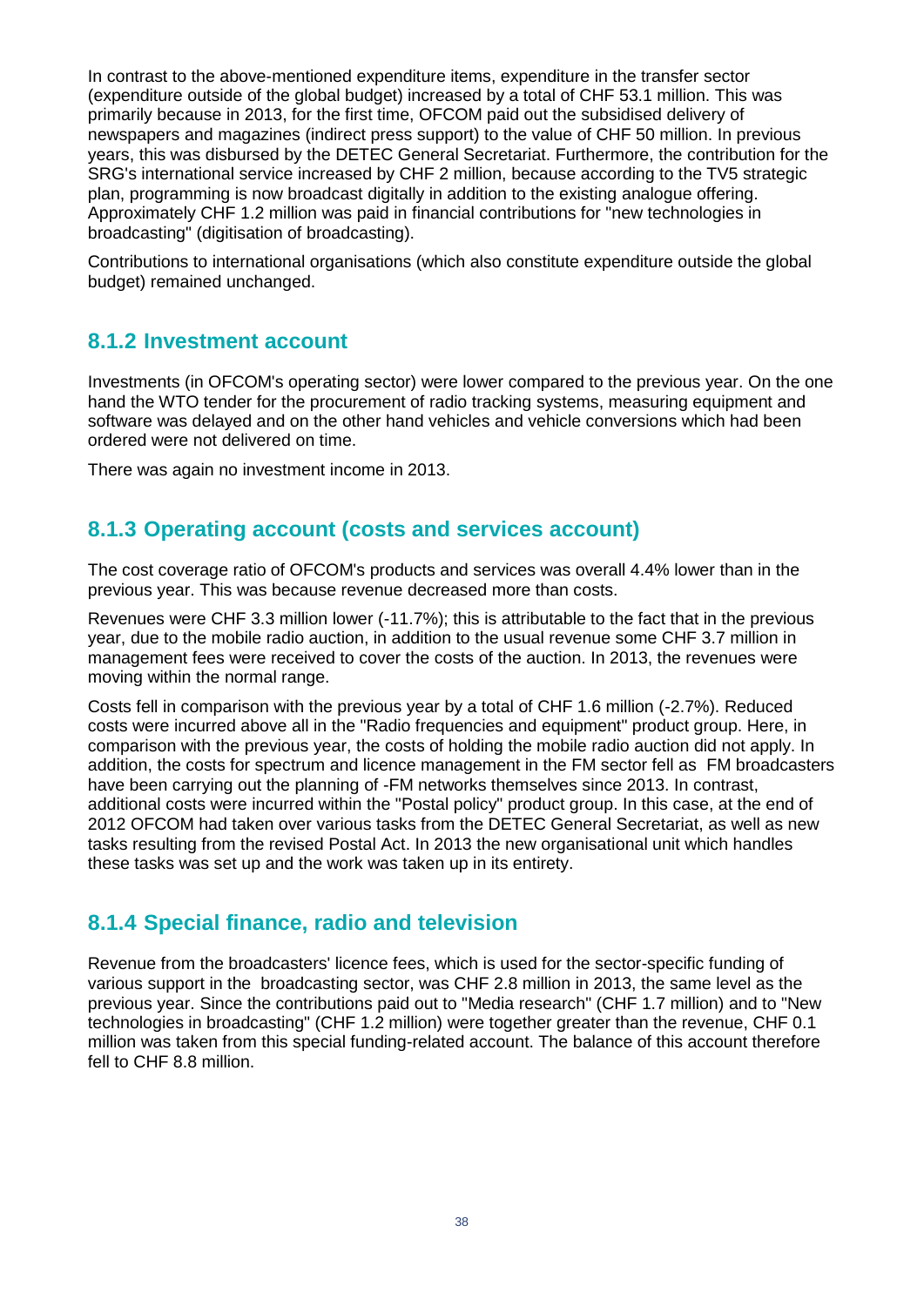In contrast to the above-mentioned expenditure items, expenditure in the transfer sector (expenditure outside of the global budget) increased by a total of CHF 53.1 million. This was primarily because in 2013, for the first time, OFCOM paid out the subsidised delivery of newspapers and magazines (indirect press support) to the value of CHF 50 million. In previous years, this was disbursed by the DETEC General Secretariat. Furthermore, the contribution for the SRG's international service increased by CHF 2 million, because according to the TV5 strategic plan, programming is now broadcast digitally in addition to the existing analogue offering. Approximately CHF 1.2 million was paid in financial contributions for "new technologies in broadcasting" (digitisation of broadcasting).

Contributions to international organisations (which also constitute expenditure outside the global budget) remained unchanged.

#### <span id="page-36-0"></span>**8.1.2 Investment account**

Investments (in OFCOM's operating sector) were lower compared to the previous year. On the one hand the WTO tender for the procurement of radio tracking systems, measuring equipment and software was delayed and on the other hand vehicles and vehicle conversions which had been ordered were not delivered on time.

<span id="page-36-1"></span>There was again no investment income in 2013.

#### **8.1.3 Operating account (costs and services account)**

The cost coverage ratio of OFCOM's products and services was overall 4.4% lower than in the previous year. This was because revenue decreased more than costs.

Revenues were CHF 3.3 million lower (-11.7%); this is attributable to the fact that in the previous year, due to the mobile radio auction, in addition to the usual revenue some CHF 3.7 million in management fees were received to cover the costs of the auction. In 2013, the revenues were moving within the normal range.

Costs fell in comparison with the previous year by a total of CHF 1.6 million (-2.7%). Reduced costs were incurred above all in the "Radio frequencies and equipment" product group. Here, in comparison with the previous year, the costs of holding the mobile radio auction did not apply. In addition, the costs for spectrum and licence management in the FM sector fell as FM broadcasters have been carrying out the planning of -FM networks themselves since 2013. In contrast, additional costs were incurred within the "Postal policy" product group. In this case, at the end of 2012 OFCOM had taken over various tasks from the DETEC General Secretariat, as well as new tasks resulting from the revised Postal Act. In 2013 the new organisational unit which handles these tasks was set up and the work was taken up in its entirety.

### <span id="page-36-2"></span>**8.1.4 Special finance, radio and television**

Revenue from the broadcasters' licence fees, which is used for the sector-specific funding of various support in the broadcasting sector, was CHF 2.8 million in 2013, the same level as the previous year. Since the contributions paid out to "Media research" (CHF 1.7 million) and to "New technologies in broadcasting" (CHF 1.2 million) were together greater than the revenue, CHF 0.1 million was taken from this special funding-related account. The balance of this account therefore fell to CHF 8.8 million.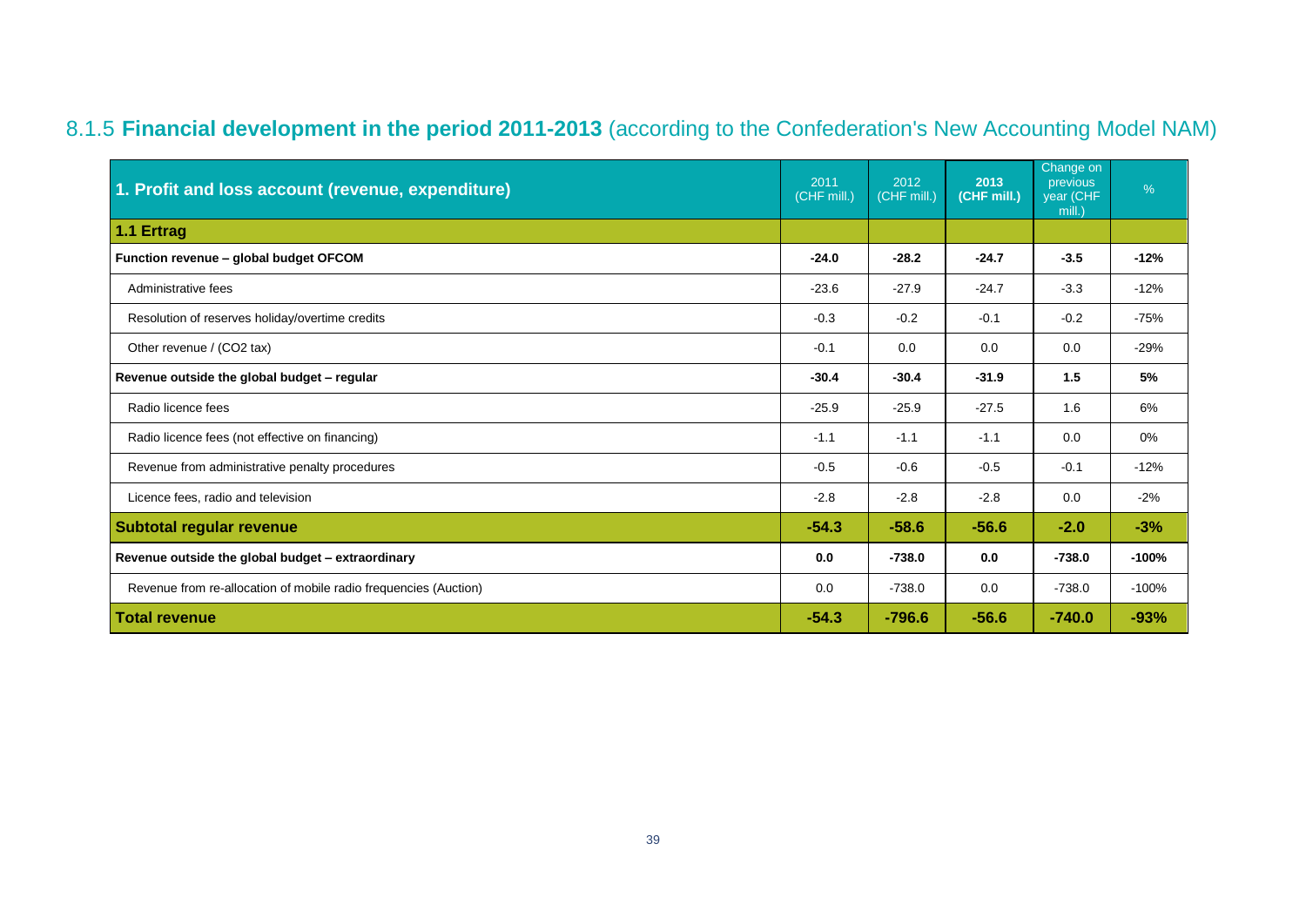# 8.1.5 **Financial development in the period 2011-2013** (according to the Confederation's New Accounting Model NAM)

<span id="page-37-0"></span>

| 1. Profit and loss account (revenue, expenditure)                | 2011<br>(CHF mill.) | 2012<br>(CHF mill.) | 2013<br>(CHF mill.) | Change on<br>previous<br>year (CHF<br>mill.) | %       |
|------------------------------------------------------------------|---------------------|---------------------|---------------------|----------------------------------------------|---------|
| 1.1 Ertrag                                                       |                     |                     |                     |                                              |         |
| Function revenue - global budget OFCOM                           | $-24.0$             | $-28.2$             | $-24.7$             | $-3.5$                                       | $-12%$  |
| Administrative fees                                              | $-23.6$             | $-27.9$             | $-24.7$             | $-3.3$                                       | $-12%$  |
| Resolution of reserves holiday/overtime credits                  | $-0.3$              | $-0.2$              | $-0.1$              | $-0.2$                                       | $-75%$  |
| Other revenue / (CO2 tax)                                        | $-0.1$              | 0.0                 | 0.0                 | 0.0                                          | $-29%$  |
| Revenue outside the global budget - regular                      | $-30.4$             | $-30.4$             | $-31.9$             | 1.5                                          | 5%      |
| Radio licence fees                                               | $-25.9$             | $-25.9$             | $-27.5$             | 1.6                                          | 6%      |
| Radio licence fees (not effective on financing)                  | $-1.1$              | $-1.1$              | $-1.1$              | 0.0                                          | 0%      |
| Revenue from administrative penalty procedures                   | $-0.5$              | $-0.6$              | $-0.5$              | $-0.1$                                       | $-12%$  |
| Licence fees, radio and television                               | $-2.8$              | $-2.8$              | $-2.8$              | 0.0                                          | $-2%$   |
| <b>Subtotal regular revenue</b>                                  |                     | $-58.6$             | $-56.6$             | $-2.0$                                       | $-3%$   |
| Revenue outside the global budget - extraordinary                |                     | $-738.0$            | 0.0                 | $-738.0$                                     | $-100%$ |
| Revenue from re-allocation of mobile radio frequencies (Auction) | 0.0                 | $-738.0$            | 0.0                 | $-738.0$                                     | $-100%$ |
| <b>Total revenue</b>                                             | $-54.3$             | $-796.6$            | $-56.6$             | $-740.0$                                     | $-93%$  |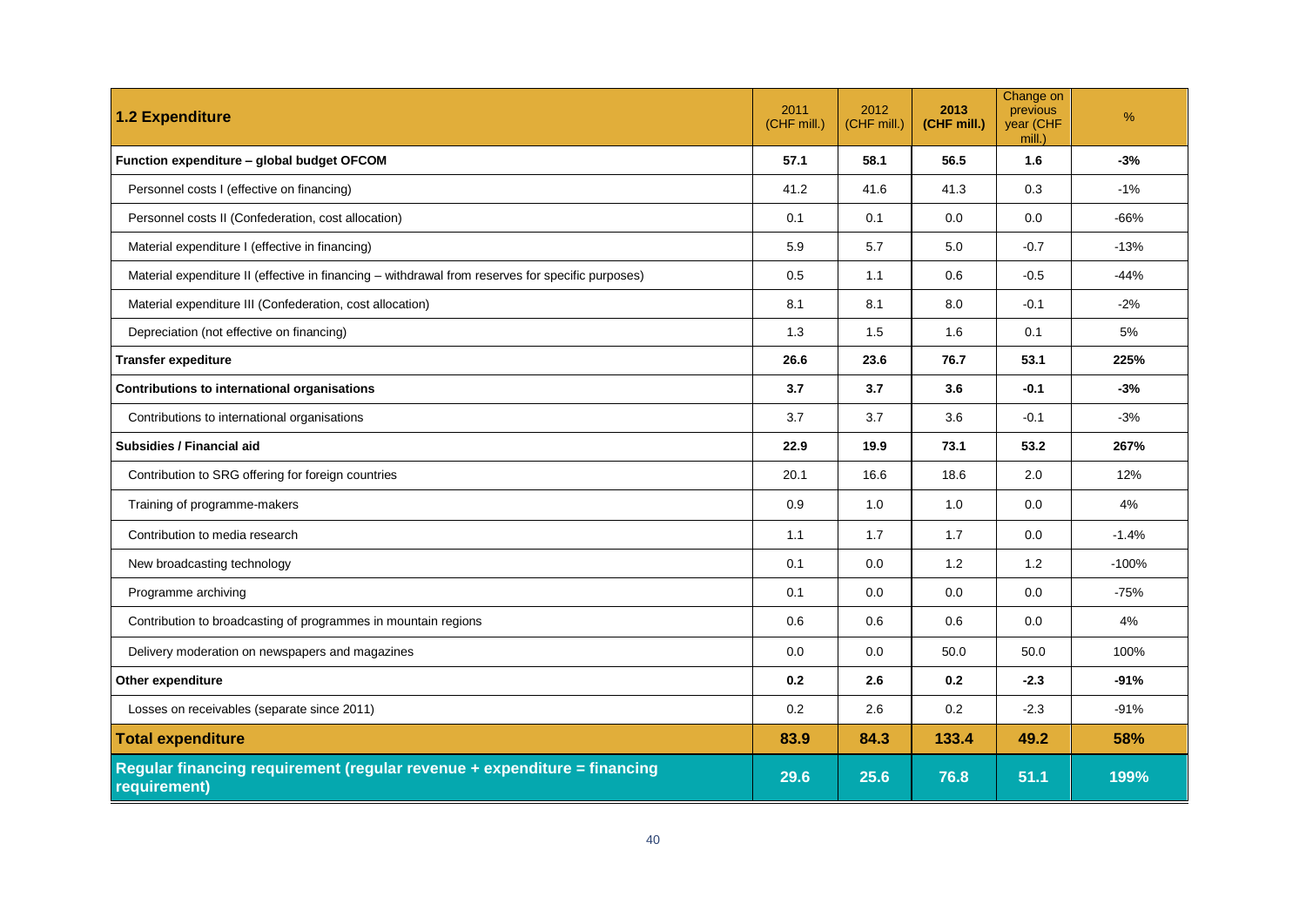| <b>1.2 Expenditure</b>                                                                            | 2011<br>(CHF mill.) | 2012<br>(CHF mill.) | 2013<br>(CHF mill.) | Change on<br>previous<br>year (CHF<br>mill.) | $\%$    |
|---------------------------------------------------------------------------------------------------|---------------------|---------------------|---------------------|----------------------------------------------|---------|
| Function expenditure - global budget OFCOM                                                        | 57.1                | 58.1                | 56.5                | 1.6                                          | $-3%$   |
| Personnel costs I (effective on financing)                                                        | 41.2                | 41.6                | 41.3                | 0.3                                          | $-1%$   |
| Personnel costs II (Confederation, cost allocation)                                               | 0.1                 | 0.1                 | 0.0                 | 0.0                                          | $-66%$  |
| Material expenditure I (effective in financing)                                                   | 5.9                 | 5.7                 | 5.0                 | $-0.7$                                       | $-13%$  |
| Material expenditure II (effective in financing - withdrawal from reserves for specific purposes) | 0.5                 | 1.1                 | 0.6                 | $-0.5$                                       | $-44%$  |
| Material expenditure III (Confederation, cost allocation)                                         | 8.1                 | 8.1                 | 8.0                 | $-0.1$                                       | $-2%$   |
| Depreciation (not effective on financing)                                                         | 1.3                 | 1.5                 | 1.6                 | 0.1                                          | 5%      |
| <b>Transfer expediture</b>                                                                        | 26.6                | 23.6                | 76.7                | 53.1                                         | 225%    |
| Contributions to international organisations                                                      | 3.7                 | 3.7                 | 3.6                 | $-0.1$                                       | $-3%$   |
| Contributions to international organisations                                                      | 3.7                 | 3.7                 | 3.6                 | $-0.1$                                       | $-3%$   |
| Subsidies / Financial aid                                                                         | 22.9                | 19.9                | 73.1                | 53.2                                         | 267%    |
| Contribution to SRG offering for foreign countries                                                | 20.1                | 16.6                | 18.6                | 2.0                                          | 12%     |
| Training of programme-makers                                                                      | 0.9                 | 1.0                 | 1.0                 | 0.0                                          | 4%      |
| Contribution to media research                                                                    | 1.1                 | 1.7                 | 1.7                 | 0.0                                          | $-1.4%$ |
| New broadcasting technology                                                                       | 0.1                 | 0.0                 | 1.2                 | 1.2                                          | $-100%$ |
| Programme archiving                                                                               | 0.1                 | 0.0                 | 0.0                 | 0.0                                          | $-75%$  |
| Contribution to broadcasting of programmes in mountain regions                                    | 0.6                 | 0.6                 | 0.6                 | 0.0                                          | 4%      |
| Delivery moderation on newspapers and magazines                                                   | 0.0                 | 0.0                 | 50.0                | 50.0                                         | 100%    |
| Other expenditure                                                                                 | 0.2                 | 2.6                 | 0.2                 | $-2.3$                                       | $-91%$  |
| Losses on receivables (separate since 2011)                                                       | 0.2                 | 2.6                 | 0.2                 | $-2.3$                                       | $-91%$  |
| <b>Total expenditure</b>                                                                          | 83.9                | 84.3                | 133.4               | 49.2                                         | 58%     |
| Regular financing requirement (regular revenue + expenditure = financing<br>requirement)          | 29.6                | 25.6                | 76.8                | 51.1                                         | 199%    |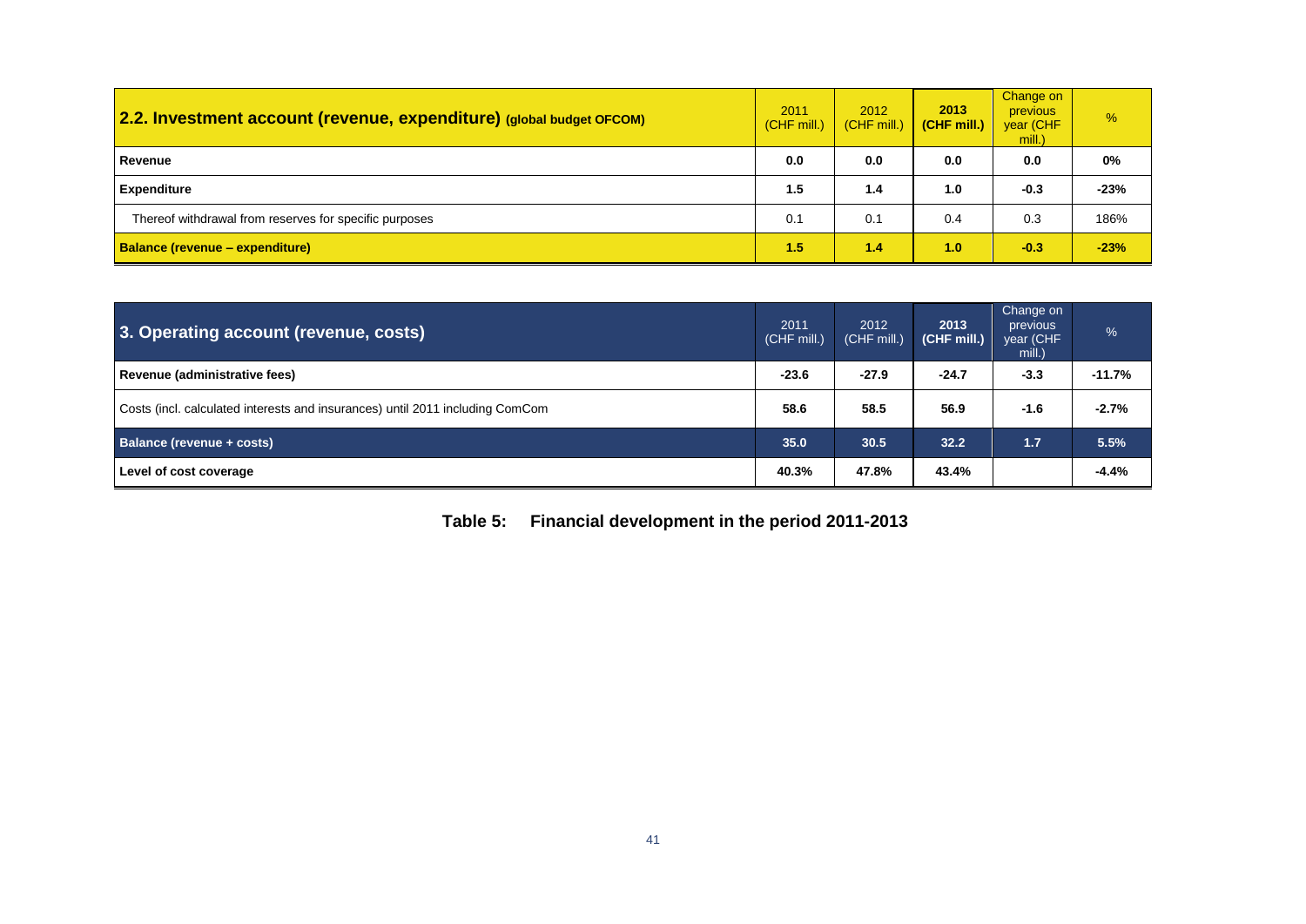| 2.2. Investment account (revenue, expenditure) (global budget OFCOM) | 2011<br>(CHF mill.) | 2012<br>$(CHF$ mill.) | 2013<br>(CHF mill.) | Change on<br><b>previous</b><br>year (CHF<br>mill.) | %      |
|----------------------------------------------------------------------|---------------------|-----------------------|---------------------|-----------------------------------------------------|--------|
| Revenue                                                              | 0.0                 | 0.0                   | 0.0                 | 0.0                                                 | 0%     |
| <b>Expenditure</b>                                                   | 1.5                 | 1.4                   | 1.0                 | $-0.3$                                              | $-23%$ |
| Thereof withdrawal from reserves for specific purposes               | 0.1                 | 0.1                   | 0.4                 | 0.3                                                 | 186%   |
| <b>Balance (revenue – expenditure)</b>                               |                     | 1.4                   | 1.0                 | $-0.3$                                              | $-23%$ |

| 3. Operating account (revenue, costs)                                         | 2011<br>(CHF mill.) | 2012<br>(CHF mill.) | 2013<br>(CHF mill.) | Change on<br>previous<br>year (CHF<br>mill.) | %        |
|-------------------------------------------------------------------------------|---------------------|---------------------|---------------------|----------------------------------------------|----------|
| Revenue (administrative fees)                                                 | $-23.6$             | $-27.9$             | $-24.7$             | $-3.3$                                       | $-11.7%$ |
| Costs (incl. calculated interests and insurances) until 2011 including ComCom | 58.6                | 58.5                | 56.9                | $-1.6$                                       | $-2.7%$  |
| Balance (revenue + costs)                                                     | 35.0                | 30.5                | 32.2                | 1.7                                          | 5.5%     |
| Level of cost coverage                                                        | 40.3%               | 47.8%               | 43.4%               |                                              | $-4.4%$  |

<span id="page-39-0"></span>**Table 5: Financial development in the period 2011-2013**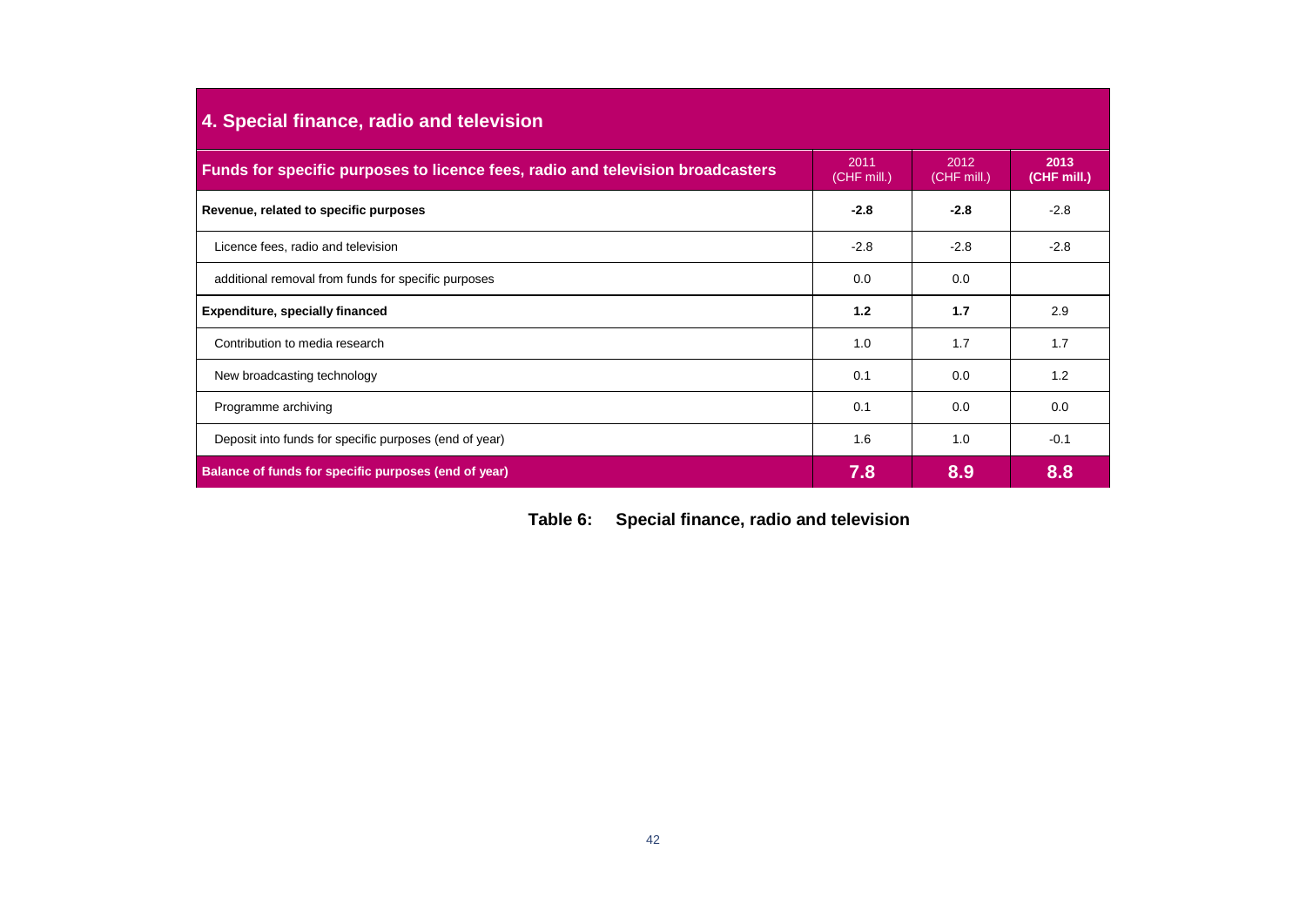| 4. Special finance, radio and television                                       |                     |                     |                     |  |  |
|--------------------------------------------------------------------------------|---------------------|---------------------|---------------------|--|--|
| Funds for specific purposes to licence fees, radio and television broadcasters | 2011<br>(CHF mill.) | 2012<br>(CHF mill.) | 2013<br>(CHF mill.) |  |  |
| Revenue, related to specific purposes                                          | $-2.8$              | $-2.8$              | $-2.8$              |  |  |
| Licence fees, radio and television                                             | $-2.8$              | $-2.8$              | $-2.8$              |  |  |
| additional removal from funds for specific purposes                            | 0.0                 | 0.0                 |                     |  |  |
| <b>Expenditure, specially financed</b>                                         | 1.2                 | 1.7                 | 2.9                 |  |  |
| Contribution to media research                                                 | 1.0                 | 1.7                 | 1.7                 |  |  |
| New broadcasting technology                                                    | 0.1                 | 0.0                 | 1.2                 |  |  |
| Programme archiving                                                            | 0.1                 | 0.0                 | 0.0                 |  |  |
| Deposit into funds for specific purposes (end of year)                         | 1.6                 | 1.0                 | $-0.1$              |  |  |
| Balance of funds for specific purposes (end of year)                           | 7.8                 | 8.9                 | 8.8                 |  |  |

<span id="page-40-0"></span>

|  | Table 6: Special finance, radio and television |  |  |
|--|------------------------------------------------|--|--|
|--|------------------------------------------------|--|--|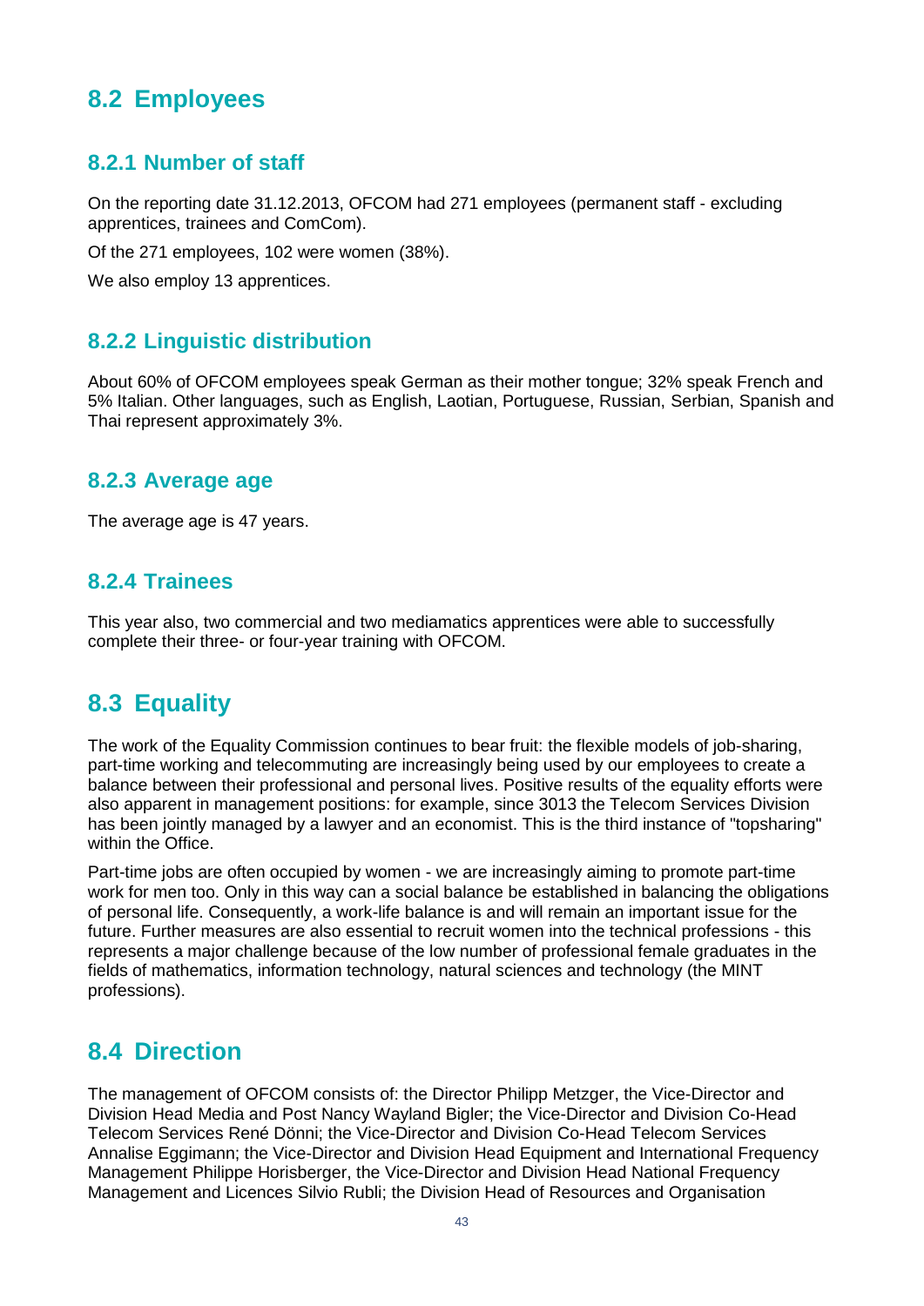# <span id="page-41-0"></span>**8.2 Employees**

### <span id="page-41-1"></span>**8.2.1 Number of staff**

On the reporting date 31.12.2013, OFCOM had 271 employees (permanent staff - excluding apprentices, trainees and ComCom).

Of the 271 employees, 102 were women (38%).

<span id="page-41-2"></span>We also employ 13 apprentices.

#### **8.2.2 Linguistic distribution**

About 60% of OFCOM employees speak German as their mother tongue; 32% speak French and 5% Italian. Other languages, such as English, Laotian, Portuguese, Russian, Serbian, Spanish and Thai represent approximately 3%.

#### <span id="page-41-3"></span>**8.2.3 Average age**

<span id="page-41-4"></span>The average age is 47 years.

#### **8.2.4 Trainees**

This year also, two commercial and two mediamatics apprentices were able to successfully complete their three- or four-year training with OFCOM.

## <span id="page-41-5"></span>**8.3 Equality**

The work of the Equality Commission continues to bear fruit: the flexible models of job-sharing, part-time working and telecommuting are increasingly being used by our employees to create a balance between their professional and personal lives. Positive results of the equality efforts were also apparent in management positions: for example, since 3013 the Telecom Services Division has been jointly managed by a lawyer and an economist. This is the third instance of "topsharing" within the Office.

Part-time jobs are often occupied by women - we are increasingly aiming to promote part-time work for men too. Only in this way can a social balance be established in balancing the obligations of personal life. Consequently, a work-life balance is and will remain an important issue for the future. Further measures are also essential to recruit women into the technical professions - this represents a major challenge because of the low number of professional female graduates in the fields of mathematics, information technology, natural sciences and technology (the MINT professions).

## <span id="page-41-6"></span>**8.4 Direction**

The management of OFCOM consists of: the Director Philipp Metzger, the Vice-Director and Division Head Media and Post Nancy Wayland Bigler; the Vice-Director and Division Co-Head Telecom Services René Dönni; the Vice-Director and Division Co-Head Telecom Services Annalise Eggimann; the Vice-Director and Division Head Equipment and International Frequency Management Philippe Horisberger, the Vice-Director and Division Head National Frequency Management and Licences Silvio Rubli; the Division Head of Resources and Organisation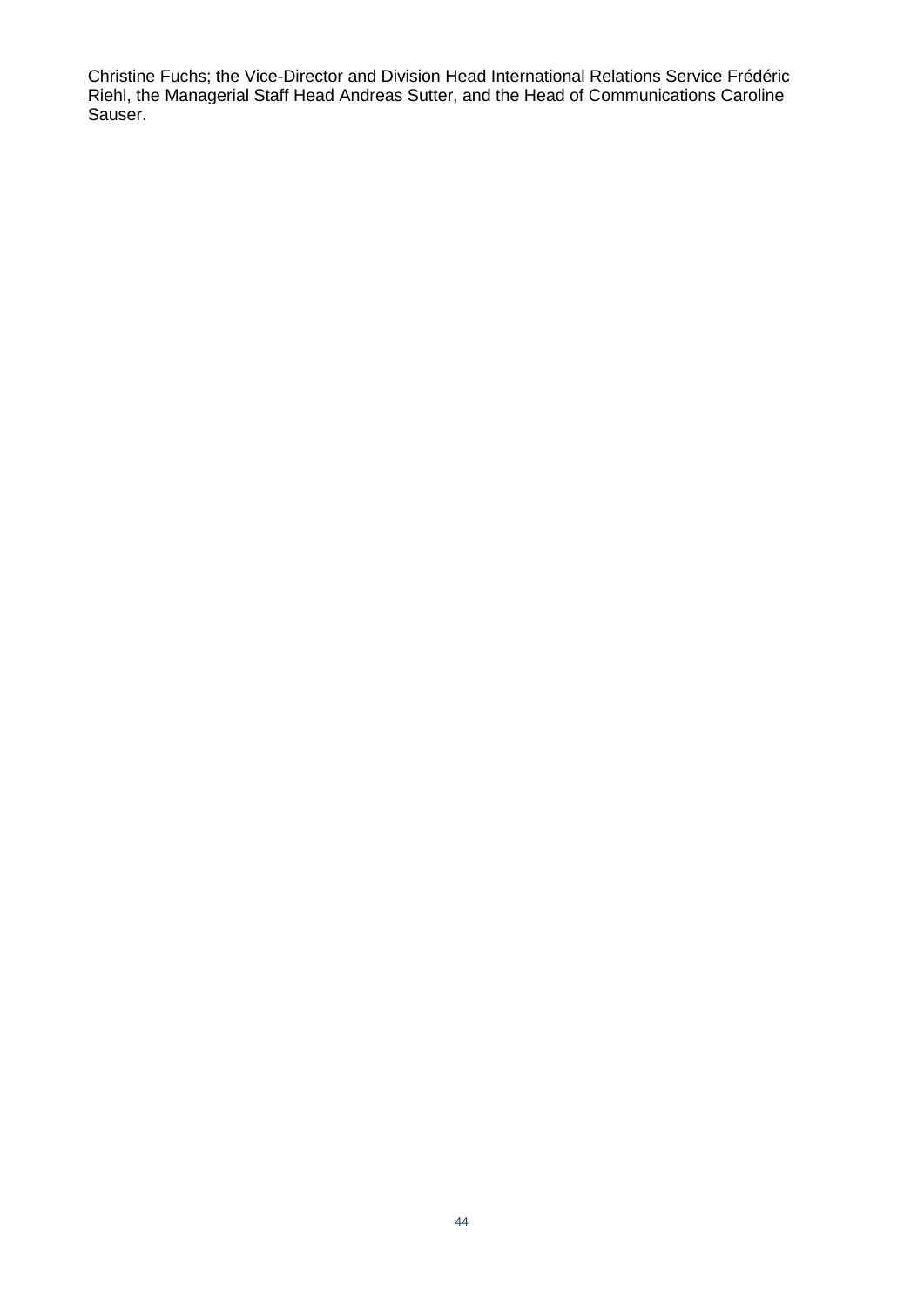Christine Fuchs; the Vice-Director and Division Head International Relations Service Frédéric Riehl, the Managerial Staff Head Andreas Sutter, and the Head of Communications Caroline Sauser.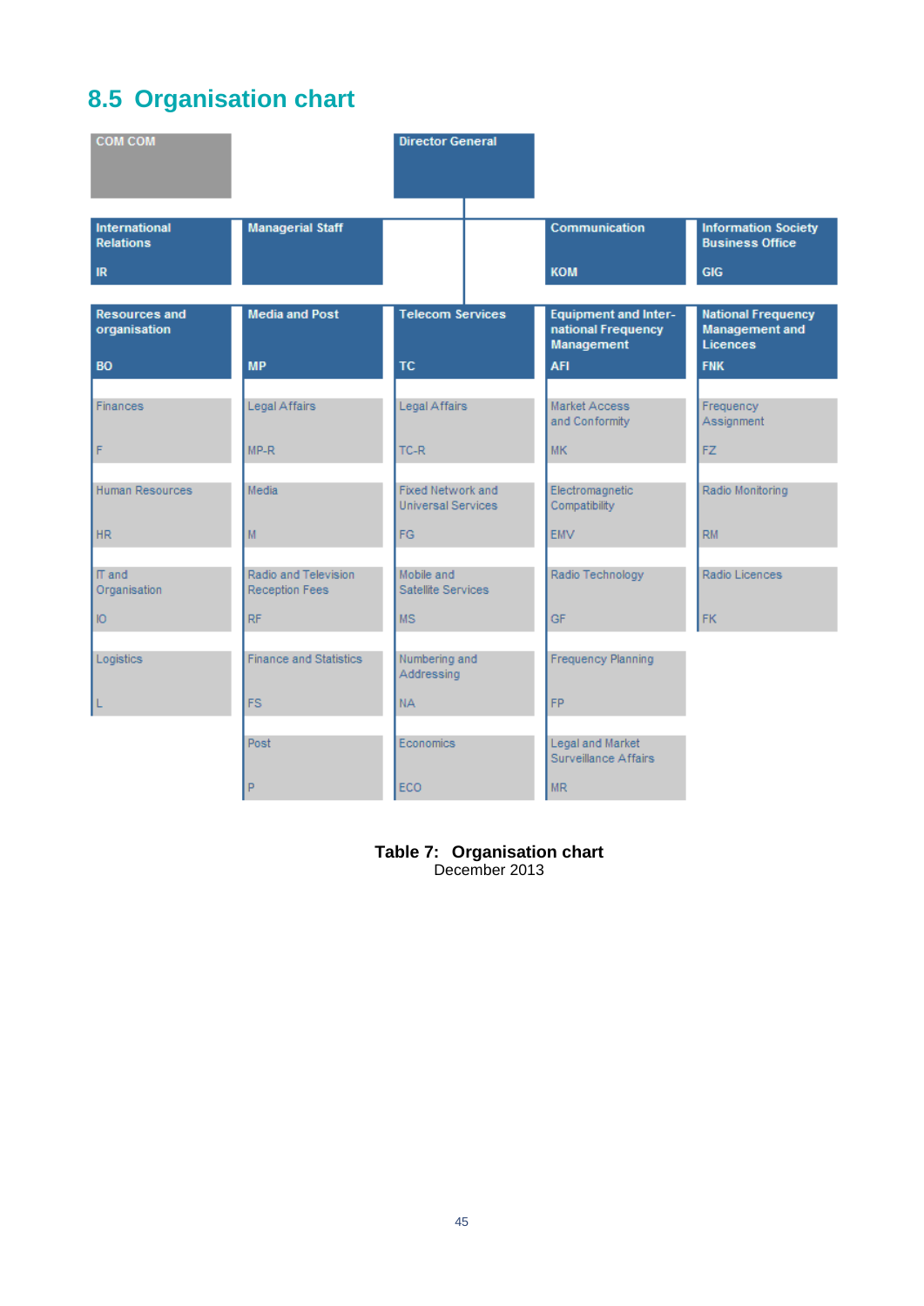# <span id="page-43-0"></span>**8.5 Organisation chart**

| <b>COM COM</b>                           |                                               | <b>Director General</b>                        |                                                                 |                                                         |
|------------------------------------------|-----------------------------------------------|------------------------------------------------|-----------------------------------------------------------------|---------------------------------------------------------|
| <b>International</b><br><b>Relations</b> | <b>Managerial Staff</b>                       |                                                | Communication                                                   | <b>Information Society</b><br><b>Business Office</b>    |
| IR                                       |                                               |                                                | <b>KOM</b>                                                      | <b>GIG</b>                                              |
| <b>Resources and</b><br>organisation     | <b>Media and Post</b>                         | <b>Telecom Services</b>                        | <b>Equipment and Inter-</b><br>national Frequency<br>Management | <b>National Frequency</b><br>Management and<br>Licences |
| <b>BO</b>                                | <b>MP</b>                                     | <b>TC</b>                                      | <b>AFI</b>                                                      | <b>FNK</b>                                              |
| <b>Finances</b>                          | Legal Affairs                                 | Legal Affairs                                  | Market Access<br>and Conformity                                 | Frequency<br>Assignment                                 |
| F                                        | $MP-R$                                        | $TC-R$                                         | <b>MK</b>                                                       | FZ.                                                     |
| Human Resources                          | Media                                         | Fixed Network and<br><b>Universal Services</b> | Electromagnetic<br>Compatibility                                | Radio Monitoring                                        |
| <b>HR</b>                                | M                                             | FG.                                            | <b>EMV</b>                                                      | RM                                                      |
| IT and<br>Organisation                   | Radio and Television<br><b>Reception Fees</b> | Mobile and<br>Satellite Services               | Radio Technology                                                | Radio Licences                                          |
| Ю                                        | <b>RF</b>                                     | <b>MS</b>                                      | <b>GF</b>                                                       | <b>FK</b>                                               |
| Logistics                                | <b>Finance and Statistics</b>                 | Numbering and<br>Addressing                    | Frequency Planning                                              |                                                         |
| L                                        | <b>FS</b>                                     | NA.                                            | <b>FP</b>                                                       |                                                         |
|                                          | Post                                          | <b>Economics</b>                               | Legal and Market<br>Surveillance Affairs                        |                                                         |
|                                          | P                                             | <b>ECO</b>                                     | <b>MR</b>                                                       |                                                         |

## <span id="page-43-1"></span>**Table 7: Organisation chart**

December 2013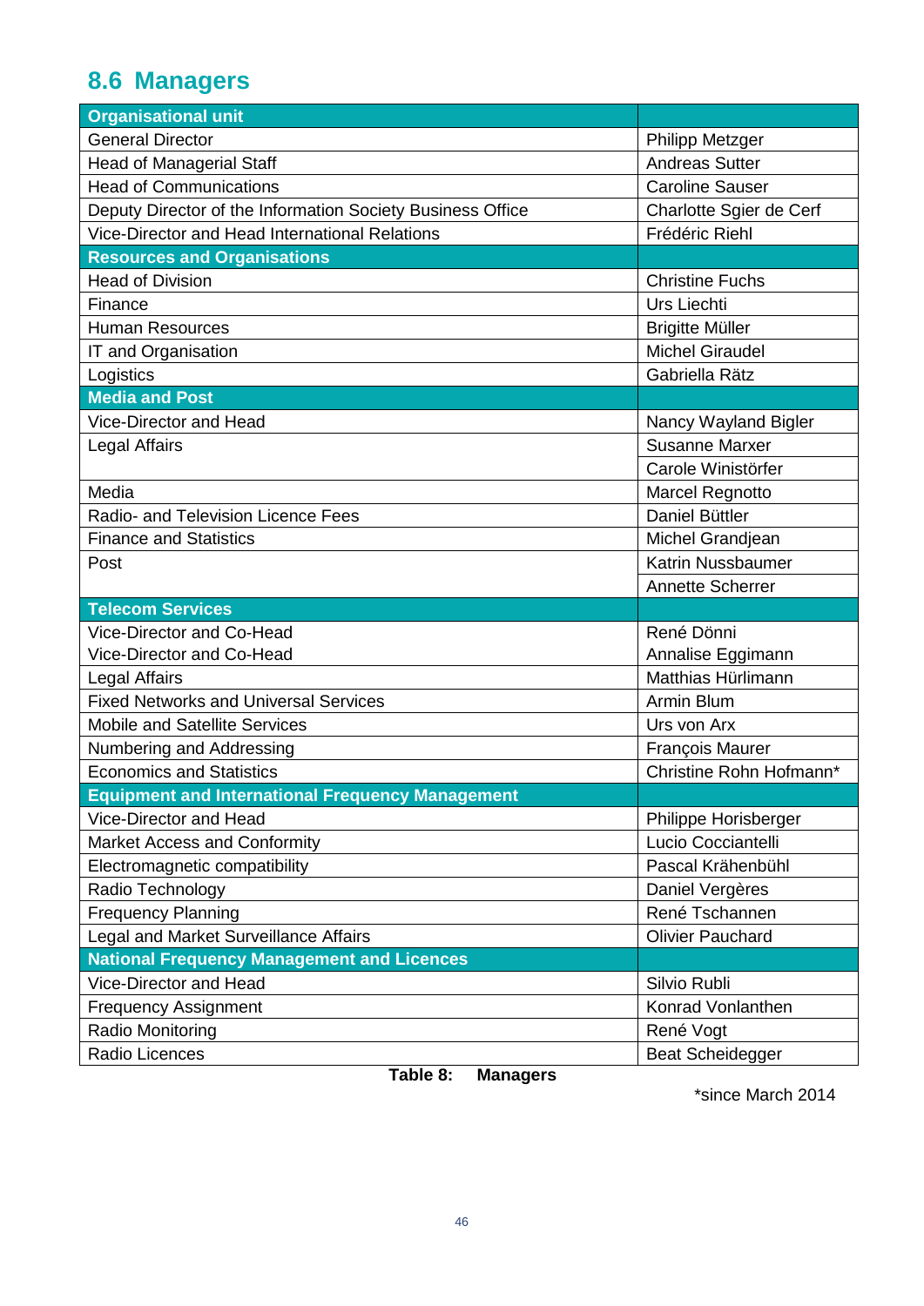# <span id="page-44-0"></span>**8.6 Managers**

| <b>Organisational unit</b>                                 |                         |
|------------------------------------------------------------|-------------------------|
| <b>General Director</b>                                    | <b>Philipp Metzger</b>  |
| <b>Head of Managerial Staff</b>                            | <b>Andreas Sutter</b>   |
| <b>Head of Communications</b>                              | <b>Caroline Sauser</b>  |
| Deputy Director of the Information Society Business Office | Charlotte Sgier de Cerf |
| Vice-Director and Head International Relations             | Frédéric Riehl          |
| <b>Resources and Organisations</b>                         |                         |
| <b>Head of Division</b>                                    | <b>Christine Fuchs</b>  |
| Finance                                                    | <b>Urs Liechti</b>      |
| <b>Human Resources</b>                                     | <b>Brigitte Müller</b>  |
| IT and Organisation                                        | <b>Michel Giraudel</b>  |
| Logistics                                                  | Gabriella Rätz          |
| <b>Media and Post</b>                                      |                         |
| Vice-Director and Head                                     | Nancy Wayland Bigler    |
| Legal Affairs                                              | <b>Susanne Marxer</b>   |
|                                                            | Carole Winistörfer      |
| Media                                                      | <b>Marcel Regnotto</b>  |
| Radio- and Television Licence Fees                         | Daniel Büttler          |
| <b>Finance and Statistics</b>                              | Michel Grandjean        |
| Post                                                       | Katrin Nussbaumer       |
|                                                            | <b>Annette Scherrer</b> |
| <b>Telecom Services</b>                                    |                         |
| Vice-Director and Co-Head                                  | René Dönni              |
| Vice-Director and Co-Head                                  | Annalise Eggimann       |
| Legal Affairs                                              | Matthias Hürlimann      |
| <b>Fixed Networks and Universal Services</b>               | Armin Blum              |
| Mobile and Satellite Services                              | Urs von Arx             |
| Numbering and Addressing                                   | François Maurer         |
| Economics and Statistics                                   | Christine Rohn Hofmann* |
| <b>Equipment and International Frequency Management</b>    |                         |
| Vice-Director and Head                                     | Philippe Horisberger    |
| Market Access and Conformity                               | Lucio Cocciantelli      |
| Electromagnetic compatibility                              | Pascal Krähenbühl       |
| Radio Technology                                           | Daniel Vergères         |
| <b>Frequency Planning</b>                                  | René Tschannen          |
| Legal and Market Surveillance Affairs                      | <b>Olivier Pauchard</b> |
| <b>National Frequency Management and Licences</b>          |                         |
| Vice-Director and Head                                     | Silvio Rubli            |
| <b>Frequency Assignment</b>                                | Konrad Vonlanthen       |
| Radio Monitoring                                           | René Vogt               |
| Radio Licences                                             | <b>Beat Scheidegger</b> |

<span id="page-44-1"></span>**Table 8: Managers**

\*since March 2014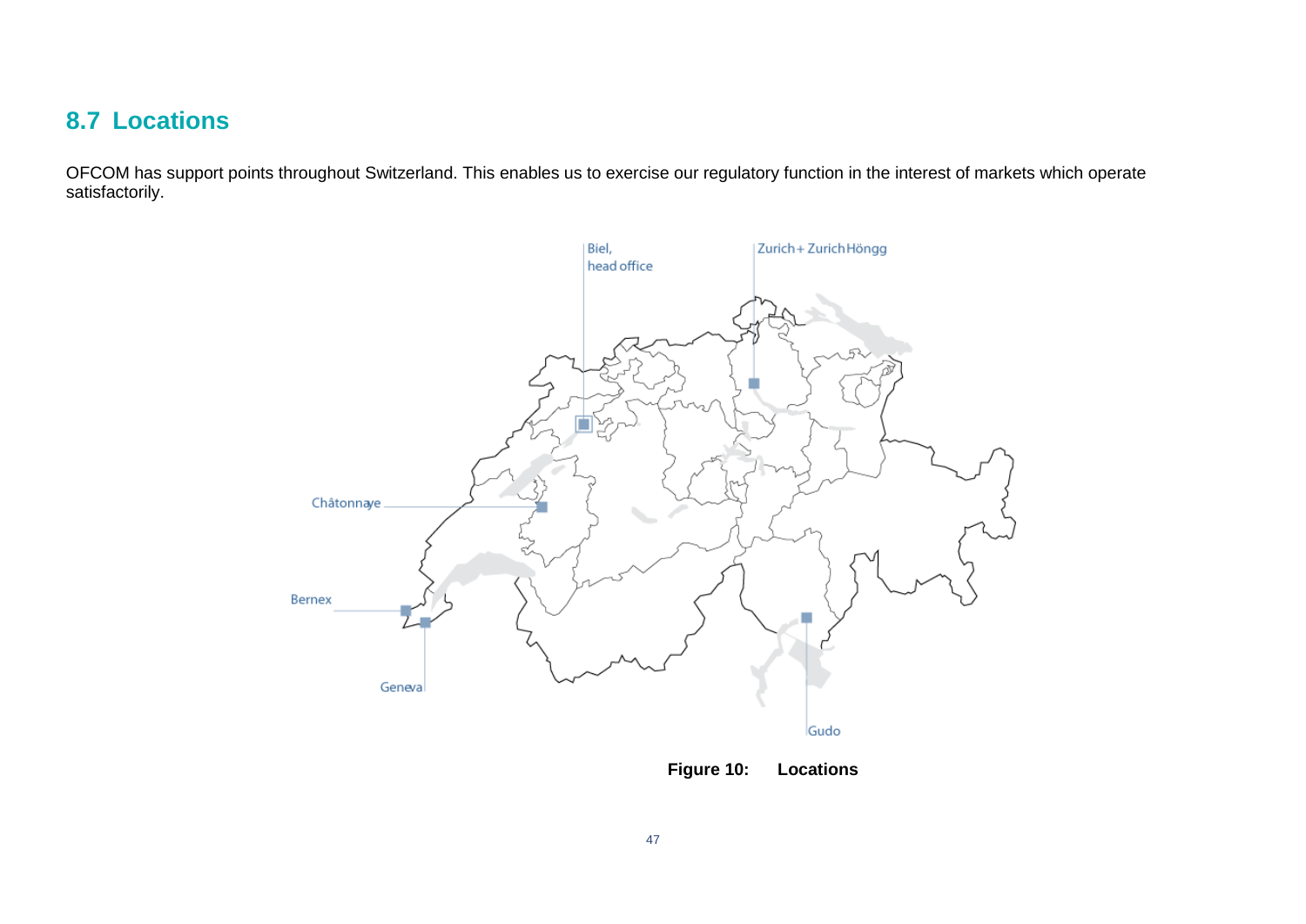# **8.7 Locations**

<span id="page-45-0"></span>OFCOM has support points throughout Switzerland. This enables us to exercise our regulatory function in the interest of markets which operate satisfactorily.



<span id="page-45-1"></span>**Figure 10: Locations**